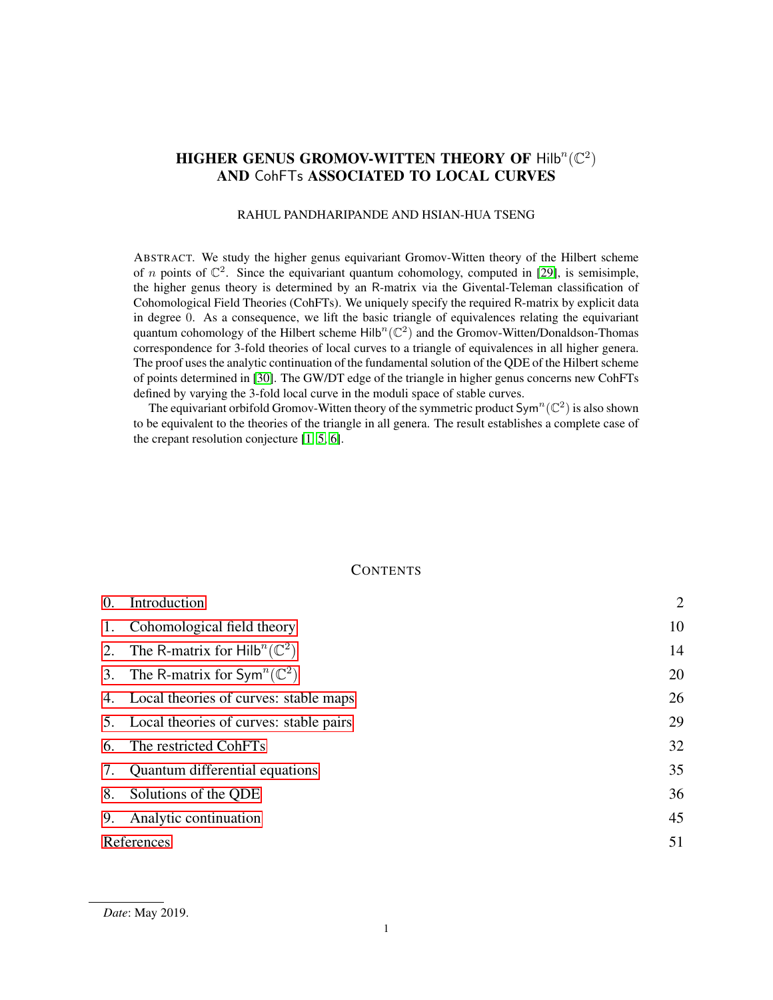# HIGHER GENUS GROMOV-WITTEN THEORY OF  $\mathsf{Hilb}^n(\mathbb{C}^2)$ AND CohFTs ASSOCIATED TO LOCAL CURVES

### RAHUL PANDHARIPANDE AND HSIAN-HUA TSENG

ABSTRACT. We study the higher genus equivariant Gromov-Witten theory of the Hilbert scheme of *n* points of  $\mathbb{C}^2$ . Since the equivariant quantum cohomology, computed in [\[29\]](#page-51-0), is semisimple, the higher genus theory is determined by an R-matrix via the Givental-Teleman classification of Cohomological Field Theories (CohFTs). We uniquely specify the required R-matrix by explicit data in degree 0. As a consequence, we lift the basic triangle of equivalences relating the equivariant quantum cohomology of the Hilbert scheme  $\text{Hilb}^n(\mathbb{C}^2)$  and the Gromov-Witten/Donaldson-Thomas correspondence for 3-fold theories of local curves to a triangle of equivalences in all higher genera. The proof uses the analytic continuation of the fundamental solution of the QDE of the Hilbert scheme of points determined in [\[30\]](#page-51-1). The GW/DT edge of the triangle in higher genus concerns new CohFTs defined by varying the 3-fold local curve in the moduli space of stable curves.

The equivariant orbifold Gromov-Witten theory of the symmetric product Sym<sup>n</sup> ( $\mathbb{C}^2$ ) is also shown to be equivalent to the theories of the triangle in all genera. The result establishes a complete case of the crepant resolution conjecture [\[1,](#page-50-0) [5,](#page-50-1) [6\]](#page-50-2).

# **CONTENTS**

| 0. | Introduction                                             | $\overline{2}$ |  |
|----|----------------------------------------------------------|----------------|--|
|    | 1. Cohomological field theory                            | 10             |  |
|    | 2. The R-matrix for Hilb <sup>n</sup> ( $\mathbb{C}^2$ ) | 14             |  |
|    | 3. The R-matrix for $Sym^n(\mathbb{C}^2)$                | 20             |  |
|    | 4. Local theories of curves: stable maps                 | 26             |  |
|    | 5. Local theories of curves: stable pairs                | 29             |  |
|    | 6. The restricted CohFTs                                 | 32             |  |
|    | 7. Quantum differential equations                        | 35             |  |
|    | 8. Solutions of the QDE                                  | 36             |  |
| 9. | Analytic continuation                                    | 45             |  |
|    | References                                               |                |  |
|    |                                                          |                |  |

*Date*: May 2019.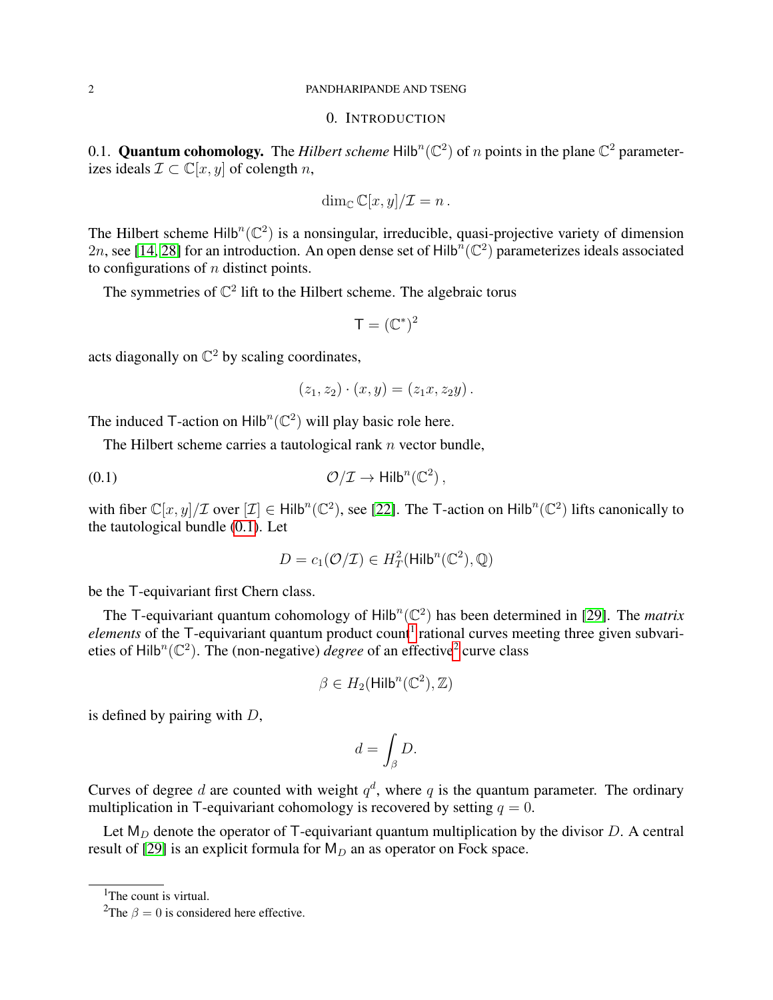#### <span id="page-1-0"></span>2 PANDHARIPANDE AND TSENG

# 0. INTRODUCTION

0.1. **Quantum cohomology.** The *Hilbert scheme*  $Hilb<sup>n</sup>(\mathbb{C}^2)$  of *n* points in the plane  $\mathbb{C}^2$  parameterizes ideals  $\mathcal{I} \subset \mathbb{C}[x, y]$  of colength n,

$$
\dim_{\mathbb{C}} \mathbb{C}[x,y]/\mathcal{I} = n.
$$

The Hilbert scheme  $\text{Hilb}^n(\mathbb{C}^2)$  is a nonsingular, irreducible, quasi-projective variety of dimension 2n, see [\[14,](#page-50-4) [28\]](#page-51-2) for an introduction. An open dense set of Hilb<sup>n</sup> ( $\mathbb{C}^2$ ) parameterizes ideals associated to configurations of  $n$  distinct points.

The symmetries of  $\mathbb{C}^2$  lift to the Hilbert scheme. The algebraic torus

$$
\mathsf{T} = (\mathbb{C}^*)^2
$$

acts diagonally on  $\mathbb{C}^2$  by scaling coordinates,

<span id="page-1-1"></span>
$$
(z_1, z_2) \cdot (x, y) = (z_1x, z_2y).
$$

The induced T-action on  $\text{Hilb}^n(\mathbb{C}^2)$  will play basic role here.

The Hilbert scheme carries a tautological rank  $n$  vector bundle,

$$
\mathcal{O}/\mathcal{I} \to \mathsf{Hilb}^n(\mathbb{C}^2)\,,
$$

with fiber  $\mathbb{C}[x,y]/\mathcal{I}$  over  $[\mathcal{I}] \in \mathsf{Hilb}^n(\mathbb{C}^2)$ , see [\[22\]](#page-50-5). The T-action on  $\mathsf{Hilb}^n(\mathbb{C}^2)$  lifts canonically to the tautological bundle [\(0.1\)](#page-1-1). Let

$$
D = c_1(\mathcal{O}/\mathcal{I}) \in H^2_T(\mathsf{Hilb}^n(\mathbb{C}^2), \mathbb{Q})
$$

be the T-equivariant first Chern class.

The T-equivariant quantum cohomology of  $Hilb<sup>n</sup>(\mathbb{C}^2)$  has been determined in [\[29\]](#page-51-0). The *matrix elements* of the T-equivariant quantum product count<sup>[1](#page-1-2)</sup> rational curves meeting three given subvarieties of Hilb<sup>n</sup>( $\mathbb{C}^2$  $\mathbb{C}^2$ ). The (non-negative) *degree* of an effective<sup>2</sup> curve class

$$
\beta \in H_2(\mathsf{Hilb}^n(\mathbb{C}^2), \mathbb{Z})
$$

is defined by pairing with  $D$ ,

$$
d=\int_{\beta}D.
$$

Curves of degree d are counted with weight  $q^d$ , where q is the quantum parameter. The ordinary multiplication in T-equivariant cohomology is recovered by setting  $q = 0$ .

Let  $M_D$  denote the operator of T-equivariant quantum multiplication by the divisor D. A central result of [\[29\]](#page-51-0) is an explicit formula for  $M_D$  an as operator on Fock space.

<span id="page-1-2"></span><sup>1</sup>The count is virtual.

<span id="page-1-3"></span><sup>&</sup>lt;sup>2</sup>The  $\beta = 0$  is considered here effective.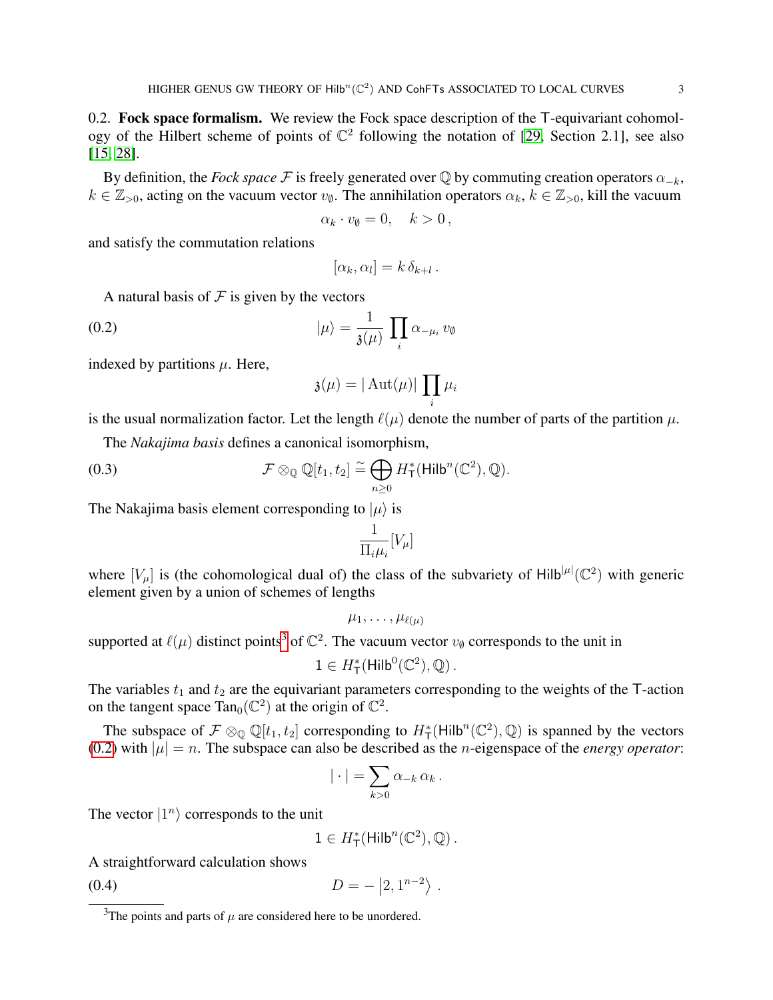<span id="page-2-3"></span>0.2. Fock space formalism. We review the Fock space description of the T-equivariant cohomology of the Hilbert scheme of points of  $\mathbb{C}^2$  following the notation of [\[29,](#page-51-0) Section 2.1], see also [\[15,](#page-50-6) [28\]](#page-51-2).

By definition, the *Fock space* F is freely generated over  $\mathbb Q$  by commuting creation operators  $\alpha_{-k}$ ,  $k \in \mathbb{Z}_{>0}$ , acting on the vacuum vector  $v_{\emptyset}$ . The annihilation operators  $\alpha_k, k \in \mathbb{Z}_{>0}$ , kill the vacuum

$$
\alpha_k \cdot v_{\emptyset} = 0, \quad k > 0 \,,
$$

and satisfy the commutation relations

<span id="page-2-1"></span>
$$
[\alpha_k, \alpha_l] = k \, \delta_{k+l} \, .
$$

A natural basis of  $\mathcal F$  is given by the vectors

(0.2) 
$$
|\mu\rangle = \frac{1}{\mathfrak{z}(\mu)} \prod_{i} \alpha_{-\mu_i} v_{\emptyset}
$$

indexed by partitions  $\mu$ . Here,

$$
\mathfrak{z}(\mu)=|\operatorname{Aut}(\mu)|\,\prod_i\mu_i
$$

is the usual normalization factor. Let the length  $\ell(\mu)$  denote the number of parts of the partition  $\mu$ .

The *Nakajima basis* defines a canonical isomorphism,

(0.3) 
$$
\mathcal{F} \otimes_{\mathbb{Q}} \mathbb{Q}[t_1, t_2] \cong \bigoplus_{n \geq 0} H_{\mathsf{T}}^*(\mathsf{Hilb}^n(\mathbb{C}^2), \mathbb{Q}).
$$

The Nakajima basis element corresponding to  $|\mu\rangle$  is

$$
\frac{1}{\Pi_i \mu_i} [V_\mu]
$$

where  $[V_\mu]$  is (the cohomological dual of) the class of the subvariety of Hilb $|\mu|(\mathbb{C}^2)$  with generic element given by a union of schemes of lengths

$$
\mu_1,\ldots,\mu_{\ell(\mu)}
$$

supported at  $\ell(\mu)$  distinct points<sup>[3](#page-2-0)</sup> of  $\mathbb{C}^2$ . The vacuum vector  $v_{\emptyset}$  corresponds to the unit in

$$
1 \in H^*_{\mathsf{T}}(\mathsf{Hilb}^0(\mathbb{C}^2), \mathbb{Q})\,.
$$

The variables  $t_1$  and  $t_2$  are the equivariant parameters corresponding to the weights of the T-action on the tangent space Tan<sub>0</sub>( $\mathbb{C}^2$ ) at the origin of  $\mathbb{C}^2$ .

The subspace of  $\mathcal{F} \otimes_{\mathbb{Q}} \mathbb{Q}[t_1, t_2]$  corresponding to  $H^*_{\mathsf{T}}(\mathsf{Hilb}^n(\mathbb{C}^2), \mathbb{Q})$  is spanned by the vectors [\(0.2\)](#page-2-1) with  $|\mu| = n$ . The subspace can also be described as the *n*-eigenspace of the *energy operator*:

$$
|\cdot| = \sum_{k>0} \alpha_{-k} \alpha_k.
$$

The vector  $|1^n\rangle$  corresponds to the unit

<span id="page-2-2"></span> $1 \in H^*_\mathsf{T}(\mathsf{Hilb}^n(\mathbb{C}^2), \mathbb{Q})$ .

A straightforward calculation shows

$$
(0.4) \t\t D = - |2, 1^{n-2} \rangle .
$$

<span id="page-2-0"></span><sup>&</sup>lt;sup>3</sup>The points and parts of  $\mu$  are considered here to be unordered.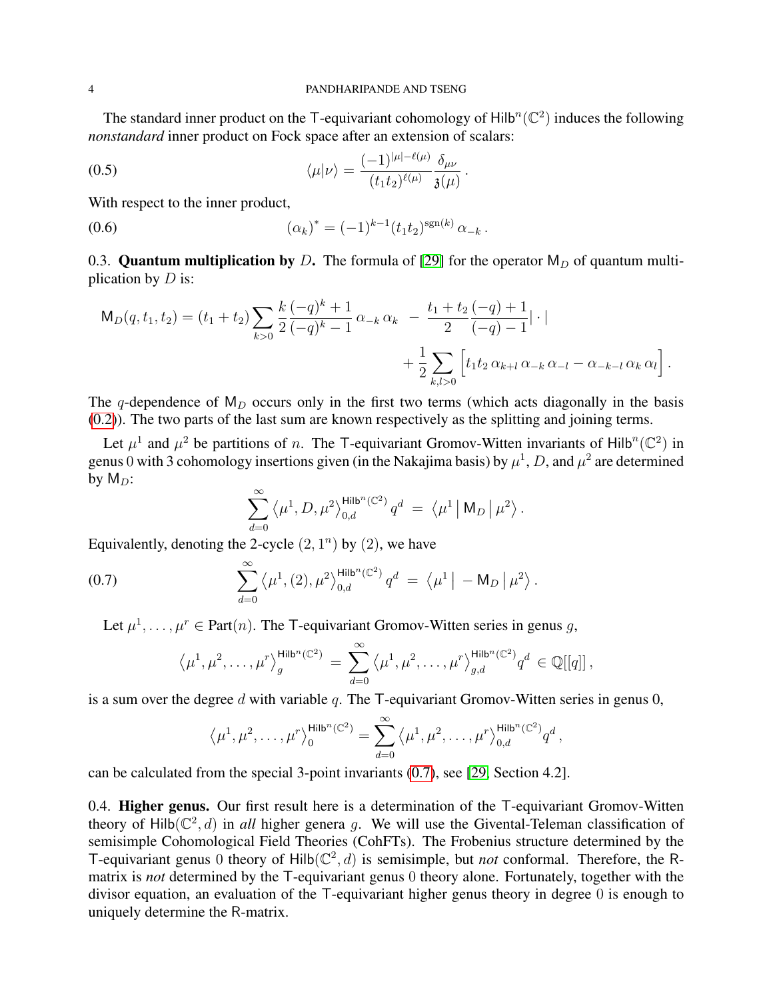The standard inner product on the T-equivariant cohomology of  $\text{Hilb}^n(\mathbb{C}^2)$  induces the following *nonstandard* inner product on Fock space after an extension of scalars:

<span id="page-3-1"></span>(0.5) 
$$
\langle \mu | \nu \rangle = \frac{(-1)^{|\mu| - \ell(\mu)}}{(t_1 t_2)^{\ell(\mu)}} \frac{\delta_{\mu\nu}}{\mathfrak{z}(\mu)}.
$$

With respect to the inner product,

(0.6) 
$$
(\alpha_k)^* = (-1)^{k-1} (t_1 t_2)^{\text{sgn}(k)} \alpha_{-k}.
$$

0.3. **Quantum multiplication by** D. The formula of [\[29\]](#page-51-0) for the operator  $M_D$  of quantum multiplication by  $D$  is:

$$
\mathsf{M}_{D}(q, t_1, t_2) = (t_1 + t_2) \sum_{k>0} \frac{k}{2} \frac{(-q)^k + 1}{(-q)^k - 1} \alpha_{-k} \alpha_k - \frac{t_1 + t_2}{2} \frac{(-q) + 1}{(-q) - 1} |\cdot| + \frac{1}{2} \sum_{k,l>0} \left[ t_1 t_2 \alpha_{k+l} \alpha_{-k} \alpha_{-l} - \alpha_{-k-l} \alpha_k \alpha_l \right].
$$

The q-dependence of  $M_D$  occurs only in the first two terms (which acts diagonally in the basis [\(0.2\)](#page-2-1)). The two parts of the last sum are known respectively as the splitting and joining terms.

Let  $\mu^1$  and  $\mu^2$  be partitions of n. The T-equivariant Gromov-Witten invariants of Hilb<sup>n</sup>( $\mathbb{C}^2$ ) in genus 0 with 3 cohomology insertions given (in the Nakajima basis) by  $\mu^1$ , D, and  $\mu^2$  are determined by  $M_D$ :

<span id="page-3-0"></span>
$$
\sum_{d=0}^\infty \left\langle \mu^1,D,\mu^2\right\rangle_{0,d}^{\mathsf{Hilb}^n(\mathbb{C}^2)} q^d \;=\; \left\langle \mu^1\left|\right. \mathsf{M}_D\left|\right.\mu^2\right\rangle.
$$

Equivalently, denoting the 2-cycle  $(2, 1^n)$  by  $(2)$ , we have

(0.7) 
$$
\sum_{d=0}^{\infty} \langle \mu^1, (2), \mu^2 \rangle_{0,d}^{\text{Hilb}^n(\mathbb{C}^2)} q^d = \langle \mu^1 | - \mathsf{M}_D | \mu^2 \rangle.
$$

Let  $\mu^1, \ldots, \mu^r \in \text{Part}(n)$ . The T-equivariant Gromov-Witten series in genus g,

$$
\left\langle \mu^1, \mu^2, \ldots, \mu^r \right\rangle_{g}^{\mathsf{Hilb}^n(\mathbb{C}^2)} = \sum_{d=0}^{\infty} \left\langle \mu^1, \mu^2, \ldots, \mu^r \right\rangle_{g,d}^{\mathsf{Hilb}^n(\mathbb{C}^2)} q^d \in \mathbb{Q}[[q]]\,,
$$

is a sum over the degree d with variable q. The  $\mathsf T$ -equivariant Gromov-Witten series in genus 0,

$$
\left\langle \mu^1, \mu^2, \ldots, \mu^r \right\rangle_0^{\text{Hilb}^n(\mathbb{C}^2)} = \sum_{d=0}^{\infty} \left\langle \mu^1, \mu^2, \ldots, \mu^r \right\rangle_{0,d}^{\text{Hilb}^n(\mathbb{C}^2)} q^d,
$$

can be calculated from the special 3-point invariants [\(0.7\)](#page-3-0), see [\[29,](#page-51-0) Section 4.2].

0.4. Higher genus. Our first result here is a determination of the T-equivariant Gromov-Witten theory of  $Hilb(\mathbb{C}^2, d)$  in *all* higher genera g. We will use the Givental-Teleman classification of semisimple Cohomological Field Theories (CohFTs). The Frobenius structure determined by the T-equivariant genus 0 theory of  $Hilb(\mathbb{C}^2, d)$  is semisimple, but *not* conformal. Therefore, the Rmatrix is *not* determined by the T-equivariant genus 0 theory alone. Fortunately, together with the divisor equation, an evaluation of the T-equivariant higher genus theory in degree 0 is enough to uniquely determine the R-matrix.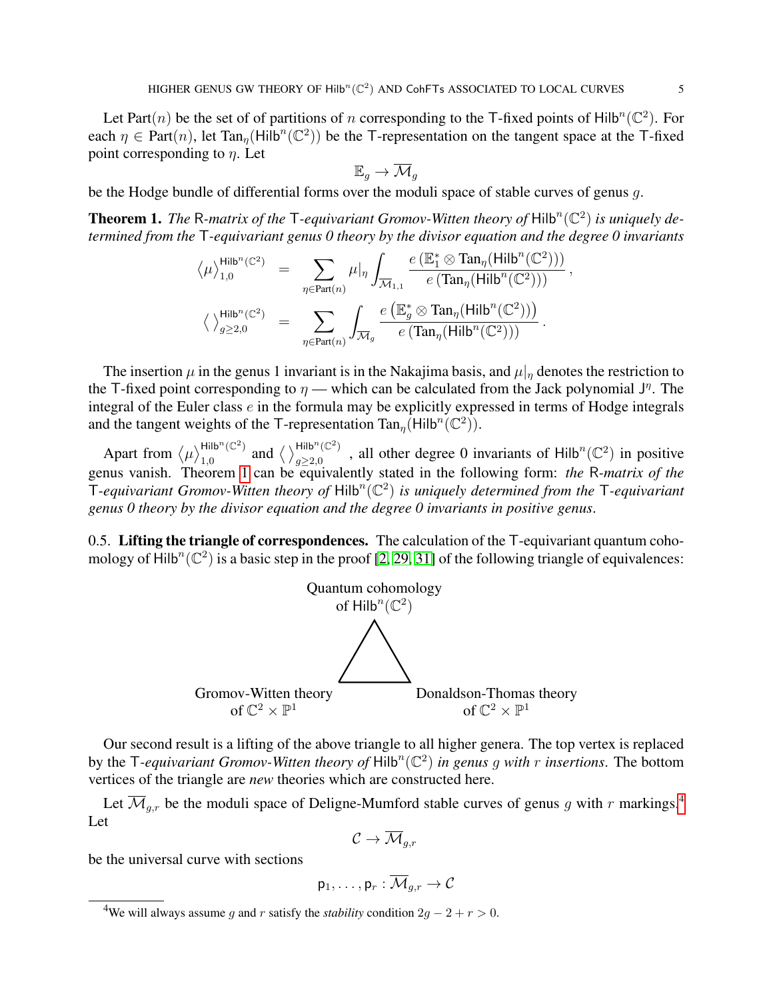Let Part $(n)$  be the set of of partitions of n corresponding to the T-fixed points of Hilb<sup>n</sup> $(\mathbb{C}^2)$ . For each  $\eta \in Part(n)$ , let Tan<sub> $\eta$ </sub>(Hilb<sup>n</sup>(C<sup>2</sup>)) be the T-representation on the tangent space at the T-fixed point corresponding to  $\eta$ . Let

$$
\mathbb{E}_g \to \overline{\mathcal{M}}_g
$$

be the Hodge bundle of differential forms over the moduli space of stable curves of genus g.

<span id="page-4-0"></span>**Theorem 1.** The R-matrix of the T-equivariant Gromov-Witten theory of  $Hilb^{n}(\mathbb{C}^{2})$  is uniquely de*termined from the* T*-equivariant genus 0 theory by the divisor equation and the degree 0 invariants*

$$
\begin{array}{rcl} \displaystyle \left\langle \mu \right\rangle_{1,0}^{\mathsf{Hilb}^n(\mathbb{C}^2)} & = & \displaystyle \sum_{\eta \in \mathrm{Part}(n)} \mu|_{\eta} \int_{\overline{\mathcal{M}}_{1,1}} \frac{e\left(\mathbb{E}_1^* \otimes \mathrm{Tan}_{\eta}(\mathrm{Hilb}^n(\mathbb{C}^2))\right)}{e\left(\mathrm{Tan}_{\eta}(\mathrm{Hilb}^n(\mathbb{C}^2))\right)} \, , \\[10pt] \displaystyle \left\langle \, \right\rangle_{g \geq 2,0}^{\mathsf{Hilb}^n(\mathbb{C}^2)} & = & \displaystyle \sum_{\eta \in \mathrm{Part}(n)} \int_{\overline{\mathcal{M}}_g} \frac{e\left(\mathbb{E}_g^* \otimes \mathrm{Tan}_{\eta}(\mathrm{Hilb}^n(\mathbb{C}^2))\right)}{e\left(\mathrm{Tan}_{\eta}(\mathrm{Hilb}^n(\mathbb{C}^2))\right)} \, . \end{array}
$$

The insertion  $\mu$  in the genus 1 invariant is in the Nakajima basis, and  $\mu|_n$  denotes the restriction to the T-fixed point corresponding to  $\eta$  — which can be calculated from the Jack polynomial  $J^{\eta}$ . The integral of the Euler class e in the formula may be explicitly expressed in terms of Hodge integrals and the tangent weights of the T-representation  $\text{Tan}_{\eta}(\text{Hilb}^n(\mathbb{C}^2)).$ 

Apart from  $\langle \mu \rangle_{1,0}^{\mathsf{Hilb}^n(\mathbb{C}^2)}$  $lim_{1,0}^{n}$  (C<sup>2</sup>) and  $\langle \ \rangle_{g\geq 2,0}^{Hilb^{n}$  (C<sup>2</sup>)  $g_{\geq 2,0}^{Hilb^{n}(\mathbb{C}^{2})}$ , all other degree 0 invariants of Hilb<sup>n</sup>( $\mathbb{C}^{2}$ ) in positive genus vanish. Theorem [1](#page-4-0) can be equivalently stated in the following form: *the* R*-matrix of the*  $\mathsf{T}\text{-}$ *equivariant Gromov-Witten theory of*  $\mathsf{Hilb}^n(\mathbb C^2)$  *is uniquely determined from the*  $\mathsf{T}\text{-}$ *equivariant genus 0 theory by the divisor equation and the degree 0 invariants in positive genus*.

<span id="page-4-2"></span>0.5. Lifting the triangle of correspondences. The calculation of the  $\mathsf{T}\text{-}\mathsf{equivariant}$  quantum cohomology of Hilb<sup>n</sup>( $\mathbb{C}^2$ ) is a basic step in the proof [\[2,](#page-50-7) [29,](#page-51-0) [31\]](#page-51-3) of the following triangle of equivalences:



Our second result is a lifting of the above triangle to all higher genera. The top vertex is replaced by the T-equivariant Gromov-Witten theory of  $\text{Hilb}^n(\mathbb{C}^2)$  in genus g with r insertions. The bottom vertices of the triangle are *new* theories which are constructed here.

Let  $\overline{\mathcal{M}}_{q,r}$  be the moduli space of Deligne-Mumford stable curves of genus g with r markings.<sup>[4](#page-4-1)</sup> Let

$$
\mathcal{C} \to \overline{\mathcal{M}}_{g,r}
$$

be the universal curve with sections

$$
\mathsf{p}_1,\ldots,\mathsf{p}_r:\overline{\mathcal{M}}_{g,r}\to\mathcal{C}
$$

<span id="page-4-1"></span><sup>&</sup>lt;sup>4</sup>We will always assume q and r satisfy the *stability* condition  $2q - 2 + r > 0$ .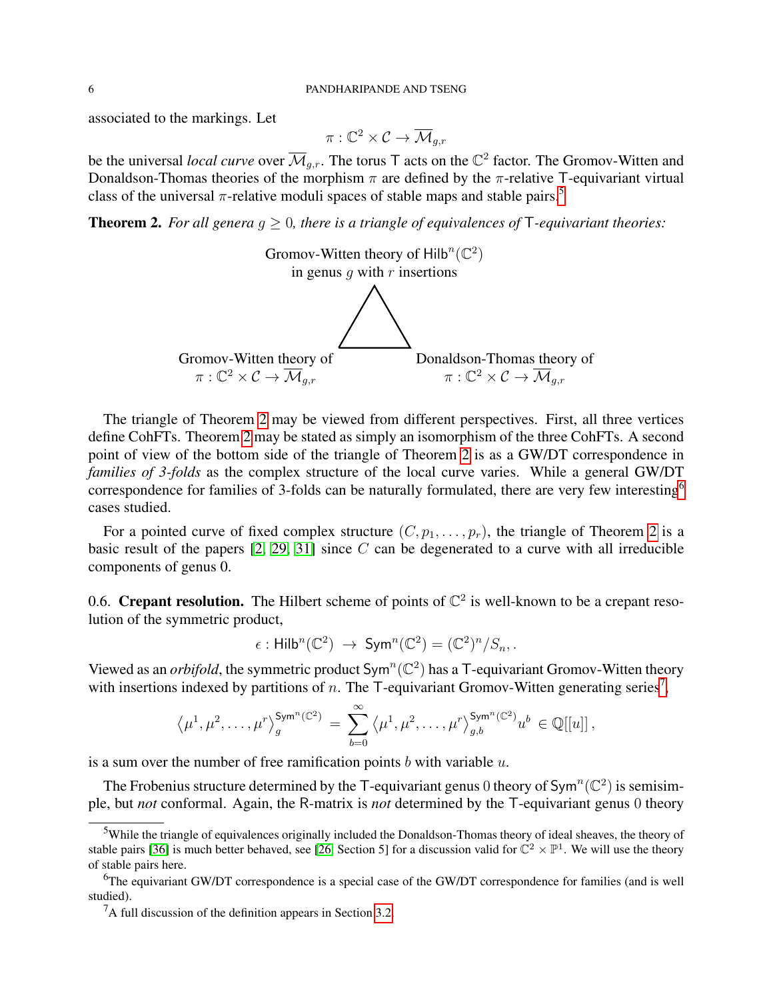associated to the markings. Let

$$
\pi:\mathbb{C}^2\times\mathcal{C}\to\overline{\mathcal{M}}_{g,r}
$$

be the universal *local curve* over  $\overline{\mathcal{M}}_{g,r}$ . The torus T acts on the  $\mathbb{C}^2$  factor. The Gromov-Witten and Donaldson-Thomas theories of the morphism  $\pi$  are defined by the  $\pi$ -relative T-equivariant virtual class of the universal  $\pi$ -relative moduli spaces of stable maps and stable pairs.<sup>[5](#page-5-0)</sup>

<span id="page-5-1"></span>**Theorem 2.** For all genera  $g \geq 0$ , there is a triangle of equivalences of  $\mathsf{T}$ -equivariant theories:



The triangle of Theorem [2](#page-5-1) may be viewed from different perspectives. First, all three vertices define CohFTs. Theorem [2](#page-5-1) may be stated as simply an isomorphism of the three CohFTs. A second point of view of the bottom side of the triangle of Theorem [2](#page-5-1) is as a GW/DT correspondence in *families of 3-folds* as the complex structure of the local curve varies. While a general GW/DT correspondence for families of 3-folds can be naturally formulated, there are very few interesting<sup>[6](#page-5-2)</sup> cases studied.

For a pointed curve of fixed complex structure  $(C, p_1, \ldots, p_r)$ , the triangle of Theorem [2](#page-5-1) is a basic result of the papers  $[2, 29, 31]$  $[2, 29, 31]$  $[2, 29, 31]$  since C can be degenerated to a curve with all irreducible components of genus 0.

0.6. Crepant resolution. The Hilbert scheme of points of  $\mathbb{C}^2$  is well-known to be a crepant resolution of the symmetric product,

$$
\epsilon: \mathsf{Hilb}^n(\mathbb{C}^2) \; \to \; \mathsf{Sym}^n(\mathbb{C}^2) = (\mathbb{C}^2)^n / S_n.
$$

Viewed as an *orbifold*, the symmetric product  $Sym^n(\mathbb{C}^2)$  has a T-equivariant Gromov-Witten theory with insertions indexed by partitions of n. The T-equivariant Gromov-Witten generating series<sup>[7](#page-5-3)</sup>,

$$
\langle \mu^1, \mu^2, \dots, \mu^r \rangle_{g}^{\mathsf{Sym}^n(\mathbb{C}^2)} = \sum_{b=0}^{\infty} \langle \mu^1, \mu^2, \dots, \mu^r \rangle_{g,b}^{\mathsf{Sym}^n(\mathbb{C}^2)} u^b \in \mathbb{Q}[[u]],
$$

is a sum over the number of free ramification points  $b$  with variable  $u$ .

The Frobenius structure determined by the T-equivariant genus 0 theory of  $\text{Sym}^n(\mathbb{C}^2)$  is semisimple, but *not* conformal. Again, the R-matrix is *not* determined by the T-equivariant genus 0 theory

<span id="page-5-0"></span><sup>&</sup>lt;sup>5</sup>While the triangle of equivalences originally included the Donaldson-Thomas theory of ideal sheaves, the theory of stable pairs [\[36\]](#page-51-4) is much better behaved, see [\[26,](#page-51-5) Section 5] for a discussion valid for  $\mathbb{C}^2 \times \mathbb{P}^1$ . We will use the theory of stable pairs here.

<span id="page-5-2"></span><sup>&</sup>lt;sup>6</sup>The equivariant GW/DT correspondence is a special case of the GW/DT correspondence for families (and is well studied).

<span id="page-5-3"></span> ${}^{7}$ A full discussion of the definition appears in Section [3.2.](#page-20-0)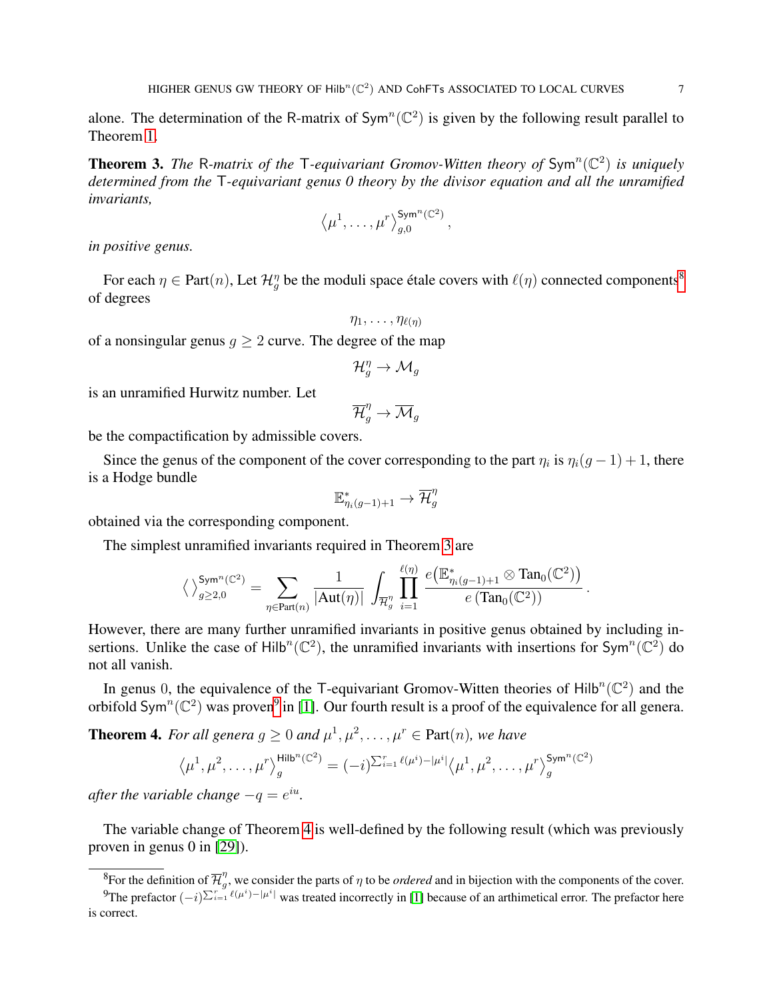alone. The determination of the R-matrix of  $Sym<sup>n</sup>(\mathbb{C}<sup>2</sup>)$  is given by the following result parallel to Theorem [1.](#page-4-0)

<span id="page-6-1"></span>**Theorem 3.** The R-matrix of the T-equivariant Gromov-Witten theory of  $Sym<sup>n</sup>(\mathbb{C}^2)$  is uniquely *determined from the* T*-equivariant genus 0 theory by the divisor equation and all the unramified invariants,*

$$
\langle \mu^1, \ldots, \mu^r \rangle_{g,0}^{\mathsf{Sym}^n(\mathbb{C}^2)}
$$

,

*in positive genus.*

For each  $\eta \in$  Part $(n)$ , Let  $\mathcal{H}^{\eta}_g$  be the moduli space étale covers with  $\ell(\eta)$  connected components<sup>[8](#page-6-0)</sup> of degrees

$$
\eta_1,\ldots,\eta_{\ell(\eta)}
$$

of a nonsingular genus  $q \ge 2$  curve. The degree of the map

$$
\mathcal{H}^\eta_g \to \mathcal{M}_g
$$

is an unramified Hurwitz number. Let

$$
\overline{\mathcal{H}}_g^{\eta} \to \overline{\mathcal{M}}_g
$$

be the compactification by admissible covers.

Since the genus of the component of the cover corresponding to the part  $\eta_i$  is  $\eta_i(g-1)+1$ , there is a Hodge bundle

$$
\mathbb{E}^{*}_{\eta_{i}(g-1)+1} \to \overline{\mathcal{H}}^{\eta}_{g}
$$

obtained via the corresponding component.

The simplest unramified invariants required in Theorem [3](#page-6-1) are

$$
\left\langle \ \right\rangle_{g\geq 2,0}^{\mathsf{Sym}^n(\mathbb{C}^2)}=\sum_{\eta\in\mathsf{Part}(n)}\frac{1}{|\mathrm{Aut}(\eta)|}\,\int_{\overline{\mathcal{H}}_g^n}\,\prod_{i=1}^{\ell(\eta)}\,\frac{e\big(\mathbb{E}_{\eta_i(g-1)+1}^*\otimes\mathrm{Tan}_0(\mathbb{C}^2)\big)}{e\left(\mathrm{Tan}_0(\mathbb{C}^2)\right)}\,.
$$

However, there are many further unramified invariants in positive genus obtained by including insertions. Unlike the case of Hilb<sup>n</sup>( $\mathbb{C}^2$ ), the unramified invariants with insertions for Sym<sup>n</sup>( $\mathbb{C}^2$ ) do not all vanish.

In genus 0, the equivalence of the T-equivariant Gromov-Witten theories of  $Hilb^{n}(\mathbb{C}^{2})$  and the orbifold Sym<sup>n</sup>( $\mathbb{C}^2$ ) was proven<sup>[9](#page-6-2)</sup> in [\[1\]](#page-50-0). Our fourth result is a proof of the equivalence for all genera.

<span id="page-6-3"></span>**Theorem 4.** For all genera  $g \geq 0$  and  $\mu^1, \mu^2, \ldots, \mu^r \in \text{Part}(n)$ , we have

$$
\langle \mu^1, \mu^2, \dots, \mu^r \rangle_{g}^{\mathsf{Hilb}^n(\mathbb{C}^2)} = (-i)^{\sum_{i=1}^r \ell(\mu^i) - |\mu^i|} \langle \mu^1, \mu^2, \dots, \mu^r \rangle_{g}^{\mathsf{Sym}^n(\mathbb{C}^2)}
$$

*after the variable change*  $-q = e^{iu}$ .

The variable change of Theorem [4](#page-6-3) is well-defined by the following result (which was previously proven in genus 0 in [\[29\]](#page-51-0)).

<span id="page-6-2"></span><span id="page-6-0"></span><sup>&</sup>lt;sup>8</sup>For the definition of  $\overline{\mathcal{H}}_a^{\eta}$  $g''$ , we consider the parts of  $\eta$  to be *ordered* and in bijection with the components of the cover.

<sup>&</sup>lt;sup>9</sup>The prefactor  $(-i)^{\sum_{i=1}^{r} \ell(\mu^i)-|\mu^i|}$  was treated incorrectly in [\[1\]](#page-50-0) because of an arthimetical error. The prefactor here is correct.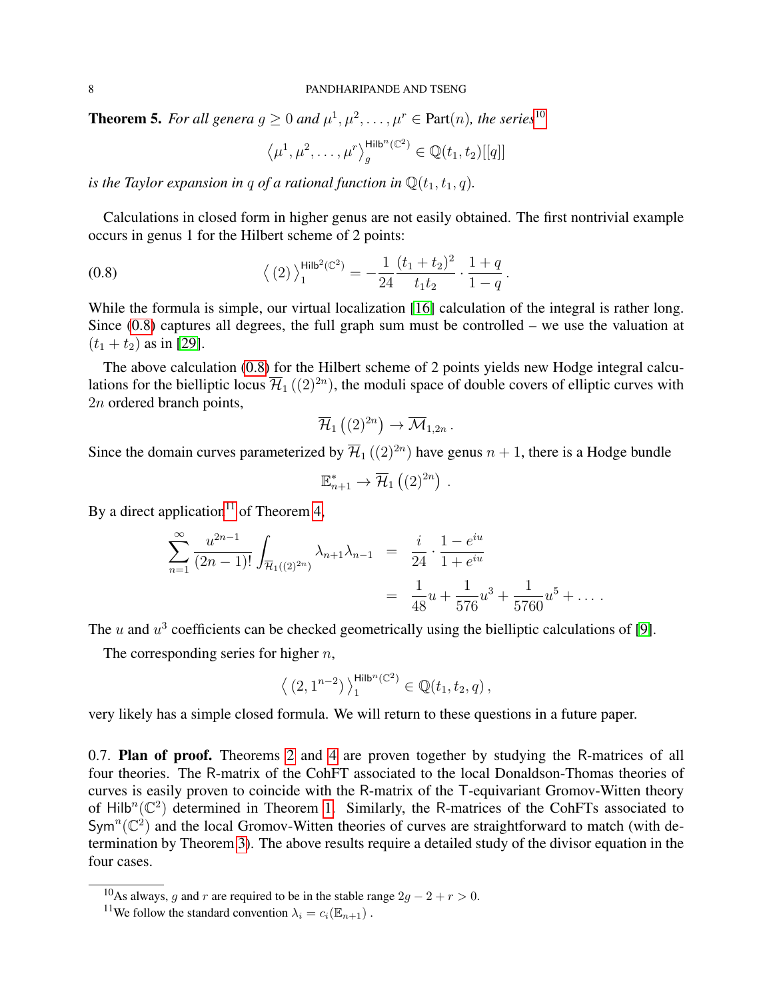<span id="page-7-3"></span>**Theorem 5.** For all genera  $g \ge 0$  and  $\mu^1, \mu^2, \ldots, \mu^r \in$  Part $(n)$ , the series<sup>[10](#page-7-0)</sup>

<span id="page-7-1"></span>
$$
\langle \mu^1, \mu^2, \dots, \mu^r \rangle_{g}^{\mathsf{Hilb}^n(\mathbb{C}^2)} \in \mathbb{Q}(t_1, t_2)[[q]]
$$

*is the Taylor expansion in q of a rational function in*  $\mathbb{Q}(t_1, t_1, q)$ *.* 

Calculations in closed form in higher genus are not easily obtained. The first nontrivial example occurs in genus 1 for the Hilbert scheme of 2 points:

(0.8) 
$$
\left\langle (2) \right\rangle_1^{\text{Hilb}^2(\mathbb{C}^2)} = -\frac{1}{24} \frac{(t_1 + t_2)^2}{t_1 t_2} \cdot \frac{1 + q}{1 - q}.
$$

While the formula is simple, our virtual localization [\[16\]](#page-50-8) calculation of the integral is rather long. Since [\(0.8\)](#page-7-1) captures all degrees, the full graph sum must be controlled – we use the valuation at  $(t_1 + t_2)$  as in [\[29\]](#page-51-0).

The above calculation [\(0.8\)](#page-7-1) for the Hilbert scheme of 2 points yields new Hodge integral calculations for the bielliptic locus  $\overline{\mathcal{H}}_1\left((2)^{2n}\right)$ , the moduli space of double covers of elliptic curves with 2n ordered branch points,

$$
\overline{\mathcal{H}}_1\left((2)^{2n}\right) \to \overline{\mathcal{M}}_{1,2n} .
$$

Since the domain curves parameterized by  $\overline{\mathcal{H}}_1((2)^{2n})$  have genus  $n+1$ , there is a Hodge bundle

$$
\mathbb{E}_{n+1}^* \to \overline{\mathcal{H}}_1\left((2)^{2n}\right) .
$$

By a direct application<sup>[11](#page-7-2)</sup> of Theorem [4,](#page-6-3)

$$
\sum_{n=1}^{\infty} \frac{u^{2n-1}}{(2n-1)!} \int_{\overline{\mathcal{H}}_1((2)^{2n})} \lambda_{n+1} \lambda_{n-1} = \frac{i}{24} \cdot \frac{1 - e^{iu}}{1 + e^{iu}}
$$
  
=  $\frac{1}{48}u + \frac{1}{576}u^3 + \frac{1}{5760}u^5 + \dots$ 

The u and  $u^3$  coefficients can be checked geometrically using the bielliptic calculations of [\[9\]](#page-50-9).

The corresponding series for higher  $n$ ,

$$
\left\langle \left(2, 1^{n-2}\right) \right\rangle^{\mathrm{Hilb}^n(\mathbb{C}^2)}_1 \in \mathbb{Q}(t_1, t_2, q) \, ,
$$

very likely has a simple closed formula. We will return to these questions in a future paper.

0.7. Plan of proof. Theorems [2](#page-5-1) and [4](#page-6-3) are proven together by studying the R-matrices of all four theories. The R-matrix of the CohFT associated to the local Donaldson-Thomas theories of curves is easily proven to coincide with the R-matrix of the T-equivariant Gromov-Witten theory of Hilb<sup>n</sup>( $\mathbb{C}^2$ ) determined in Theorem [1.](#page-4-0) Similarly, the R-matrices of the CohFTs associated to Sym<sup>n</sup>( $\mathbb{C}^2$ ) and the local Gromov-Witten theories of curves are straightforward to match (with determination by Theorem [3\)](#page-6-1). The above results require a detailed study of the divisor equation in the four cases.

<span id="page-7-0"></span><sup>&</sup>lt;sup>10</sup>As always, g and r are required to be in the stable range  $2g - 2 + r > 0$ .

<span id="page-7-2"></span><sup>&</sup>lt;sup>11</sup>We follow the standard convention  $\lambda_i = c_i(\mathbb{E}_{n+1})$ .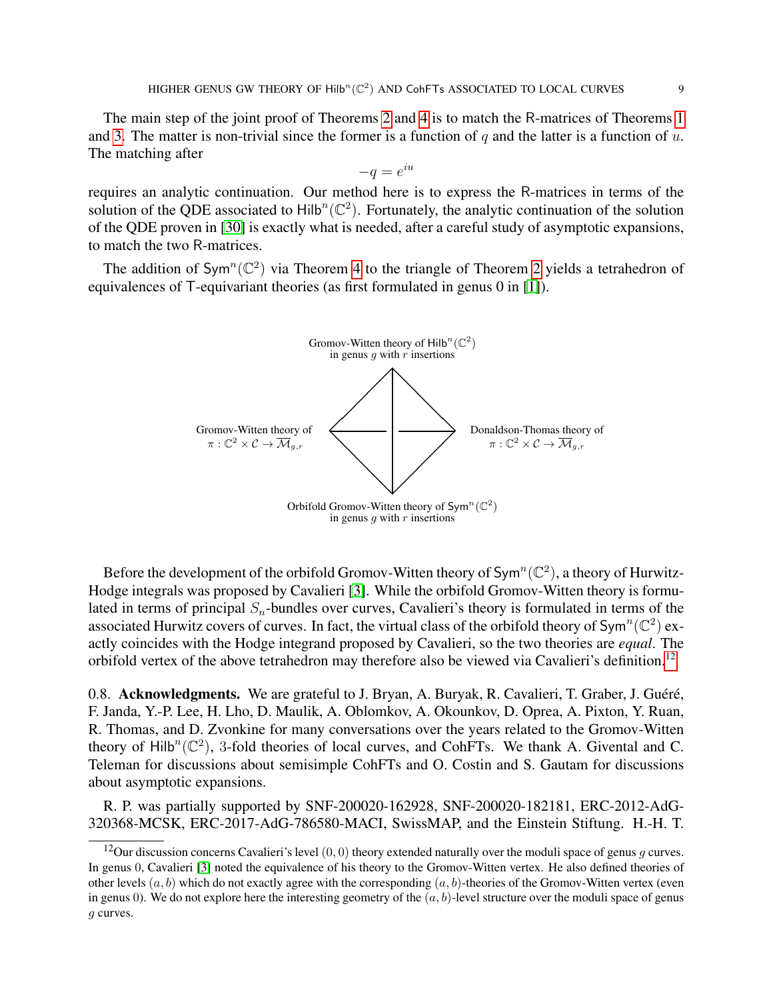The main step of the joint proof of Theorems [2](#page-5-1) and [4](#page-6-3) is to match the R-matrices of Theorems [1](#page-4-0) and [3.](#page-6-1) The matter is non-trivial since the former is a function of q and the latter is a function of  $u$ . The matching after

$$
-q = e^{iu}
$$

requires an analytic continuation. Our method here is to express the R-matrices in terms of the solution of the QDE associated to  $Hilb^{n}(\mathbb{C}^{2})$ . Fortunately, the analytic continuation of the solution of the QDE proven in [\[30\]](#page-51-1) is exactly what is needed, after a careful study of asymptotic expansions, to match the two R-matrices.

The addition of Sym<sup>n</sup>( $\mathbb{C}^2$ ) via Theorem [4](#page-6-3) to the triangle of Theorem [2](#page-5-1) yields a tetrahedron of equivalences of T-equivariant theories (as first formulated in genus 0 in [\[1\]](#page-50-0)).



Before the development of the orbifold Gromov-Witten theory of  $\text{Sym}^n(\mathbb{C}^2)$ , a theory of Hurwitz-Hodge integrals was proposed by Cavalieri [\[3\]](#page-50-10). While the orbifold Gromov-Witten theory is formulated in terms of principal  $S_n$ -bundles over curves, Cavalieri's theory is formulated in terms of the associated Hurwitz covers of curves. In fact, the virtual class of the orbifold theory of  $Sym^n(\mathbb{C}^2)$  exactly coincides with the Hodge integrand proposed by Cavalieri, so the two theories are *equal*. The orbifold vertex of the above tetrahedron may therefore also be viewed via Cavalieri's definition.<sup>[12](#page-8-0)</sup>

0.8. Acknowledgments. We are grateful to J. Bryan, A. Buryak, R. Cavalieri, T. Graber, J. Guéré, F. Janda, Y.-P. Lee, H. Lho, D. Maulik, A. Oblomkov, A. Okounkov, D. Oprea, A. Pixton, Y. Ruan, R. Thomas, and D. Zvonkine for many conversations over the years related to the Gromov-Witten theory of  $Hilb^{n}(\mathbb{C}^{2})$ , 3-fold theories of local curves, and CohFTs. We thank A. Givental and C. Teleman for discussions about semisimple CohFTs and O. Costin and S. Gautam for discussions about asymptotic expansions.

R. P. was partially supported by SNF-200020-162928, SNF-200020-182181, ERC-2012-AdG-320368-MCSK, ERC-2017-AdG-786580-MACI, SwissMAP, and the Einstein Stiftung. H.-H. T.

<span id="page-8-0"></span><sup>&</sup>lt;sup>12</sup>Our discussion concerns Cavalieri's level  $(0, 0)$  theory extended naturally over the moduli space of genus g curves. In genus 0, Cavalieri [\[3\]](#page-50-10) noted the equivalence of his theory to the Gromov-Witten vertex. He also defined theories of other levels  $(a, b)$  which do not exactly agree with the corresponding  $(a, b)$ -theories of the Gromov-Witten vertex (even in genus 0). We do not explore here the interesting geometry of the  $(a, b)$ -level structure over the moduli space of genus g curves.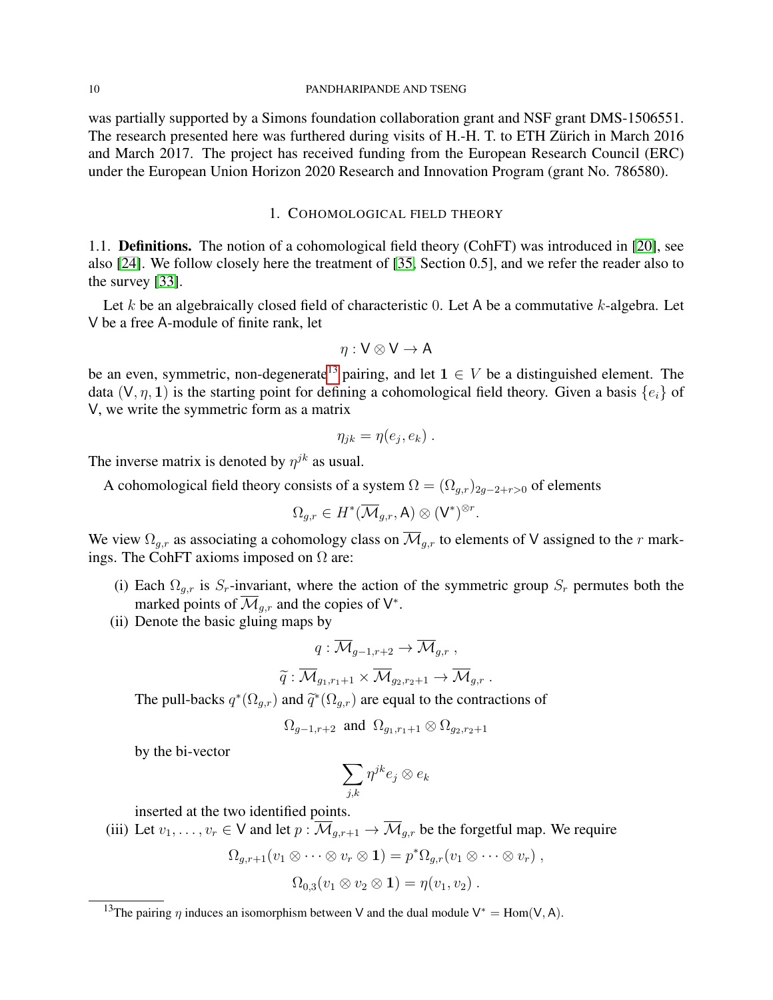#### 10 PANDHARIPANDE AND TSENG

was partially supported by a Simons foundation collaboration grant and NSF grant DMS-1506551. The research presented here was furthered during visits of H.-H. T. to ETH Zürich in March 2016 and March 2017. The project has received funding from the European Research Council (ERC) under the European Union Horizon 2020 Research and Innovation Program (grant No. 786580).

#### 1. COHOMOLOGICAL FIELD THEORY

<span id="page-9-0"></span>1.1. Definitions. The notion of a cohomological field theory (CohFT) was introduced in [\[20\]](#page-50-11), see also [\[24\]](#page-50-12). We follow closely here the treatment of [\[35,](#page-51-6) Section 0.5], and we refer the reader also to the survey [\[33\]](#page-51-7).

Let  $k$  be an algebraically closed field of characteristic 0. Let A be a commutative  $k$ -algebra. Let V be a free A-module of finite rank, let

$$
\eta: V \otimes V \to A
$$

be an even, symmetric, non-degenerate<sup>[13](#page-9-1)</sup> pairing, and let  $1 \in V$  be a distinguished element. The data  $(V, \eta, 1)$  is the starting point for defining a cohomological field theory. Given a basis  $\{e_i\}$  of V, we write the symmetric form as a matrix

$$
\eta_{jk} = \eta(e_j, e_k) .
$$

The inverse matrix is denoted by  $\eta^{jk}$  as usual.

A cohomological field theory consists of a system  $\Omega = (\Omega_{a,r})_{2a-2+r>0}$  of elements

$$
\Omega_{g,r} \in H^*(\overline{\mathcal{M}}_{g,r},\mathsf{A}) \otimes (\mathsf{V}^*)^{\otimes r}.
$$

We view  $\Omega_{g,r}$  as associating a cohomology class on  $\overline{\mathcal{M}}_{g,r}$  to elements of V assigned to the r markings. The CohFT axioms imposed on  $\Omega$  are:

- (i) Each  $\Omega_{g,r}$  is  $S_r$ -invariant, where the action of the symmetric group  $S_r$  permutes both the marked points of  $\overline{\mathcal{M}}_{g,r}$  and the copies of  $\mathsf{V}^*$ .
- (ii) Denote the basic gluing maps by

$$
q:\overline{\mathcal{M}}_{g-1,r+2}\to \overline{\mathcal{M}}_{g,r}\;,
$$

$$
\widetilde{q}: \overline{\mathcal{M}}_{g_1,r_1+1} \times \overline{\mathcal{M}}_{g_2,r_2+1} \to \overline{\mathcal{M}}_{g,r} .
$$

The pull-backs  $q^*(\Omega_{g,r})$  and  $\tilde{q}^*(\Omega_{g,r})$  are equal to the contractions of

$$
\Omega_{g-1,r+2} \text{ and } \Omega_{g_1,r_1+1} \otimes \Omega_{g_2,r_2+1}
$$

by the bi-vector

$$
\sum_{j,k}\eta^{jk}e_j\otimes e_k
$$

inserted at the two identified points.

(iii) Let  $v_1, \ldots, v_r \in V$  and let  $p : \overline{\mathcal{M}}_{q,r+1} \to \overline{\mathcal{M}}_{q,r}$  be the forgetful map. We require

$$
\Omega_{g,r+1}(v_1\otimes\cdots\otimes v_r\otimes 1)=p^*\Omega_{g,r}(v_1\otimes\cdots\otimes v_r)\ ,
$$

 $\Omega_{0,3}(v_1 \otimes v_2 \otimes 1) = \eta(v_1, v_2)$ .

<span id="page-9-1"></span><sup>&</sup>lt;sup>13</sup>The pairing  $\eta$  induces an isomorphism between V and the dual module  $V^* = Hom(V, A)$ .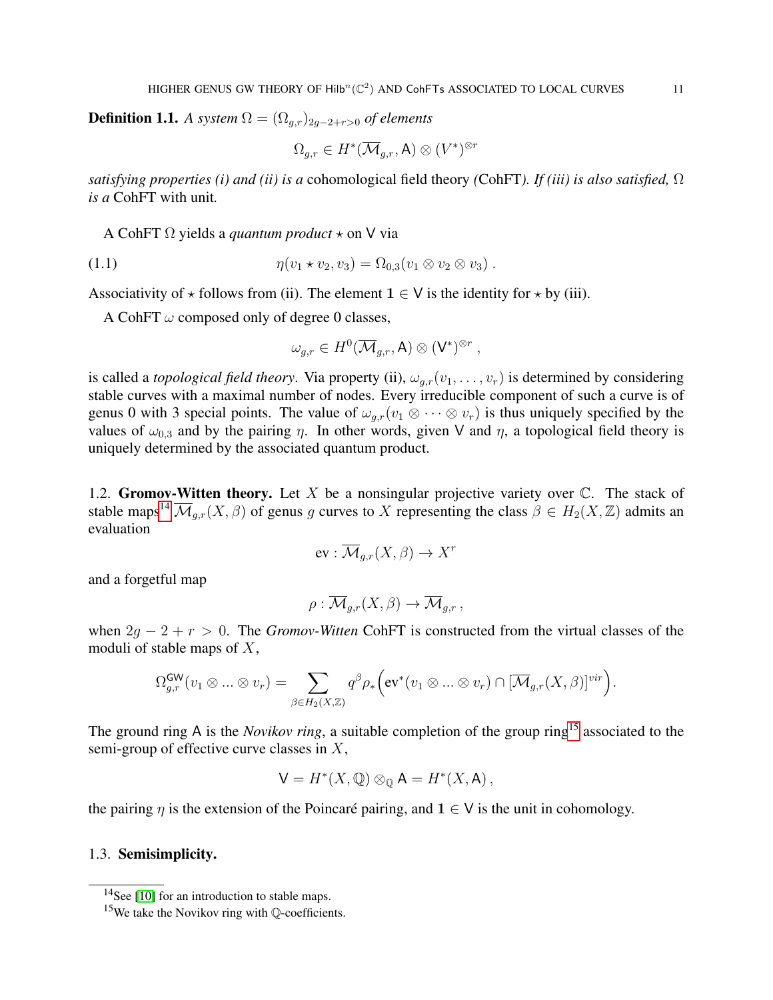**Definition 1.1.** *A system*  $\Omega = (\Omega_{q,r})_{2q-2+r>0}$  *of elements* 

$$
\Omega_{g,r}\in H^*(\overline{\mathcal{M}}_{g,r},\mathsf{A})\otimes (V^*)^{\otimes r}
$$

*satisfying properties (i) and (ii) is a* cohomological field theory *(*CohFT*). If (iii) is also satisfied,* Ω *is a* CohFT with unit*.*

A CohFT  $\Omega$  yields a *quantum product*  $\star$  on V via

(1.1) 
$$
\eta(v_1 * v_2, v_3) = \Omega_{0,3}(v_1 \otimes v_2 \otimes v_3).
$$

Associativity of  $\star$  follows from (ii). The element  $1 \in V$  is the identity for  $\star$  by (iii).

A CohFT  $\omega$  composed only of degree 0 classes,

<span id="page-10-2"></span>
$$
\omega_{g,r} \in H^0(\overline{\mathcal{M}}_{g,r},\mathsf{A}) \otimes (\mathsf{V}^*)^{\otimes r},
$$

is called a *topological field theory*. Via property (ii),  $\omega_{q,r}(v_1, \ldots, v_r)$  is determined by considering stable curves with a maximal number of nodes. Every irreducible component of such a curve is of genus 0 with 3 special points. The value of  $\omega_{q,r}(v_1 \otimes \cdots \otimes v_r)$  is thus uniquely specified by the values of  $\omega_{0,3}$  and by the pairing  $\eta$ . In other words, given V and  $\eta$ , a topological field theory is uniquely determined by the associated quantum product.

1.2. Gromov-Witten theory. Let X be a nonsingular projective variety over  $\mathbb{C}$ . The stack of stable maps<sup>[14](#page-10-0)</sup>  $\overline{\mathcal{M}}_{q,r}(X,\beta)$  of genus g curves to X representing the class  $\beta \in H_2(X,\mathbb{Z})$  admits an evaluation

$$
\text{ev}: \overline{\mathcal{M}}_{g,r}(X,\beta) \to X^r
$$

and a forgetful map

$$
\rho: \overline{\mathcal{M}}_{g,r}(X,\beta) \to \overline{\mathcal{M}}_{g,r},
$$

when  $2g - 2 + r > 0$ . The *Gromov-Witten* CohFT is constructed from the virtual classes of the moduli of stable maps of  $X$ ,

$$
\Omega_{g,r}^{\mathsf{GW}}(v_1 \otimes ... \otimes v_r) = \sum_{\beta \in H_2(X,\mathbb{Z})} q^{\beta} \rho_* \Big( \text{ev}^*(v_1 \otimes ... \otimes v_r) \cap [\overline{\mathcal{M}}_{g,r}(X,\beta)]^{vir} \Big).
$$

The ground ring A is the *Novikov ring*, a suitable completion of the group ring<sup>[15](#page-10-1)</sup> associated to the semi-group of effective curve classes in  $X$ ,

$$
\mathsf{V} = H^*(X, \mathbb{Q}) \otimes_{\mathbb{Q}} \mathsf{A} = H^*(X, \mathsf{A}),
$$

the pairing  $\eta$  is the extension of the Poincaré pairing, and  $1 \in V$  is the unit in cohomology.

1.3. Semisimplicity.

<span id="page-10-0"></span> $14$ See [\[10\]](#page-50-13) for an introduction to stable maps.

<span id="page-10-1"></span><sup>&</sup>lt;sup>15</sup>We take the Novikov ring with  $\mathbb{O}$ -coefficients.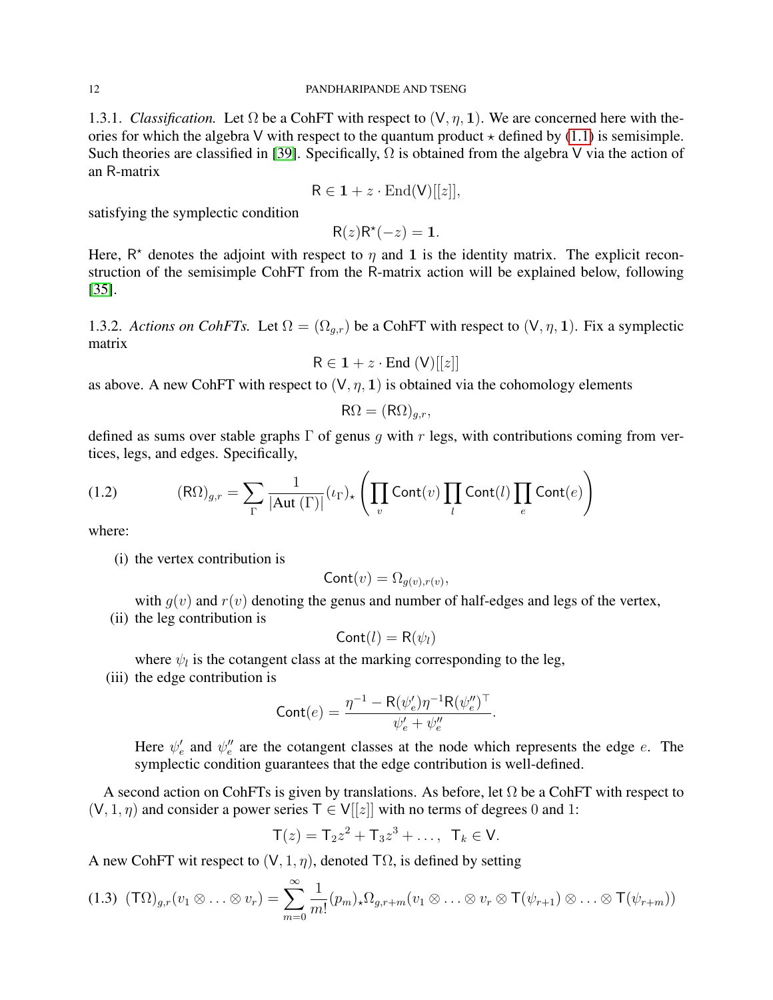1.3.1. *Classification.* Let  $\Omega$  be a CohFT with respect to  $(V, \eta, 1)$ . We are concerned here with theories for which the algebra V with respect to the quantum product  $\star$  defined by [\(1.1\)](#page-10-2) is semisimple. Such theories are classified in [\[39\]](#page-51-8). Specifically,  $\Omega$  is obtained from the algebra V via the action of an R-matrix

$$
R \in \mathbf{1} + z \cdot \text{End}(V)[[z]],
$$

satisfying the symplectic condition

$$
R(z)R^*(-z) = 1.
$$

Here,  $R^*$  denotes the adjoint with respect to  $\eta$  and 1 is the identity matrix. The explicit reconstruction of the semisimple CohFT from the R-matrix action will be explained below, following [\[35\]](#page-51-6).

1.3.2. *Actions on CohFTs.* Let  $\Omega = (\Omega_{q,r})$  be a CohFT with respect to  $(V, \eta, 1)$ . Fix a symplectic matrix

$$
R \in \mathbf{1} + z \cdot \text{End} (V)[[z]]
$$

as above. A new CohFT with respect to  $(V, \eta, 1)$  is obtained via the cohomology elements

$$
\mathsf{R}\Omega = (\mathsf{R}\Omega)_{g,r},
$$

defined as sums over stable graphs  $\Gamma$  of genus q with r legs, with contributions coming from vertices, legs, and edges. Specifically,

(1.2) 
$$
(\text{R}\Omega)_{g,r} = \sum_{\Gamma} \frac{1}{|\text{Aut}(\Gamma)|} (\iota_{\Gamma})_{\star} \left( \prod_{v} \text{Cont}(v) \prod_{l} \text{Cont}(l) \prod_{e} \text{Cont}(e) \right)
$$

where:

(i) the vertex contribution is

$$
Cont(v) = \Omega_{g(v), r(v)},
$$

with  $g(v)$  and  $r(v)$  denoting the genus and number of half-edges and legs of the vertex,

(ii) the leg contribution is

$$
Cont(l) = R(\psi_l)
$$

where  $\psi_l$  is the cotangent class at the marking corresponding to the leg,

(iii) the edge contribution is

$$
\mathrm{Cont}(e) = \frac{\eta^{-1} - \mathrm{R}(\psi_e') \eta^{-1} \mathrm{R}(\psi_e'')^\top}{\psi_e' + \psi_e''}.
$$

Here  $\psi'_e$  and  $\psi''_e$  are the cotangent classes at the node which represents the edge e. The symplectic condition guarantees that the edge contribution is well-defined.

A second action on CohFTs is given by translations. As before, let  $\Omega$  be a CohFT with respect to  $(V, 1, \eta)$  and consider a power series  $T \in V[[z]]$  with no terms of degrees 0 and 1:

$$
T(z) = T_2 z^2 + T_3 z^3 + \dots
$$
,  $T_k \in V$ .

A new CohFT wit respect to  $(V, 1, \eta)$ , denoted T $\Omega$ , is defined by setting

$$
(1.3) (T\Omega)_{g,r}(v_1 \otimes \ldots \otimes v_r) = \sum_{m=0}^{\infty} \frac{1}{m!} (p_m)_* \Omega_{g,r+m}(v_1 \otimes \ldots \otimes v_r \otimes T(\psi_{r+1}) \otimes \ldots \otimes T(\psi_{r+m}))
$$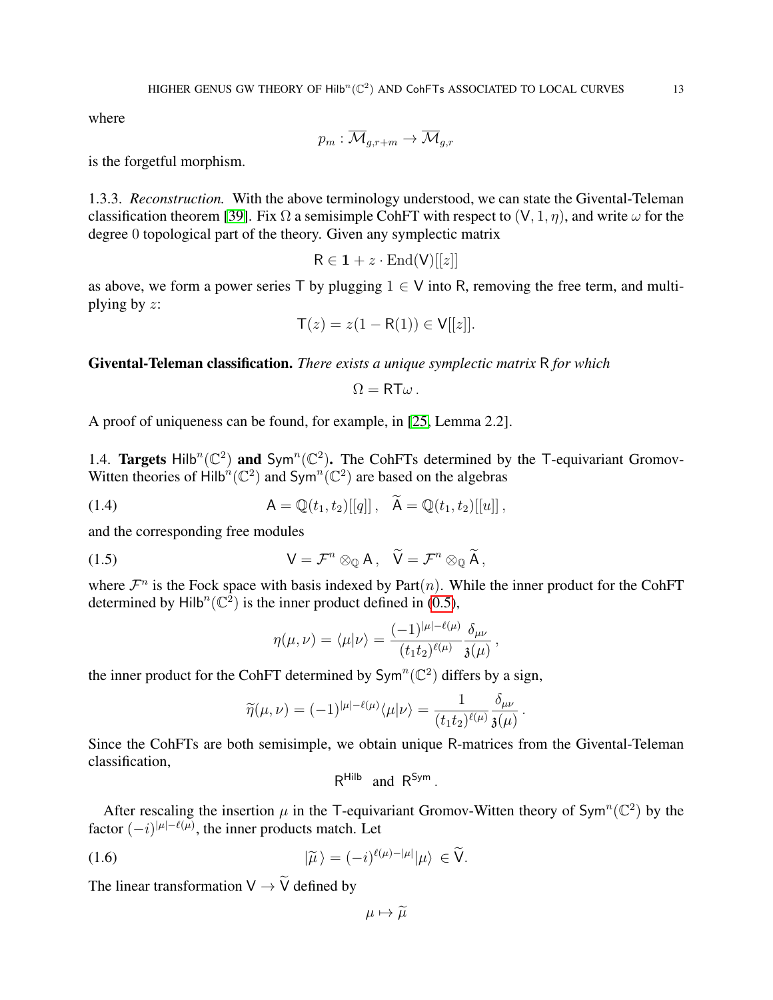where

$$
p_m: \overline{\mathcal{M}}_{g,r+m} \to \overline{\mathcal{M}}_{g,r}
$$

is the forgetful morphism.

1.3.3. *Reconstruction.* With the above terminology understood, we can state the Givental-Teleman classification theorem [\[39\]](#page-51-8). Fix  $\Omega$  a semisimple CohFT with respect to  $(V, 1, \eta)$ , and write  $\omega$  for the degree 0 topological part of the theory. Given any symplectic matrix

$$
R \in \mathbf{1} + z \cdot \text{End(V)}[[z]]
$$

as above, we form a power series T by plugging  $1 \in V$  into R, removing the free term, and multiplying by z:

$$
T(z) = z(1 - R(1)) \in V[[z]].
$$

Givental-Teleman classification. *There exists a unique symplectic matrix* R *for which*

$$
\Omega = RT\omega.
$$

A proof of uniqueness can be found, for example, in [\[25,](#page-51-9) Lemma 2.2].

<span id="page-12-0"></span>1.4. Targets Hilb<sup>n</sup>( $\mathbb{C}^2$ ) and Sym<sup>n</sup>( $\mathbb{C}^2$ ). The CohFTs determined by the T-equivariant Gromov-Witten theories of Hilb<sup>n</sup>( $\mathbb{C}^2$ ) and Sym<sup>n</sup>( $\mathbb{C}^2$ ) are based on the algebras

(1.4) 
$$
\mathsf{A} = \mathbb{Q}(t_1, t_2)[[q]], \quad \widetilde{\mathsf{A}} = \mathbb{Q}(t_1, t_2)[[u]],
$$

and the corresponding free modules

(1.5) 
$$
V = \mathcal{F}^n \otimes_{\mathbb{Q}} A, \quad \widetilde{V} = \mathcal{F}^n \otimes_{\mathbb{Q}} \widetilde{A},
$$

where  $\mathcal{F}^n$  is the Fock space with basis indexed by Part $(n)$ . While the inner product for the CohFT determined by Hilb<sup>n</sup>( $\mathbb{C}^2$ ) is the inner product defined in [\(0.5\)](#page-3-1),

<span id="page-12-1"></span>
$$
\eta(\mu,\nu)=\langle\mu|\nu\rangle=\frac{(-1)^{|\mu|-\ell(\mu)}}{(t_1t_2)^{\ell(\mu)}}\frac{\delta_{\mu\nu}}{\mathfrak{z}(\mu)},
$$

the inner product for the CohFT determined by  $Sym^n(\mathbb{C}^2)$  differs by a sign,

$$
\widetilde{\eta}(\mu,\nu)=(-1)^{|\mu|-\ell(\mu)}\langle \mu|\nu\rangle=\frac{1}{(t_1t_2)^{\ell(\mu)}}\frac{\delta_{\mu\nu}}{\mathfrak{z}(\mu)}\,.
$$

Since the CohFTs are both semisimple, we obtain unique R-matrices from the Givental-Teleman classification,

<span id="page-12-2"></span>
$$
R^{\text{Hilb}} \text{ and } R^{\text{Sym}}.
$$

After rescaling the insertion  $\mu$  in the T-equivariant Gromov-Witten theory of Sym<sup>n</sup>( $\mathbb{C}^2$ ) by the factor  $(-i)^{|\mu|-\ell(\mu)}$ , the inner products match. Let

(1.6) 
$$
|\widetilde{\mu}\rangle = (-i)^{\ell(\mu)-|\mu|}|\mu\rangle \in \widetilde{\mathsf{V}}.
$$

The linear transformation  $V \rightarrow \widetilde{V}$  defined by

$$
\mu\mapsto\widetilde{\mu}
$$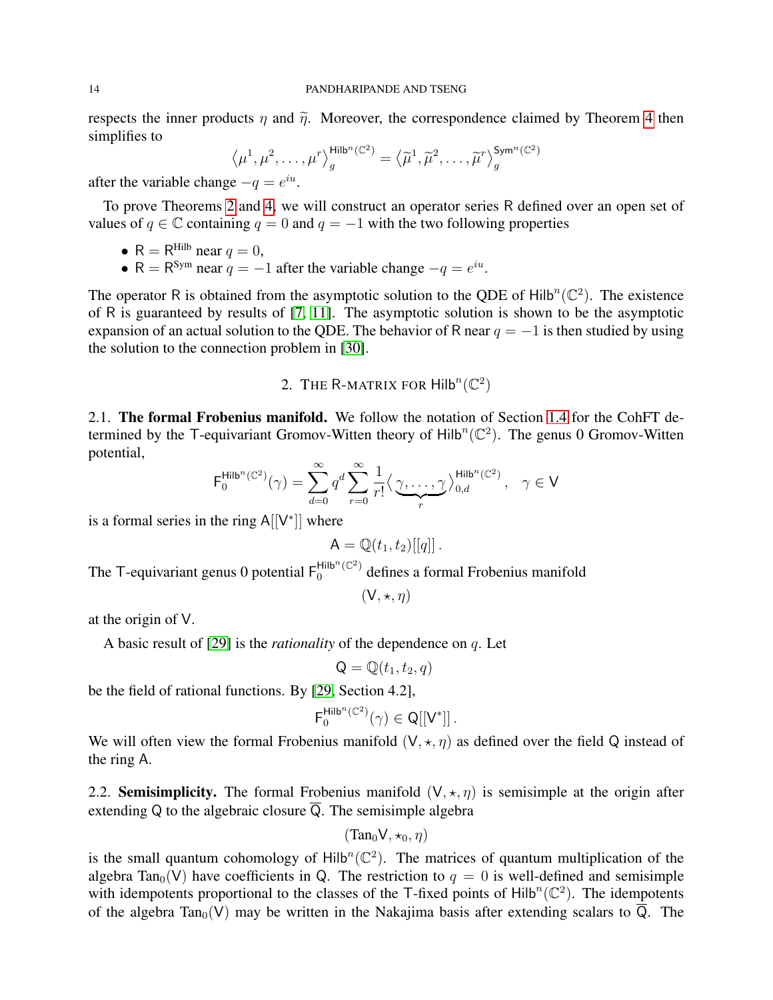respects the inner products  $\eta$  and  $\tilde{\eta}$ . Moreover, the correspondence claimed by Theorem [4](#page-6-3) then simplifies to

$$
\langle \mu^1, \mu^2, \dots, \mu^r \rangle_{g}^{\text{Hilb}^n(\mathbb{C}^2)} = \langle \widetilde{\mu}^1, \widetilde{\mu}^2, \dots, \widetilde{\mu}^r \rangle_{g}^{\text{Sym}^n(\mathbb{C}^2)}
$$

after the variable change  $-q = e^{iu}$ .

To prove Theorems [2](#page-5-1) and [4,](#page-6-3) we will construct an operator series R defined over an open set of values of  $q \in \mathbb{C}$  containing  $q = 0$  and  $q = -1$  with the two following properties

• 
$$
R = R^{Hilb}
$$
 near  $q = 0$ ,

• R =  $R^{Sym}$  near  $q = -1$  after the variable change  $-q = e^{iu}$ .

The operator R is obtained from the asymptotic solution to the QDE of Hilb<sup>n</sup>( $\mathbb{C}^2$ ). The existence of R is guaranteed by results of [\[7,](#page-50-14) [11\]](#page-50-15). The asymptotic solution is shown to be the asymptotic expansion of an actual solution to the QDE. The behavior of R near  $q = -1$  is then studied by using the solution to the connection problem in [\[30\]](#page-51-1).

# 2. THE R-MATRIX FOR  $\text{Hilb}^n(\mathbb{C}^2)$

<span id="page-13-0"></span>2.1. The formal Frobenius manifold. We follow the notation of Section [1.4](#page-12-0) for the CohFT determined by the T-equivariant Gromov-Witten theory of  $Hilb^{n}(\mathbb{C}^{2})$ . The genus 0 Gromov-Witten potential,

$$
\mathsf{F}_0^{\mathsf{Hilb}^n(\mathbb{C}^2)}(\gamma) = \sum_{d=0}^\infty q^d \sum_{r=0}^\infty \frac{1}{r!} \big\langle \underbrace{\gamma, \ldots, \gamma}_{r} \big\rangle_{0, d}^{\mathsf{Hilb}^n(\mathbb{C}^2)}, \quad \gamma \in \mathsf{V}
$$

is a formal series in the ring  $A[[V^*]]$  where

$$
\mathsf{A}=\mathbb{Q}(t_1,t_2)[[q]]\,.
$$

The T-equivariant genus 0 potential  $F_0^{\text{Hilb}^n(\mathbb{C}^2)}$  defines a formal Frobenius manifold

 $(V, \star, \eta)$ 

at the origin of V.

A basic result of [\[29\]](#page-51-0) is the *rationality* of the dependence on q. Let

$$
\mathsf{Q} = \mathbb{Q}(t_1, t_2, q)
$$

be the field of rational functions. By [\[29,](#page-51-0) Section 4.2],

$$
\mathsf{F}_0^{\mathsf{Hilb}^n(\mathbb{C}^2)}(\gamma) \in \mathsf{Q}[[\mathsf{V}^*]]\,.
$$

We will often view the formal Frobenius manifold  $(V, \star, \eta)$  as defined over the field Q instead of the ring A.

<span id="page-13-1"></span>2.2. **Semisimplicity.** The formal Frobenius manifold  $(V, \star, \eta)$  is semisimple at the origin after extending Q to the algebraic closure  $\overline{Q}$ . The semisimple algebra

$$
(\text{Tan}_0 V, \star_0, \eta)
$$

is the small quantum cohomology of  $Hilb<sup>n</sup>(\mathbb{C}^2)$ . The matrices of quantum multiplication of the algebra Tan<sub>0</sub>(V) have coefficients in Q. The restriction to  $q = 0$  is well-defined and semisimple with idempotents proportional to the classes of the T-fixed points of  $\text{Hilb}^n(\mathbb{C}^2)$ . The idempotents of the algebra Tan<sub>0</sub>(V) may be written in the Nakajima basis after extending scalars to  $\overline{Q}$ . The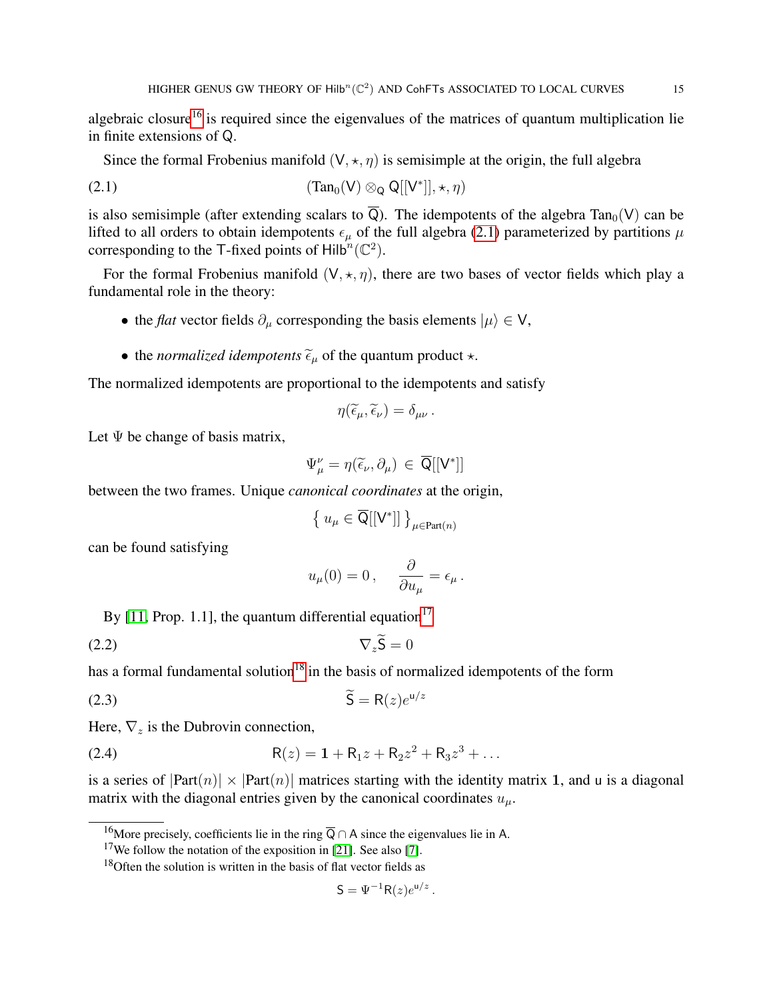algebraic closure<sup>[16](#page-14-0)</sup> is required since the eigenvalues of the matrices of quantum multiplication lie in finite extensions of Q.

<span id="page-14-1"></span>Since the formal Frobenius manifold  $(V, \star, \eta)$  is semisimple at the origin, the full algebra

(2.1) 
$$
(\text{Tan}_0(\mathsf{V}) \otimes_{\mathsf{Q}} \mathsf{Q}[[\mathsf{V}^*]], \star, \eta)
$$

is also semisimple (after extending scalars to  $\overline{Q}$ ). The idempotents of the algebra Tan<sub>0</sub>(V) can be lifted to all orders to obtain idempotents  $\epsilon_u$  of the full algebra [\(2.1\)](#page-14-1) parameterized by partitions  $\mu$ corresponding to the T-fixed points of Hilb<sup>n</sup>( $\mathbb{C}^2$ ).

For the formal Frobenius manifold  $(V, \star, \eta)$ , there are two bases of vector fields which play a fundamental role in the theory:

- the *flat* vector fields  $\partial_{\mu}$  corresponding the basis elements  $|\mu\rangle \in V$ ,
- the *normalized idempotents*  $\tilde{\epsilon}_{\mu}$  of the quantum product  $\star$ .

The normalized idempotents are proportional to the idempotents and satisfy

$$
\eta(\widetilde{\epsilon}_{\mu},\widetilde{\epsilon}_{\nu})=\delta_{\mu\nu}.
$$

Let  $\Psi$  be change of basis matrix,

$$
\Psi^{\nu}_{\mu} = \eta(\widetilde{\epsilon}_{\nu}, \partial_{\mu}) \in \overline{\mathsf{Q}}[[\mathsf{V}^*]]
$$

between the two frames. Unique *canonical coordinates* at the origin,

$$
\left\{\, u_\mu \in \overline{\mathsf{Q}}[[\mathsf{V}^*]]\, \right\}_{\mu \in \text{Part}(n)}
$$

can be found satisfying

<span id="page-14-6"></span><span id="page-14-5"></span>
$$
u_{\mu}(0) = 0
$$
,  $\frac{\partial}{\partial u_{\mu}} = \epsilon_{\mu}$ .

By [\[11,](#page-50-15) Prop. 1.1], the quantum differential equation<sup>[17](#page-14-2)</sup>

$$
\nabla_z \mathbf{S} = 0
$$

has a formal fundamental solution<sup>[18](#page-14-3)</sup> in the basis of normalized idempotents of the form

$$
\widetilde{\mathsf{S}} = \mathsf{R}(z)e^{\mathsf{u}/z}
$$

Here,  $\nabla_z$  is the Dubrovin connection,

(2.4) 
$$
R(z) = 1 + R_1 z + R_2 z^2 + R_3 z^3 + \dots
$$

is a series of  $|Part(n)| \times |Part(n)|$  matrices starting with the identity matrix 1, and u is a diagonal matrix with the diagonal entries given by the canonical coordinates  $u_{\mu}$ .

<span id="page-14-4"></span>
$$
\mathsf{S} = \Psi^{-1} \mathsf{R}(z) e^{\mathsf{u}/z} \,.
$$

<span id="page-14-0"></span><sup>&</sup>lt;sup>16</sup>More precisely, coefficients lie in the ring  $\overline{Q} \cap A$  since the eigenvalues lie in A.

<span id="page-14-2"></span><sup>&</sup>lt;sup>17</sup>We follow the notation of the exposition in [\[21\]](#page-50-16). See also [\[7\]](#page-50-14).

<span id="page-14-3"></span> $18$ Often the solution is written in the basis of flat vector fields as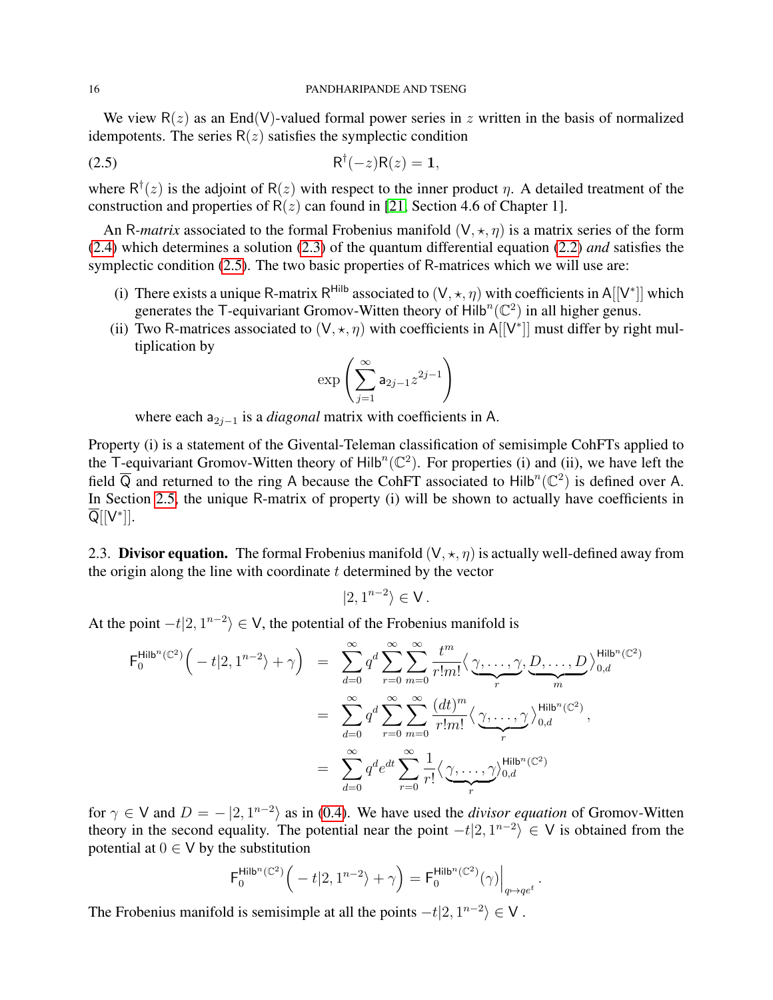We view  $R(z)$  as an End(V)-valued formal power series in z written in the basis of normalized idempotents. The series  $R(z)$  satisfies the symplectic condition

$$
R^{\dagger}(-z)R(z) = 1,
$$

where  $R^{\dagger}(z)$  is the adjoint of  $R(z)$  with respect to the inner product  $\eta$ . A detailed treatment of the construction and properties of  $R(z)$  can found in [\[21,](#page-50-16) Section 4.6 of Chapter 1].

An R-matrix associated to the formal Frobenius manifold  $(V, \star, \eta)$  is a matrix series of the form [\(2.4\)](#page-14-4) which determines a solution [\(2.3\)](#page-14-5) of the quantum differential equation [\(2.2\)](#page-14-6) *and* satisfies the symplectic condition [\(2.5\)](#page-15-0). The two basic properties of R-matrices which we will use are:

- (i) There exists a unique R-matrix R<sup>Hilb</sup> associated to  $(V, \star, \eta)$  with coefficients in A[[V<sup>\*</sup>]] which generates the T-equivariant Gromov-Witten theory of  $Hilb^{n}(\mathbb{C}^{2})$  in all higher genus.
- (ii) Two R-matrices associated to  $(V, \star, \eta)$  with coefficients in A[[V<sup>\*</sup>]] must differ by right multiplication by

<span id="page-15-0"></span>
$$
\exp\left(\sum_{j=1}^{\infty} \mathsf{a}_{2j-1} z^{2j-1}\right)
$$

where each a<sub>2j−1</sub> is a *diagonal* matrix with coefficients in A.

Property (i) is a statement of the Givental-Teleman classification of semisimple CohFTs applied to the T-equivariant Gromov-Witten theory of Hilb<sup>n</sup>( $\mathbb{C}^2$ ). For properties (i) and (ii), we have left the field  $\overline{Q}$  and returned to the ring A because the CohFT associated to Hilb<sup>n</sup>( $\mathbb{C}^2$ ) is defined over A. In Section [2.5,](#page-18-0) the unique R-matrix of property (i) will be shown to actually have coefficients in  $\overline{\mathsf{Q}}[[\mathsf{V}^*]].$ 

<span id="page-15-1"></span>2.3. Divisor equation. The formal Frobenius manifold  $(V, \star, \eta)$  is actually well-defined away from the origin along the line with coordinate  $t$  determined by the vector

$$
|2,1^{n-2}\rangle \in \mathsf{V}.
$$

At the point  $-t|2, 1^{n-2} \rangle \in V$ , the potential of the Frobenius manifold is

$$
F_0^{\text{Hilb}^n(\mathbb{C}^2)}\left(-t|2, 1^{n-2}\right) + \gamma\right) = \sum_{d=0}^{\infty} q^d \sum_{r=0}^{\infty} \sum_{m=0}^{\infty} \frac{t^m}{r!m!} \langle \underbrace{\gamma, \dots, \gamma}_{r}, \underbrace{D, \dots, D}_{m} \rangle_{0,d}^{\text{Hilb}^n(\mathbb{C}^2)}
$$
  

$$
= \sum_{d=0}^{\infty} q^d \sum_{r=0}^{\infty} \sum_{m=0}^{\infty} \frac{(dt)^m}{r!m!} \langle \underbrace{\gamma, \dots, \gamma}_{r} \rangle_{0,d}^{\text{Hilb}^n(\mathbb{C}^2)},
$$
  

$$
= \sum_{d=0}^{\infty} q^d e^{dt} \sum_{r=0}^{\infty} \frac{1}{r!} \langle \underbrace{\gamma, \dots, \gamma}_{r} \rangle_{0,d}^{\text{Hilb}^n(\mathbb{C}^2)}
$$

for  $\gamma \in V$  and  $D = -\langle 2, 1^{n-2} \rangle$  as in [\(0.4\)](#page-2-2). We have used the *divisor equation* of Gromov-Witten theory in the second equality. The potential near the point  $-t|2, 1^{n-2} \rangle \in V$  is obtained from the potential at  $0 \in V$  by the substitution

$$
\mathsf{F}_0^{\mathsf{Hilb}^n(\mathbb{C}^2)}\Big(-t|2,1^{n-2}\rangle+\gamma\Big)=\mathsf{F}_0^{\mathsf{Hilb}^n(\mathbb{C}^2)}(\gamma)\Big|_{q\mapsto qe^t}.
$$

The Frobenius manifold is semisimple at all the points  $-t|2, 1^{n-2} \rangle \in V$ .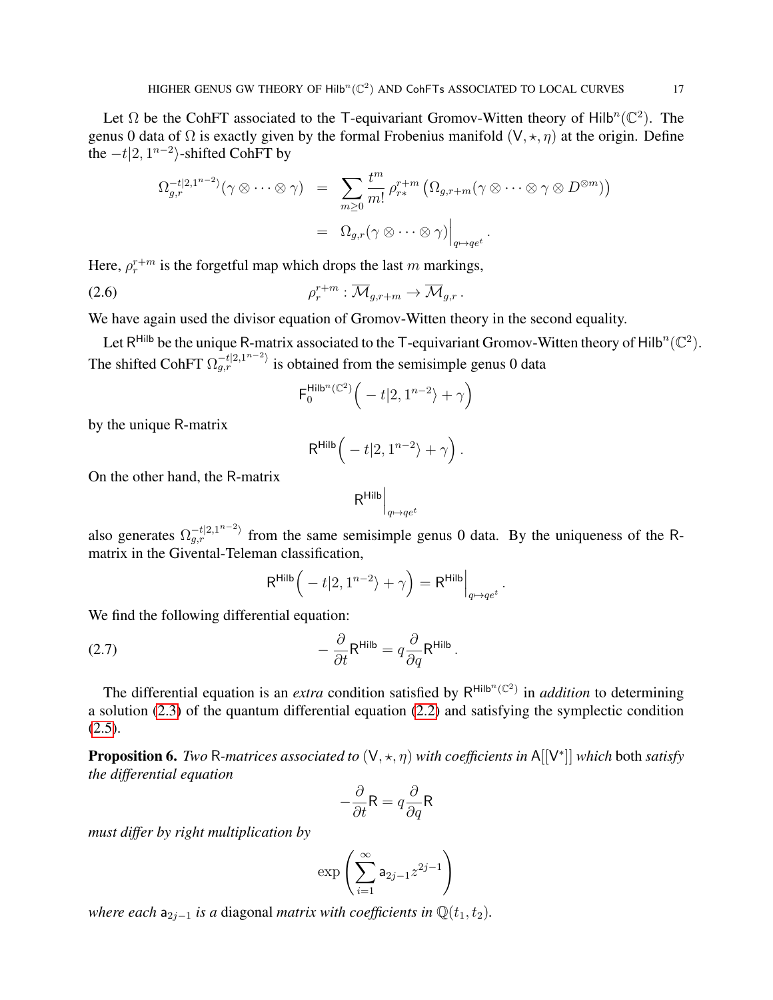Let  $\Omega$  be the CohFT associated to the T-equivariant Gromov-Witten theory of Hilb<sup>n</sup>( $\mathbb{C}^2$ ). The genus 0 data of  $\Omega$  is exactly given by the formal Frobenius manifold  $(V, \star, \eta)$  at the origin. Define the  $-t|2, 1^{n-2}$ }-shifted CohFT by

$$
\Omega_{g,r}^{-t|2,1^{n-2}}(\gamma \otimes \cdots \otimes \gamma) = \sum_{m\geq 0} \frac{t^m}{m!} \rho_{r*}^{r+m} \left( \Omega_{g,r+m}(\gamma \otimes \cdots \otimes \gamma \otimes D^{\otimes m}) \right)
$$
  
=  $\Omega_{g,r}(\gamma \otimes \cdots \otimes \gamma) \Big|_{q\mapsto qe^t}.$ 

Here,  $\rho_r^{r+m}$  is the forgetful map which drops the last m markings,

$$
\rho_r^{r+m}: \overline{\mathcal{M}}_{g,r+m} \to \overline{\mathcal{M}}_{g,r}.
$$

We have again used the divisor equation of Gromov-Witten theory in the second equality.

Let R<sup>Hilb</sup> be the unique R-matrix associated to the T-equivariant Gromov-Witten theory of Hilb<sup>n</sup>( $\mathbb{C}^2$ ). The shifted CohFT  $\Omega_{g,r}^{-t|2,1^{n-2}}$  is obtained from the semisimple genus 0 data

<span id="page-16-1"></span>
$$
\mathsf{F}^{\mathsf{Hilb}^n(\mathbb{C}^2)}_0\Big(-t|2,1^{n-2}\rangle+\gamma\Big)
$$

by the unique R-matrix

$$
\mathsf{R}^{\mathsf{Hilb}}\Big(-t|2,1^{n-2}\rangle+\gamma\Big).
$$

On the other hand, the R-matrix

$$
\mathsf{R}^{\mathsf{Hilb}}\Big|_{q\mapsto qe^t}
$$

also generates  $\Omega_{g,r}^{-t|2,1^{n-2}}$  from the same semisimple genus 0 data. By the uniqueness of the Rmatrix in the Givental-Teleman classification,

$$
\mathsf{R}^{\mathsf{Hilb}}\Big(-t|2,1^{n-2}\rangle+\gamma\Big)=\mathsf{R}^{\mathsf{Hilb}}\Big|_{q\mapsto qe^t}.
$$

We find the following differential equation:

(2.7) 
$$
-\frac{\partial}{\partial t}R^{\text{Hilb}} = q\frac{\partial}{\partial q}R^{\text{Hilb}}.
$$

The differential equation is an *extra* condition satisfied by  $R^{Hilb^n(\mathbb{C}^2)}$  in *addition* to determining a solution [\(2.3\)](#page-14-5) of the quantum differential equation [\(2.2\)](#page-14-6) and satisfying the symplectic condition  $(2.5).$  $(2.5).$ 

<span id="page-16-0"></span>**Proposition 6.** *Two* R-matrices associated to  $(V, \star, \eta)$  with coefficients in A[[V<sup>\*</sup>]] *which* both satisfy *the differential equation*

$$
-\frac{\partial}{\partial t}\mathsf{R}=q\frac{\partial}{\partial q}\mathsf{R}
$$

*must differ by right multiplication by*

$$
\exp\left(\sum_{i=1}^{\infty} \mathsf{a}_{2j-1} z^{2j-1}\right)
$$

*where each*  $a_{2i-1}$  *is a* diagonal *matrix with coefficients in*  $\mathbb{Q}(t_1, t_2)$ *.*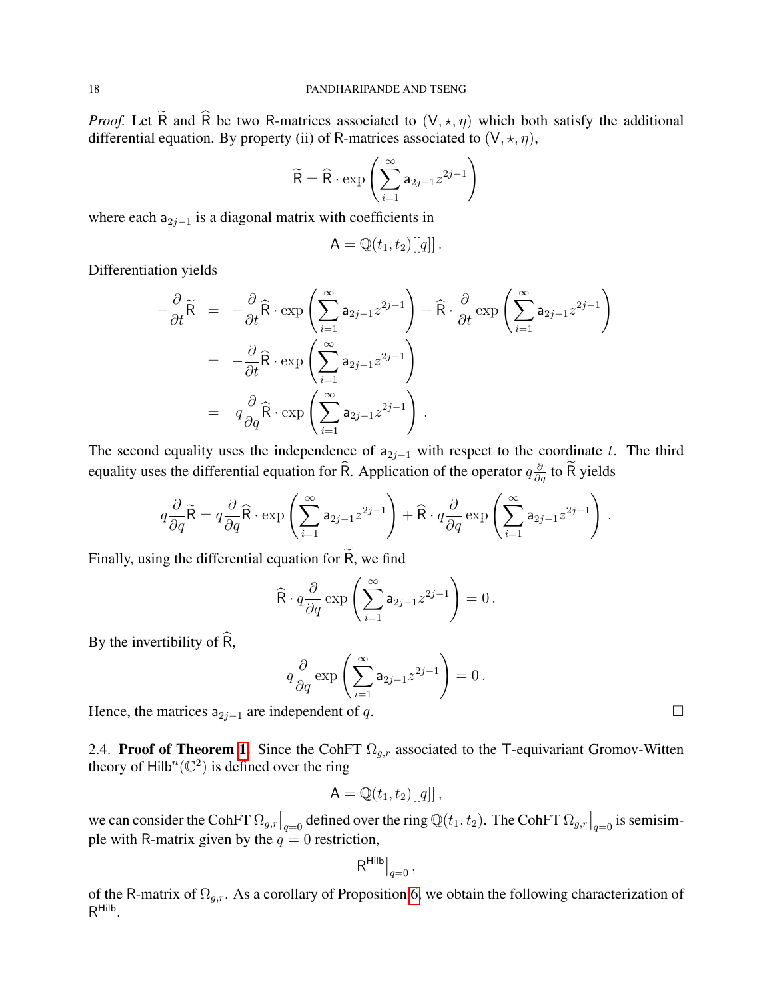*Proof.* Let  $\tilde{R}$  and  $\hat{R}$  be two R-matrices associated to  $(V, \star, \eta)$  which both satisfy the additional differential equation. By property (ii) of R-matrices associated to  $(V, \star, \eta)$ ,

$$
\widetilde{\mathsf{R}} = \widehat{\mathsf{R}} \cdot \exp\left(\sum_{i=1}^{\infty} \mathsf{a}_{2j-1} z^{2j-1}\right)
$$

where each  $a_{2j-1}$  is a diagonal matrix with coefficients in

$$
\mathsf{A}=\mathbb{Q}(t_1,t_2)[[q]]\,.
$$

Differentiation yields

$$
-\frac{\partial}{\partial t}\widetilde{\mathsf{R}} = -\frac{\partial}{\partial t}\widehat{\mathsf{R}} \cdot \exp\left(\sum_{i=1}^{\infty} \mathsf{a}_{2j-1} z^{2j-1}\right) - \widehat{\mathsf{R}} \cdot \frac{\partial}{\partial t} \exp\left(\sum_{i=1}^{\infty} \mathsf{a}_{2j-1} z^{2j-1}\right)
$$
  
=  $-\frac{\partial}{\partial t} \widehat{\mathsf{R}} \cdot \exp\left(\sum_{i=1}^{\infty} \mathsf{a}_{2j-1} z^{2j-1}\right)$   
=  $q \frac{\partial}{\partial q} \widehat{\mathsf{R}} \cdot \exp\left(\sum_{i=1}^{\infty} \mathsf{a}_{2j-1} z^{2j-1}\right)$ .

The second equality uses the independence of  $a_{2j-1}$  with respect to the coordinate t. The third equality uses the differential equation for  $\widehat{R}$ . Application of the operator  $q \frac{\partial}{\partial q}$  to  $\widetilde{R}$  yields

$$
q\frac{\partial}{\partial q}\widetilde{\mathsf{R}} = q\frac{\partial}{\partial q}\widehat{\mathsf{R}} \cdot \exp\left(\sum_{i=1}^{\infty} \mathsf{a}_{2j-1} z^{2j-1}\right) + \widehat{\mathsf{R}} \cdot q\frac{\partial}{\partial q} \exp\left(\sum_{i=1}^{\infty} \mathsf{a}_{2j-1} z^{2j-1}\right)
$$

Finally, using the differential equation for  $\widetilde{R}$ , we find

$$
\widehat{\mathsf{R}} \cdot q \frac{\partial}{\partial q} \exp \left( \sum_{i=1}^{\infty} \mathsf{a}_{2j-1} z^{2j-1} \right) = 0.
$$

By the invertibility of  $\widehat{R}$ ,

$$
q\frac{\partial}{\partial q}\exp\left(\sum_{i=1}^{\infty}\mathsf{a}_{2j-1}z^{2j-1}\right)=0.
$$

Hence, the matrices  $a_{2j-1}$  are independent of q.

2.4. Proof of Theorem [1.](#page-4-0) Since the CohFT  $\Omega_{q,r}$  associated to the T-equivariant Gromov-Witten theory of  $\text{Hilb}^n(\mathbb{C}^2)$  is defined over the ring

$$
\mathsf{A}=\mathbb{Q}(t_1,t_2)[[q]]\,,
$$

we can consider the CohFT  $\Omega_{g,r}|_{q=0}$  defined over the ring  $\mathbb{Q}(t_1, t_2)$ . The CohFT  $\Omega_{g,r}|_{q=0}$  is semisimple with R-matrix given by the  $q = 0$  restriction,

$$
\mathsf{R}^{\mathsf{Hilb}}\big|_{q=0}\,,
$$

of the R-matrix of  $\Omega_{g,r}$ . As a corollary of Proposition [6,](#page-16-0) we obtain the following characterization of R Hilb .

.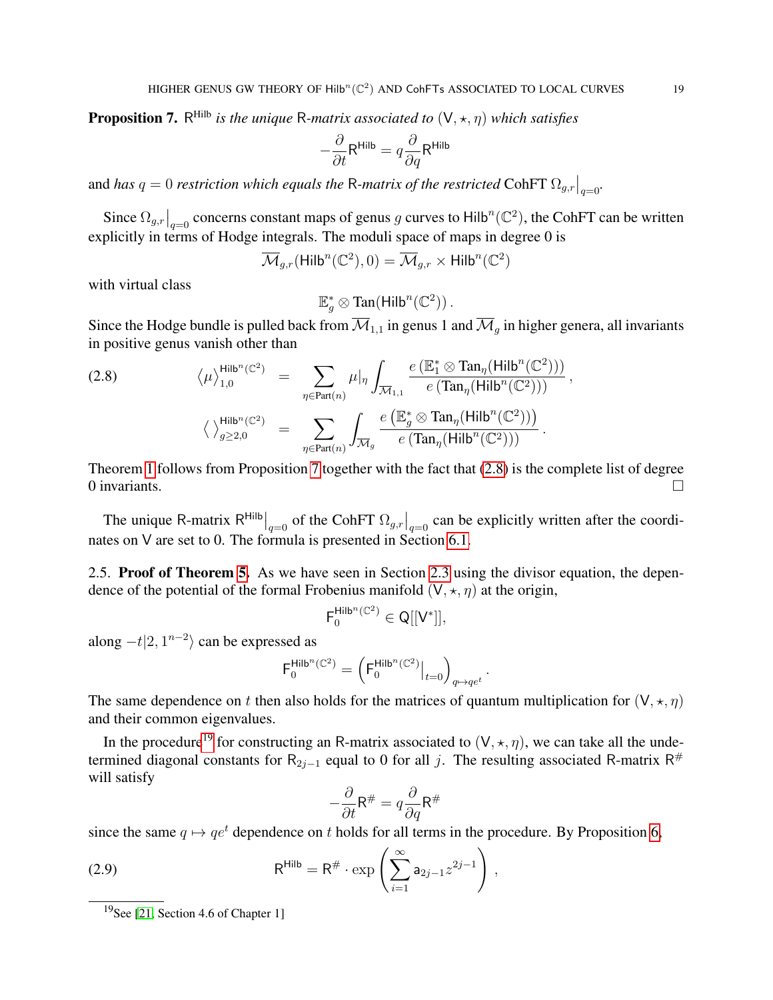<span id="page-18-1"></span>**Proposition 7.** R<sup>Hilb</sup> is the unique R-matrix associated to  $(V, \star, \eta)$  which satisfies

$$
-\frac{\partial}{\partial t}R^{\text{Hilb}} = q\frac{\partial}{\partial q}R^{\text{Hilb}}
$$

and *has*  $q = 0$  *restriction which equals the* R-*matrix of the restricted* CohFT  $\Omega_{g,r}|_{q=0}$ .

Since  $\Omega_{g,r}|_{q=0}$  concerns constant maps of genus g curves to Hilb<sup>n</sup>( $\mathbb{C}^2$ ), the CohFT can be written explicitly in terms of Hodge integrals. The moduli space of maps in degree 0 is

 $\overline{\mathcal{M}}_{g,r}(\mathsf{Hilb}^n(\mathbb{C}^2),0) = \overline{\mathcal{M}}_{g,r} \times \mathsf{Hilb}^n(\mathbb{C}^2)$ 

with virtual class

 $\mathbb{E}_g^* \otimes \text{Tan}(\text{Hilb}^n(\mathbb{C}^2))$ .

Since the Hodge bundle is pulled back from  $\overline{\mathcal{M}}_{1,1}$  in genus 1 and  $\overline{\mathcal{M}}_q$  in higher genera, all invariants in positive genus vanish other than

<span id="page-18-2"></span>(2.8) 
$$
\langle \mu \rangle_{1,0}^{\text{Hilb}^n(\mathbb{C}^2)} = \sum_{\eta \in \text{Part}(n)} \mu|_{\eta} \int_{\overline{\mathcal{M}}_{1,1}} \frac{e(\mathbb{E}_1^* \otimes \text{Tan}_{\eta}(\text{Hilb}^n(\mathbb{C}^2)))}{e(\text{Tan}_{\eta}(\text{Hilb}^n(\mathbb{C}^2)))},
$$

$$
\langle \rangle_{g \geq 2,0}^{\text{Hilb}^n(\mathbb{C}^2)} = \sum_{\eta \in \text{Part}(n)} \int_{\overline{\mathcal{M}}_g} \frac{e(\mathbb{E}_g^* \otimes \text{Tan}_{\eta}(\text{Hilb}^n(\mathbb{C}^2)))}{e(\text{Tan}_{\eta}(\text{Hilb}^n(\mathbb{C}^2)))}.
$$

Theorem [1](#page-4-0) follows from Proposition [7](#page-18-1) together with the fact that [\(2.8\)](#page-18-2) is the complete list of degree 0 invariants.  $\Box$ 

The unique R-matrix  $R^{Hilb}\Big|_{q=0}$  of the CohFT  $\Omega_{g,r}\Big|_{q=0}$  can be explicitly written after the coordinates on V are set to 0. The formula is presented in Section [6.1.](#page-31-1)

<span id="page-18-0"></span>2.5. Proof of Theorem [5.](#page-7-3) As we have seen in Section [2.3](#page-15-1) using the divisor equation, the dependence of the potential of the formal Frobenius manifold  $(V, \star, \eta)$  at the origin,

$$
\mathsf{F}_0^{\mathsf{Hilb}^n(\mathbb{C}^2)}\in \mathsf{Q}[[\mathsf{V}^*]],
$$

along  $-t|2, 1^{n-2}$  can be expressed as

$$
\mathsf{F}_0^{\mathsf{Hilb}^n(\mathbb{C}^2)} = \left( \mathsf{F}_0^{\mathsf{Hilb}^n(\mathbb{C}^2)} \big|_{t=0} \right)_{q \mapsto q e^t}.
$$

The same dependence on t then also holds for the matrices of quantum multiplication for  $(V, \star, \eta)$ and their common eigenvalues.

In the procedure<sup>[19](#page-18-3)</sup> for constructing an R-matrix associated to  $(V, \star, \eta)$ , we can take all the undetermined diagonal constants for R<sub>2j-1</sub> equal to 0 for all j. The resulting associated R-matrix R<sup>#</sup> will satisfy

<span id="page-18-4"></span>
$$
-\frac{\partial}{\partial t}\mathsf{R}^{\#} = q\frac{\partial}{\partial q}\mathsf{R}^{\#}
$$

since the same  $q \mapsto qe^t$  dependence on t holds for all terms in the procedure. By Proposition [6,](#page-16-0)

(2.9) 
$$
\mathsf{R}^{\mathsf{Hilb}} = \mathsf{R}^{\#} \cdot \exp\left(\sum_{i=1}^{\infty} \mathsf{a}_{2j-1} z^{2j-1}\right),
$$

<span id="page-18-3"></span><sup>&</sup>lt;sup>19</sup>See [\[21,](#page-50-16) Section 4.6 of Chapter 1]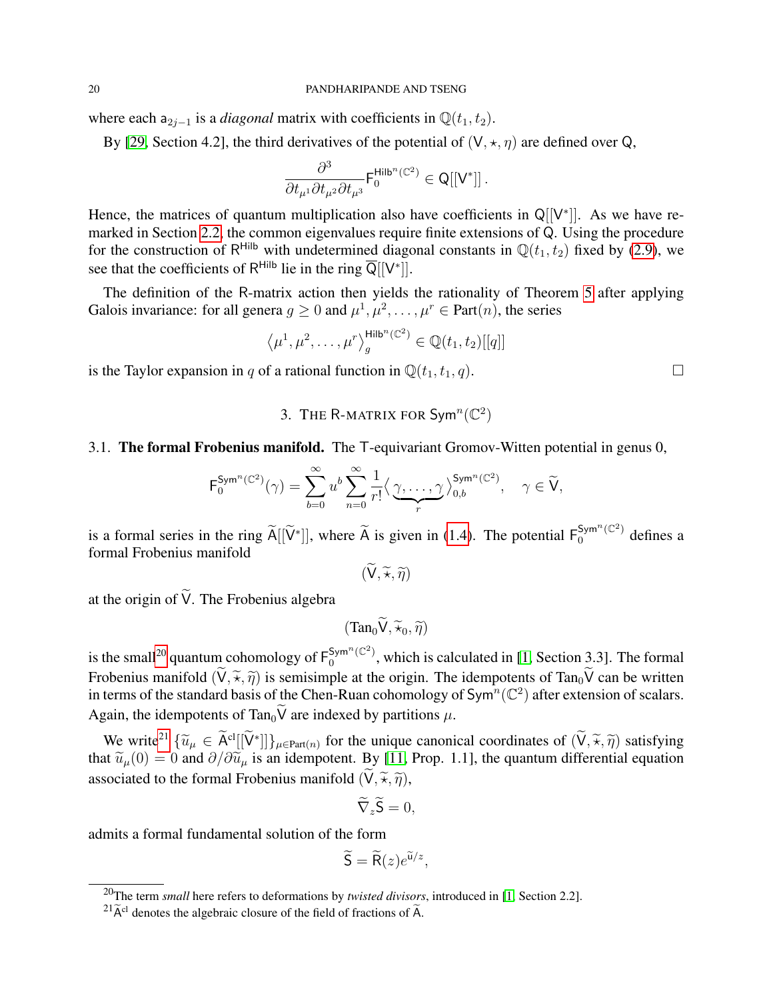where each  $a_{2j-1}$  is a *diagonal* matrix with coefficients in  $\mathbb{Q}(t_1, t_2)$ .

By [\[29,](#page-51-0) Section 4.2], the third derivatives of the potential of  $(V, \star, \eta)$  are defined over Q,

$$
\frac{\partial^3}{\partial t_{\mu^1} \partial t_{\mu^2} \partial t_{\mu^3}} {\sf F}^{\sf Hilb^n(\mathbb{C}^2)}_0 \in \mathsf{Q}[[\mathsf{V}^*]]\,.
$$

Hence, the matrices of quantum multiplication also have coefficients in  $Q[[V^*]]$ . As we have remarked in Section [2.2,](#page-13-1) the common eigenvalues require finite extensions of Q. Using the procedure for the construction of R<sup>Hilb</sup> with undetermined diagonal constants in  $\mathbb{Q}(t_1, t_2)$  fixed by [\(2.9\)](#page-18-4), we see that the coefficients of R<sup>Hilb</sup> lie in the ring  $\overline{Q}[[V^*]].$ 

The definition of the R-matrix action then yields the rationality of Theorem [5](#page-7-3) after applying Galois invariance: for all genera  $g \ge 0$  and  $\mu^1, \mu^2, \dots, \mu^r \in Part(n)$ , the series

$$
\langle \mu^1, \mu^2, \dots, \mu^r \rangle_{g}^{\text{Hilb}^n(\mathbb{C}^2)} \in \mathbb{Q}(t_1, t_2)[[q]]
$$

<span id="page-19-0"></span>is the Taylor expansion in q of a rational function in  $\mathbb{Q}(t_1, t_1, q)$ .

# 3. THE R-MATRIX FOR  $\textsf{Sym}^n(\mathbb{C}^2)$

### 3.1. The formal Frobenius manifold. The T-equivariant Gromov-Witten potential in genus 0,

$$
\mathsf{F}_{0}^{\mathsf{Sym}^n(\mathbb{C}^2)}(\gamma) = \sum_{b=0}^{\infty} u^b \sum_{n=0}^{\infty} \frac{1}{r!} \langle \underbrace{\gamma, \ldots, \gamma}_{r} \rangle_{0,b}^{\mathsf{Sym}^n(\mathbb{C}^2)}, \quad \gamma \in \widetilde{\mathsf{V}},
$$

is a formal series in the ring  $\widetilde{A}[[\widetilde{V}^*]]$ , where  $\widetilde{A}$  is given in [\(1.4\)](#page-12-1). The potential  $F_0^{Sym^n(\mathbb{C}^2)}$  defines a formal Frobenius manifold

 $(\widetilde{\mathsf{V}}, \widetilde{\star}, \widetilde{\eta})$ 

at the origin of  $\widetilde{V}$ . The Frobenius algebra

 $(Tan_0\widetilde{V}, \widetilde{\star}_0, \widetilde{\eta})$ 

is the small<sup>[20](#page-19-1)</sup> quantum cohomology of  $F_0^{Sym^n(\mathbb{C}^2)}$  $\frac{1}{0}$ , which is calculated in [\[1,](#page-50-0) Section 3.3]. The formal Frobenius manifold  $(\widetilde{V}, \widetilde{\star}, \widetilde{\eta})$  is semisimple at the origin. The idempotents of Tan<sub>0</sub> $\widetilde{V}$  can be written in terms of the standard basis of the Chen-Ruan cohomology of Sym<sup>n</sup>( $\mathbb{C}^2$ ) after extension of scalars. Again, the idempotents of Tan<sub>0</sub> $\widetilde{V}$  are indexed by partitions  $\mu$ .

We write<sup>[21](#page-19-2)</sup>  $\{\widetilde{u}_{\mu} \in \widetilde{A}^{cl}[[\widetilde{V}^*]]\}_{\mu \in Part(n)}$  for the unique canonical coordinates of  $(\widetilde{V}, \widetilde{\pi}, \widetilde{\eta})$  satisfying set  $\widetilde{u}_{\mu}$  (0) = 0 and  $\partial/\partial \widetilde{u}_{\mu}$  is an idempotent. By [11, Prop. 1, 11, th that  $\tilde{u}_{\mu}(0) = 0$  and  $\partial/\partial \tilde{u}_{\mu}$  is an idempotent. By [\[11,](#page-50-15) Prop. 1.1], the quantum differential equation associated to the formal Frobenius manifold  $(\widetilde{V}, \widetilde{\star}, \widetilde{\eta})$ ,

$$
\widetilde{\nabla}_z \widetilde{\mathsf{S}} = 0,
$$

admits a formal fundamental solution of the form

$$
\widetilde{\mathsf{S}} = \widetilde{\mathsf{R}}(z)e^{\widetilde{\mathsf{u}}/z},
$$

<span id="page-19-1"></span><sup>20</sup>The term *small* here refers to deformations by *twisted divisors*, introduced in [\[1,](#page-50-0) Section 2.2].

<span id="page-19-2"></span> $^{21}\tilde{A}^{cl}$  denotes the algebraic closure of the field of fractions of  $\tilde{A}$ .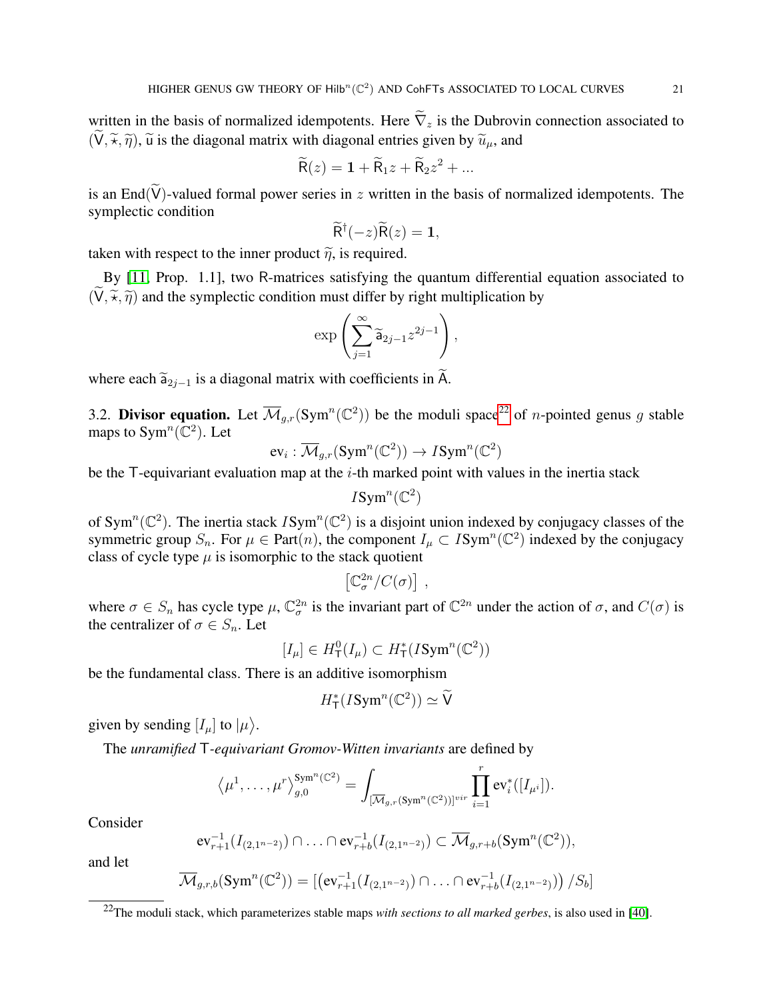written in the basis of normalized idempotents. Here  $\tilde{\nabla}_z$  is the Dubrovin connection associated to  $(\widetilde{V}, \widetilde{\pi}, \widetilde{\eta})$ ,  $\widetilde{u}$  is the diagonal matrix with diagonal entries given by  $\widetilde{u}_u$ , and

$$
\widetilde{\mathsf{R}}(z) = \mathbf{1} + \widetilde{\mathsf{R}}_1 z + \widetilde{\mathsf{R}}_2 z^2 + \dots
$$

is an End( $\widetilde{V}$ )-valued formal power series in z written in the basis of normalized idempotents. The symplectic condition

$$
\widetilde{\mathsf{R}}^{\dagger}(-z)\widetilde{\mathsf{R}}(z)=1,
$$

taken with respect to the inner product  $\tilde{\eta}$ , is required.

By [\[11,](#page-50-15) Prop. 1.1], two R-matrices satisfying the quantum differential equation associated to  $(\widetilde{V}, \widetilde{\pi}, \widetilde{\eta})$  and the symplectic condition must differ by right multiplication by

$$
\exp\left(\sum_{j=1}^{\infty}\widetilde{\mathsf{a}}_{2j-1}z^{2j-1}\right),\,
$$

where each  $\widetilde{\mathsf{a}}_{2i-1}$  is a diagonal matrix with coefficients in  $\widetilde{\mathsf{A}}$ .

<span id="page-20-0"></span>3.2. Divisor equation. Let  $\overline{\mathcal{M}}_{g,r}(\text{Sym}^n(\mathbb{C}^2))$  be the moduli space<sup>[22](#page-20-1)</sup> of *n*-pointed genus g stable maps to Sym<sup>n</sup>( $\overline{\mathbb{C}}^2$ ). Let

$$
\operatorname{ev}_i:\overline{\mathcal M}_{g,r}(\operatorname{Sym}^n(\mathbb{C}^2))\to I\operatorname{Sym}^n(\mathbb{C}^2)
$$

be the  $\mathsf T$ -equivariant evaluation map at the *i*-th marked point with values in the inertia stack

$$
I\text{Sym}^n(\mathbb{C}^2)
$$

of Sym<sup>n</sup>( $\mathbb{C}^2$ ). The inertia stack  $ISym^n(\mathbb{C}^2)$  is a disjoint union indexed by conjugacy classes of the symmetric group  $S_n$ . For  $\mu \in Part(n)$ , the component  $I_\mu \subset Isym^n(\mathbb{C}^2)$  indexed by the conjugacy class of cycle type  $\mu$  is isomorphic to the stack quotient

$$
\left[\mathbb{C}^{2n}_{\sigma}/C(\sigma)\right],
$$

where  $\sigma \in S_n$  has cycle type  $\mu$ ,  $\mathbb{C}^{2n}_{\sigma}$  is the invariant part of  $\mathbb{C}^{2n}$  under the action of  $\sigma$ , and  $C(\sigma)$  is the centralizer of  $\sigma \in S_n$ . Let

$$
[I_\mu]\in H^0_{\mathsf{T}}(I_\mu)\subset H^*_{\mathsf{T}}(I\text{Sym}^n(\mathbb{C}^2))
$$

be the fundamental class. There is an additive isomorphism

$$
H^*_{\mathsf{T}}(I\text{Sym}^n(\mathbb{C}^2)) \simeq \widetilde{\mathsf{V}}
$$

given by sending  $[I_\mu]$  to  $|\mu\rangle$ .

The *unramified* T*-equivariant Gromov-Witten invariants* are defined by

$$
\langle \mu^1, \ldots, \mu^r \rangle_{g,0}^{\text{Sym}^n(\mathbb{C}^2)} = \int_{[\overline{\mathcal{M}}_{g,r}(\text{Sym}^n(\mathbb{C}^2))]^{vir}} \prod_{i=1}^r \text{ev}_i^*([I_{\mu^i}]).
$$

Consider

$$
\mathrm{ev}_{r+1}^{-1}(I_{(2,1^{n-2})}) \cap \ldots \cap \mathrm{ev}_{r+b}^{-1}(I_{(2,1^{n-2})}) \subset \overline{\mathcal{M}}_{g,r+b}(\mathrm{Sym}^n(\mathbb{C}^2)),
$$

and let

$$
\overline{\mathcal{M}}_{g,r,b}(\text{Sym}^n(\mathbb{C}^2)) = \left[ \left( \text{ev}_{r+1}^{-1}(I_{(2,1^{n-2})}) \cap \ldots \cap \text{ev}_{r+b}^{-1}(I_{(2,1^{n-2})}) \right) / S_b \right]
$$

<span id="page-20-1"></span><sup>22</sup>The moduli stack, which parameterizes stable maps *with sections to all marked gerbes*, is also used in [\[40\]](#page-51-10).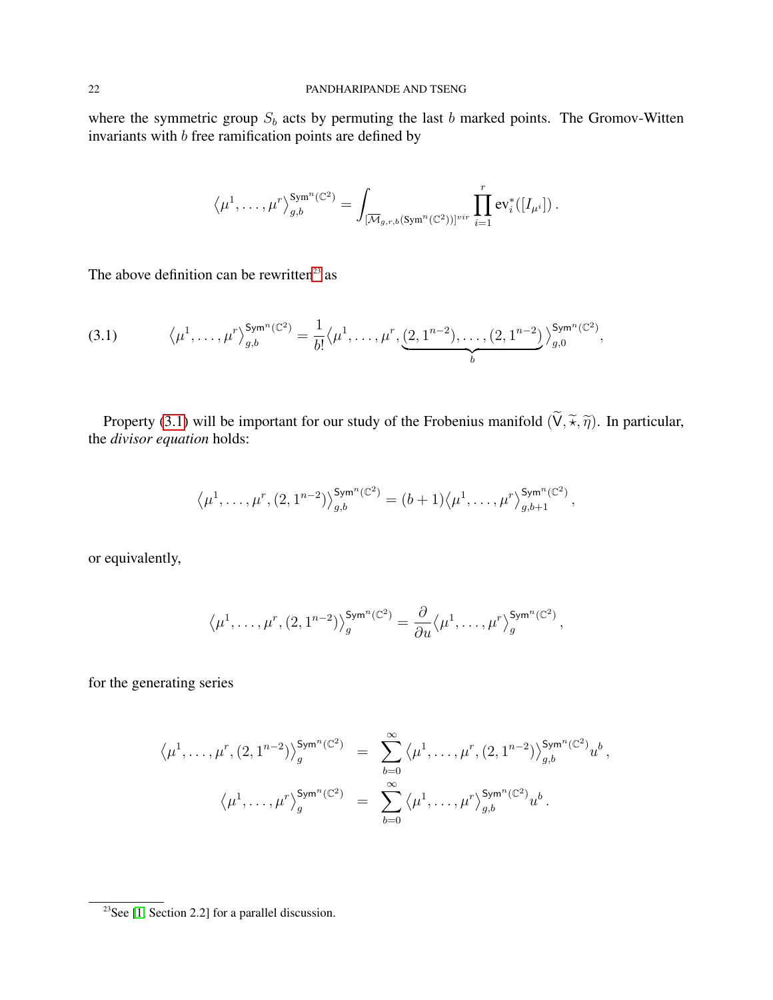where the symmetric group  $S_b$  acts by permuting the last b marked points. The Gromov-Witten invariants with b free ramification points are defined by

$$
\left\langle \mu^1,\ldots,\mu^r\right\rangle_{g,b}^{\text{Sym}^n(\mathbb{C}^2)}=\int_{[\overline{\mathcal{M}}_{g,r,b}(\text{Sym}^n(\mathbb{C}^2))]^{vir}}\prod_{i=1}^r \text{ev}_i^*([I_{\mu^i}])\,.
$$

The above definition can be rewritten<sup>[23](#page-21-0)</sup> as

<span id="page-21-1"></span>
$$
(3.1) \qquad \langle \mu^1, \ldots, \mu^r \rangle_{g,b}^{\mathsf{Sym}^n(\mathbb{C}^2)} = \frac{1}{b!} \langle \mu^1, \ldots, \mu^r, \underbrace{(2, 1^{n-2}), \ldots, (2, 1^{n-2})}_{b} \rangle_{g,0}^{\mathsf{Sym}^n(\mathbb{C}^2)},
$$

Property [\(3.1\)](#page-21-1) will be important for our study of the Frobenius manifold  $(\widetilde{V}, \widetilde{\star}, \widetilde{\eta})$ . In particular, the *divisor equation* holds:

$$
\langle \mu^1, \ldots, \mu^r, (2, 1^{n-2}) \rangle_{g,b}^{\text{Sym}^n(\mathbb{C}^2)} = (b+1) \langle \mu^1, \ldots, \mu^r \rangle_{g,b+1}^{\text{Sym}^n(\mathbb{C}^2)},
$$

or equivalently,

$$
\langle \mu^1, \ldots, \mu^r, (2, 1^{n-2}) \rangle_{g}^{\text{Sym}^n(\mathbb{C}^2)} = \frac{\partial}{\partial u} \langle \mu^1, \ldots, \mu^r \rangle_{g}^{\text{Sym}^n(\mathbb{C}^2)},
$$

for the generating series

$$
\langle \mu^{1}, \ldots, \mu^{r}, (2, 1^{n-2}) \rangle_{g}^{\mathsf{Sym}^{n}(\mathbb{C}^{2})} = \sum_{b=0}^{\infty} \langle \mu^{1}, \ldots, \mu^{r}, (2, 1^{n-2}) \rangle_{g,b}^{\mathsf{Sym}^{n}(\mathbb{C}^{2})} u^{b},
$$

$$
\langle \mu^{1}, \ldots, \mu^{r} \rangle_{g}^{\mathsf{Sym}^{n}(\mathbb{C}^{2})} = \sum_{b=0}^{\infty} \langle \mu^{1}, \ldots, \mu^{r} \rangle_{g,b}^{\mathsf{Sym}^{n}(\mathbb{C}^{2})} u^{b}.
$$

<span id="page-21-0"></span><sup>&</sup>lt;sup>23</sup>See [\[1,](#page-50-0) Section 2.2] for a parallel discussion.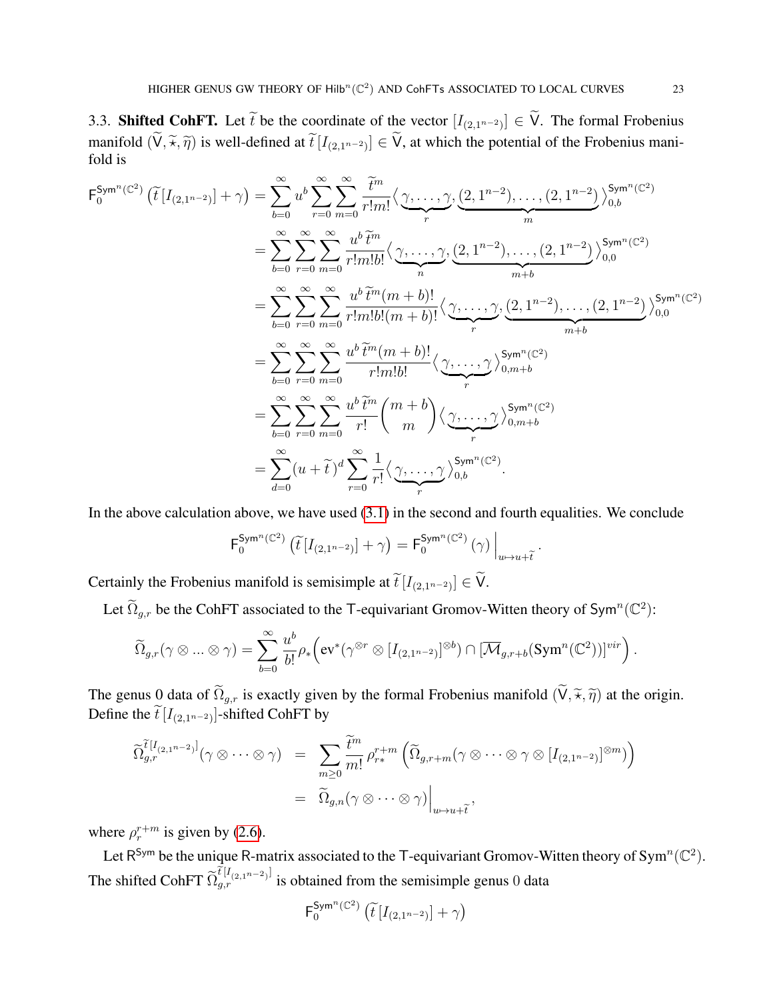3.3. **Shifted CohFT.** Let t be the coordinate of the vector  $[I_{(2,1^{n-2})}] \in V$ . The formal Frobenius manifold  $(V, \tilde{\star}, \tilde{\eta})$  is well-defined at  $\tilde{t}[I_{(2,1^{n-2})}] \in V$ , at which the potential of the Frobenius manifold is fold is

$$
F_0^{Sym^n(\mathbb{C}^2)}\left(\tilde{t}\left[I_{(2,1^{n-2})}\right]+\gamma\right) = \sum_{b=0}^{\infty} u^b \sum_{r=0}^{\infty} \sum_{m=0}^{\infty} \frac{\tilde{t}^m}{r!m!} \langle \underbrace{\gamma, \dots, \gamma}_{r}, \underbrace{(2,1^{n-2}), \dots, (2,1^{n-2})}_{m} \rangle_{0,b}^{Sym^n(\mathbb{C}^2)} \\ = \sum_{b=0}^{\infty} \sum_{r=0}^{\infty} \sum_{m=0}^{\infty} \frac{u^b \tilde{t}^m}{r!m!b!} \langle \underbrace{\gamma, \dots, \gamma}_{n}, \underbrace{(2,1^{n-2}), \dots, (2,1^{n-2})}_{m+b} \rangle_{0,0}^{Sym^n(\mathbb{C}^2)} \\ = \sum_{b=0}^{\infty} \sum_{r=0}^{\infty} \sum_{m=0}^{\infty} \frac{u^b \tilde{t}^m(m+b)!}{r!m!b! (m+b)!} \langle \underbrace{\gamma, \dots, \gamma}_{r}, \underbrace{(2,1^{n-2}), \dots, (2,1^{n-2})}_{m+b} \rangle_{0,0}^{Sym^n(\mathbb{C}^2)} \\ = \sum_{b=0}^{\infty} \sum_{r=0}^{\infty} \sum_{m=0}^{\infty} \frac{u^b \tilde{t}^m(m+b)!}{r!m!b!} \langle \underbrace{\gamma, \dots, \gamma}_{r}, \underbrace{\gamma}_{0,m+b}^{Sym^n(\mathbb{C}^2)} \\ = \sum_{b=0}^{\infty} \sum_{r=0}^{\infty} \sum_{m=0}^{\infty} \frac{u^b \tilde{t}^m}{r!} \binom{m+b}{m} \langle \underbrace{\gamma, \dots, \gamma}_{r}, \gamma \underset{0,m+b}{Sym^n(\mathbb{C}^2)} \\ = \sum_{d=0}^{\infty} (u+\tilde{t})^d \sum_{r=0}^{\infty} \frac{1}{r!} \langle \underbrace{\gamma, \dots, \gamma}_{r}, \gamma \underset{0,b}{Sym^n(\mathbb{C}^2)}.
$$

In the above calculation above, we have used  $(3.1)$  in the second and fourth equalities. We conclude

$$
\mathsf{F}_{0}^{\mathsf{Sym}^n(\mathbb{C}^2)}\left(\widetilde{t}\left[I_{(2,1^{n-2})}\right]+\gamma\right)=\mathsf{F}_{0}^{\mathsf{Sym}^n(\mathbb{C}^2)}\left(\gamma\right)\Big|_{u\mapsto u+\widetilde{t}}.
$$

Certainly the Frobenius manifold is semisimple at  $\widehat{t}[I_{(2,1^{n-2})}] \in V$ .

Let  $\widetilde{\Omega}_{g,r}$  be the CohFT associated to the T-equivariant Gromov-Witten theory of Sym<sup>n</sup>( $\mathbb{C}^2$ ):

$$
\widetilde{\Omega}_{g,r}(\gamma\otimes...\otimes\gamma)=\sum_{b=0}^\infty \frac{u^b}{b!}\rho_*\Big(\mathrm{ev}^*(\gamma^{\otimes r}\otimes [I_{(2,1^{n-2})}]^{\otimes b})\cap [\overline{\mathcal{M}}_{g,r+b}(\mathrm{Sym}^n(\mathbb{C}^2))]^{vir}\Big)\,.
$$

The genus 0 data of  $\widetilde{\Omega}_{g,r}$  is exactly given by the formal Frobenius manifold  $(\widetilde{V}, \widetilde{\star}, \widetilde{\eta})$  at the origin. Define the  $\overline{t}$  [ $I_{(2,1^{n-2})}$ ]-shifted CohFT by

$$
\widetilde{\Omega}_{g,r}^{\tilde{t}[I_{(2,1^{n-2})}]}(\gamma \otimes \cdots \otimes \gamma) = \sum_{m \geq 0} \frac{\tilde{t}^m}{m!} \rho_{r*}^{r+m} \left( \widetilde{\Omega}_{g,r+m}(\gamma \otimes \cdots \otimes \gamma \otimes [I_{(2,1^{n-2})}]^{\otimes m}) \right)
$$

$$
= \widetilde{\Omega}_{g,n}(\gamma \otimes \cdots \otimes \gamma) \Big|_{u \mapsto u+\tilde{t}},
$$

where  $\rho_r^{r+m}$  is given by [\(2.6\)](#page-16-1).

Let R<sup>Sym</sup> be the unique R-matrix associated to the T-equivariant Gromov-Witten theory of Sym<sup>n</sup>( $\mathbb{C}^2$ ). The shifted CohFT  $\widetilde{\Omega}_{g,r}^{\tilde{t}[I_{(2,1^{n-2})}]}$  is obtained from the semisimple genus 0 data

$$
\mathsf{F}_{0}^{\mathsf{Sym}^n(\mathbb{C}^2)}\left(\widetilde{t}\left[I_{(2,1^{n-2})}\right]+\gamma\right)
$$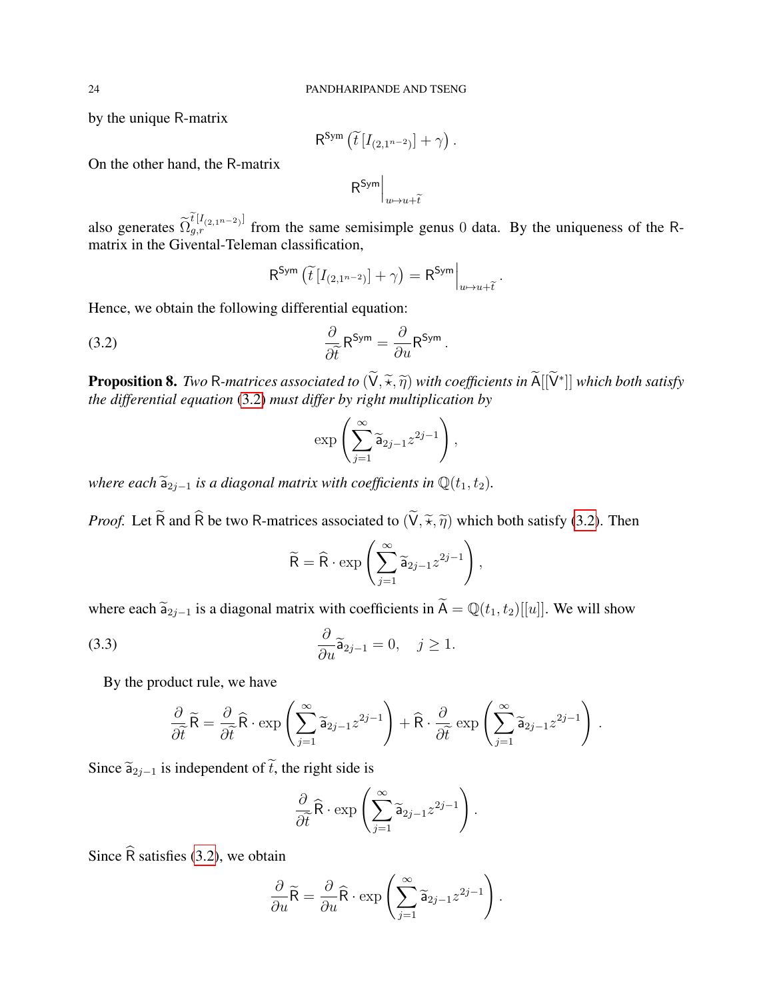by the unique R-matrix

$$
\mathsf{R}^{\mathsf{Sym}}\left(\widetilde{t}\left[I_{(2,1^{n-2})}\right]+\gamma\right).
$$

On the other hand, the R-matrix

$$
\mathsf{R}^{\mathsf{Sym}}\Big|_{u\mapsto u+\widetilde{t}}
$$

also generates  $\widetilde{\Omega}_{g,r}^{[I_{(2,1^{n-2})}]}$  from the same semisimple genus 0 data. By the uniqueness of the Rmatrix in the Givental-Teleman classification,

<span id="page-23-0"></span>
$$
\mathsf{R}^{\mathsf{Sym}}\left(\widetilde{t}\left[I_{(2,1^{n-2})}\right]+\gamma\right)=\mathsf{R}^{\mathsf{Sym}}\Big|_{u\mapsto u+\widetilde{t}}.
$$

Hence, we obtain the following differential equation:

(3.2) 
$$
\frac{\partial}{\partial \tilde{t}} \mathsf{R}^{\mathsf{Sym}} = \frac{\partial}{\partial u} \mathsf{R}^{\mathsf{Sym}}.
$$

<span id="page-23-2"></span>**Proposition 8.** *Two* R-matrices associated to  $(\check{V}, \tilde{\star}, \tilde{\eta})$  with coefficients in  $\tilde{A}[[\check{V}^*]]$  which both satisfy the differential equation (3.2) must differ by right multiplication by *the differential equation* [\(3.2\)](#page-23-0) *must differ by right multiplication by*

$$
\exp\left(\sum_{j=1}^{\infty}\widetilde{\mathsf{a}}_{2j-1}z^{2j-1}\right),\,
$$

*where each*  $\tilde{a}_{2j-1}$  *is a diagonal matrix with coefficients in*  $\mathbb{Q}(t_1, t_2)$ *.* 

*Proof.* Let  $\widetilde{R}$  and  $\widehat{R}$  be two R-matrices associated to  $(\widetilde{V}, \widetilde{\pi}, \widetilde{\eta})$  which both satisfy [\(3.2\)](#page-23-0). Then

<span id="page-23-1"></span>
$$
\widetilde{\mathsf{R}} = \widehat{\mathsf{R}} \cdot \exp\left(\sum_{j=1}^{\infty} \widetilde{\mathsf{a}}_{2j-1} z^{2j-1}\right),\,
$$

where each  $\tilde{a}_{2j-1}$  is a diagonal matrix with coefficients in  $\tilde{A} = \mathbb{Q}(t_1, t_2)[[u]]$ . We will show

(3.3) 
$$
\frac{\partial}{\partial u} \widetilde{\mathsf{a}}_{2j-1} = 0, \quad j \ge 1.
$$

By the product rule, we have

$$
\frac{\partial}{\partial \tilde{t}} \widetilde{R} = \frac{\partial}{\partial \tilde{t}} \widehat{R} \cdot \exp\left(\sum_{j=1}^{\infty} \widetilde{\mathsf{a}}_{2j-1} z^{2j-1}\right) + \widehat{R} \cdot \frac{\partial}{\partial \tilde{t}} \exp\left(\sum_{j=1}^{\infty} \widetilde{\mathsf{a}}_{2j-1} z^{2j-1}\right).
$$

Since  $\widetilde{a}_{2j-1}$  is independent of  $\widetilde{t}$ , the right side is

$$
\frac{\partial}{\partial \tilde{t}} \widehat{R} \cdot \exp\left(\sum_{j=1}^{\infty} \widetilde{\mathsf{a}}_{2j-1} z^{2j-1}\right).
$$

Since  $\widehat{R}$  satisfies [\(3.2\)](#page-23-0), we obtain

$$
\frac{\partial}{\partial u}\widetilde{\mathsf{R}} = \frac{\partial}{\partial u}\widehat{\mathsf{R}} \cdot \exp\left(\sum_{j=1}^{\infty} \widetilde{\mathsf{a}}_{2j-1} z^{2j-1}\right).
$$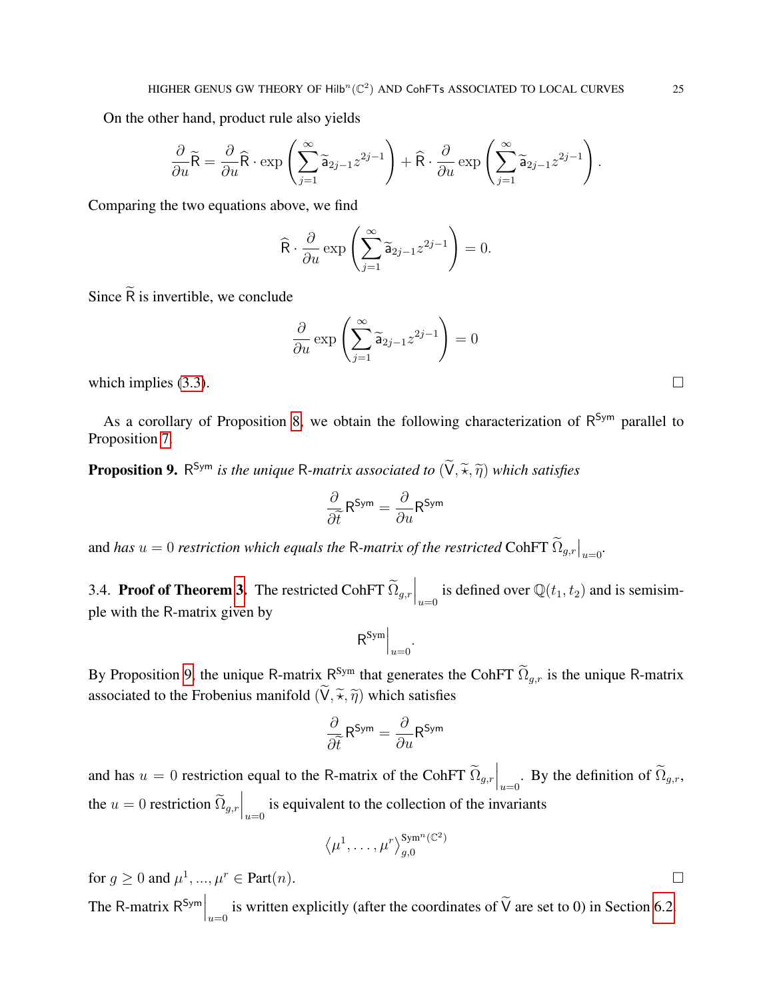On the other hand, product rule also yields

$$
\frac{\partial}{\partial u}\widetilde{\mathsf{R}} = \frac{\partial}{\partial u}\widehat{\mathsf{R}} \cdot \exp\left(\sum_{j=1}^{\infty} \widetilde{\mathsf{a}}_{2j-1} z^{2j-1}\right) + \widehat{\mathsf{R}} \cdot \frac{\partial}{\partial u} \exp\left(\sum_{j=1}^{\infty} \widetilde{\mathsf{a}}_{2j-1} z^{2j-1}\right).
$$

Comparing the two equations above, we find

$$
\widehat{\mathsf{R}} \cdot \frac{\partial}{\partial u} \exp\left(\sum_{j=1}^{\infty} \widetilde{\mathsf{a}}_{2j-1} z^{2j-1}\right) = 0.
$$

Since  $\tilde{R}$  is invertible, we conclude

$$
\frac{\partial}{\partial u} \exp\left(\sum_{j=1}^{\infty} \widetilde{\mathsf{a}}_{2j-1} z^{2j-1}\right) = 0
$$

which implies [\(3.3\)](#page-23-1).

As a corollary of Proposition [8,](#page-23-2) we obtain the following characterization of R<sup>Sym</sup> parallel to Proposition [7.](#page-18-1)

<span id="page-24-0"></span>**Proposition 9.** R<sup>Sym</sup> is the unique R-matrix associated to  $(\check{\mathsf{V}}, \tilde{\star}, \tilde{\eta})$  which satisfies

$$
\frac{\partial}{\partial \widetilde{t}} \mathsf{R}^\mathsf{Sym} = \frac{\partial}{\partial u} \mathsf{R}^\mathsf{Sym}
$$

and *has*  $u = 0$  *restriction which equals the R-matrix of the restricted* CohFT  $\tilde{\Omega}_{g,r}|_{u=0}$ .

3.4. **Proof of Theorem [3.](#page-6-1)** The restricted CohFT  $\widetilde{\Omega}_{g,r}\Big|_{u=0}$  is defined over  $\mathbb{Q}(t_1, t_2)$  and is semisimple with the R-matrix given by

$$
\mathsf{R}^{\mathsf{Sym}}\Big|_{u=0}
$$

.

By Proposition [9,](#page-24-0) the unique R-matrix  $R^{Sym}$  that generates the CohFT  $\Omega_{g,r}$  is the unique R-matrix associated to the Frobenius manifold  $(\widetilde{V}, \widetilde{\star}, \widetilde{\eta})$  which satisfies

$$
\frac{\partial}{\partial \tilde{t}} R^{\mathsf{Sym}} = \frac{\partial}{\partial u} R^{\mathsf{Sym}}
$$

and has  $u = 0$  restriction equal to the R-matrix of the CohFT  $\widetilde{\Omega}_{g,r} \Big|_{u=0}$ . By the definition of  $\widetilde{\Omega}_{g,r}$ , the  $u = 0$  restriction  $\widetilde{\Omega}_{g,r}\Big|_{u=0}$  is equivalent to the collection of the invariants

$$
\langle \mu^1, \ldots, \mu^r \rangle_{g,0}^{\text{Sym}^n(\mathbb{C}^2)}
$$

for  $g \ge 0$  and  $\mu^1, ..., \mu^r \in Part(n)$ .

The R-matrix  $R^{Sym}\Big|_{u=0}$  is written explicitly (after the coordinates of  $\widetilde{V}$  are set to 0) in Section [6.2.](#page-32-0)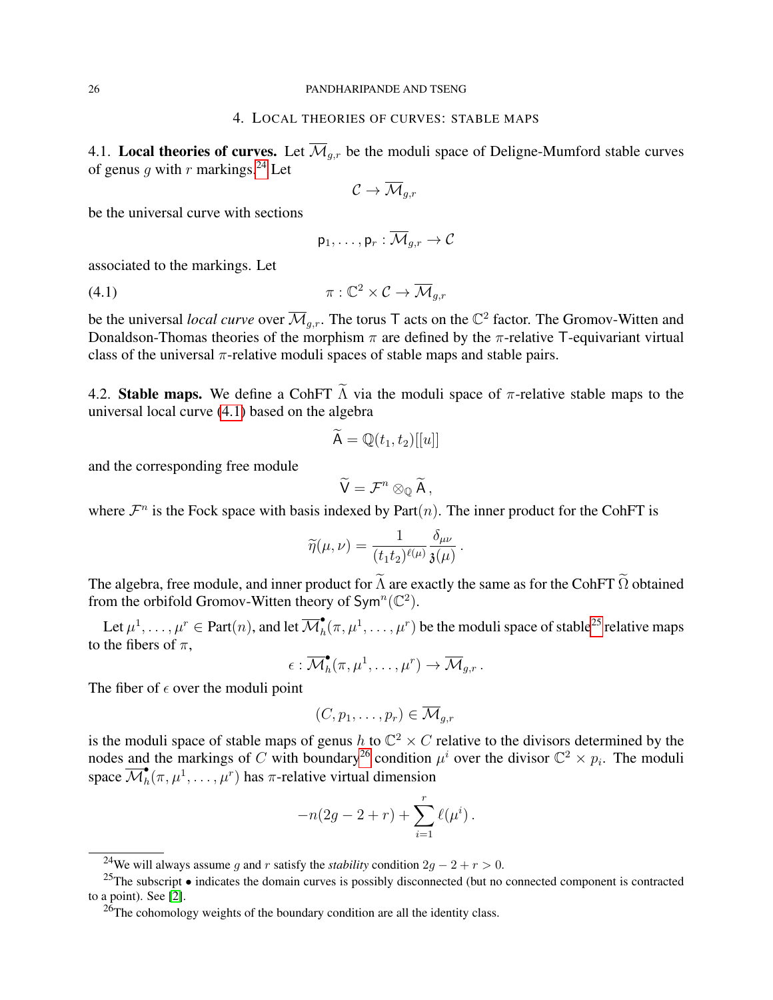### 4. LOCAL THEORIES OF CURVES: STABLE MAPS

<span id="page-25-0"></span>4.1. Local theories of curves. Let  $\overline{\mathcal{M}}_{q,r}$  be the moduli space of Deligne-Mumford stable curves of genus q with r markings.<sup>[24](#page-25-1)</sup> Let

$$
\mathcal{C} \to \overline{\mathcal{M}}_{g,r}
$$

be the universal curve with sections

<span id="page-25-2"></span>
$$
\mathsf{p}_1,\ldots,\mathsf{p}_r:\overline{\mathcal{M}}_{g,r}\to\mathcal{C}
$$

associated to the markings. Let

$$
\pi: \mathbb{C}^2 \times \mathcal{C} \to \overline{\mathcal{M}}_{g,r}
$$

be the universal *local curve* over  $\overline{\mathcal{M}}_{g,r}$ . The torus T acts on the  $\mathbb{C}^2$  factor. The Gromov-Witten and Donaldson-Thomas theories of the morphism  $\pi$  are defined by the  $\pi$ -relative T-equivariant virtual class of the universal  $\pi$ -relative moduli spaces of stable maps and stable pairs.

4.2. Stable maps. We define a CohFT  $\widetilde{\Lambda}$  via the moduli space of  $\pi$ -relative stable maps to the universal local curve [\(4.1\)](#page-25-2) based on the algebra

$$
\widetilde{\mathsf{A}} = \mathbb{Q}(t_1, t_2)[[u]]
$$

and the corresponding free module

$$
\widetilde{\mathsf{V}}=\mathcal{F}^n\otimes_{\mathbb{Q}}\widetilde{\mathsf{A}}\,,
$$

where  $\mathcal{F}^n$  is the Fock space with basis indexed by Part $(n)$ . The inner product for the CohFT is

$$
\widetilde{\eta}(\mu,\nu)=\frac{1}{(t_1t_2)^{\ell(\mu)}}\frac{\delta_{\mu\nu}}{\mathfrak{z}(\mu)}\,.
$$

The algebra, free module, and inner product for  $\tilde{\Lambda}$  are exactly the same as for the CohFT  $\tilde{\Omega}$  obtained from the orbifold Gromov-Witten theory of  $\textsf{Sym}^n(\mathbb{C}^2)$ .

Let  $\mu^1,\ldots,\mu^r\in \mathrm{Part}(n),$  and let  $\overline{\mathcal{M}}^\bullet_h$  $\bullet_h^{\bullet}(\pi,\mu^1,\ldots,\mu^r)$  be the moduli space of stable<sup>[25](#page-25-3)</sup> relative maps to the fibers of  $\pi$ ,

$$
\epsilon: \overline{\mathcal{M}}^\bullet_h(\pi,\mu^1,\ldots,\mu^r) \to \overline{\mathcal{M}}_{g,r}.
$$

The fiber of  $\epsilon$  over the moduli point

$$
(C,p_1,\ldots,p_r)\in \overline{\mathcal{M}}_{g,r}
$$

is the moduli space of stable maps of genus h to  $\mathbb{C}^2 \times C$  relative to the divisors determined by the nodes and the markings of C with boundary<sup>[26](#page-25-4)</sup> condition  $\mu^i$  over the divisor  $\mathbb{C}^2 \times p_i$ . The moduli space  $\overline{\mathcal{M}}^\bullet_h$  $\mathbf{h}(\pi,\mu^1,\ldots,\mu^r)$  has  $\pi$ -relative virtual dimension

$$
-n(2g - 2 + r) + \sum_{i=1}^{r} \ell(\mu^{i}).
$$

<span id="page-25-3"></span><span id="page-25-1"></span><sup>&</sup>lt;sup>24</sup>We will always assume g and r satisfy the *stability* condition  $2g - 2 + r > 0$ .

<sup>&</sup>lt;sup>25</sup>The subscript  $\bullet$  indicates the domain curves is possibly disconnected (but no connected component is contracted to a point). See [\[2\]](#page-50-7).

<span id="page-25-4"></span> $^{26}$ The cohomology weights of the boundary condition are all the identity class.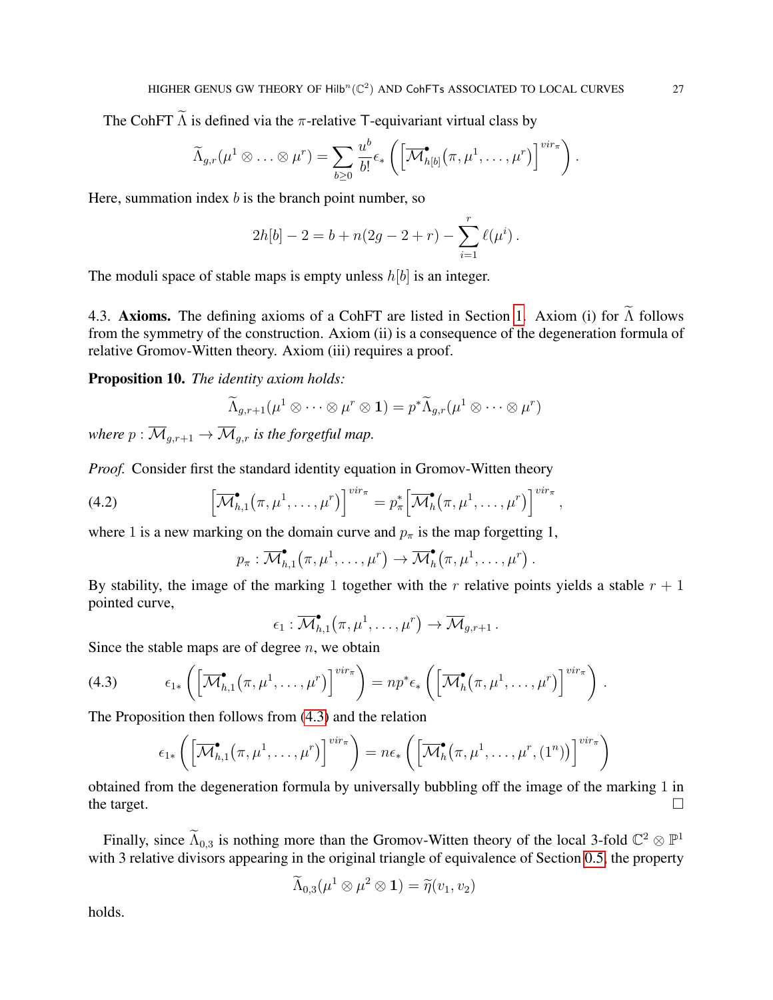The CohFT  $\widetilde{\Lambda}$  is defined via the  $\pi$ -relative T-equivariant virtual class by

$$
\widetilde{\Lambda}_{g,r}(\mu^1 \otimes \ldots \otimes \mu^r) = \sum_{b \geq 0} \frac{u^b}{b!} \epsilon_* \left( \left[ \overline{\mathcal{M}}_{h[b]}^{\bullet}(\pi, \mu^1, \ldots, \mu^r) \right]^{vir_{\pi}} \right).
$$

Here, summation index  $b$  is the branch point number, so

$$
2h[b] - 2 = b + n(2g - 2 + r) - \sum_{i=1}^{r} \ell(\mu^{i}).
$$

The moduli space of stable maps is empty unless  $h[b]$  is an integer.

4.3. Axioms. The defining axioms of a CohFT are listed in Section [1.](#page-9-0) Axiom (i) for  $\tilde{\Lambda}$  follows from the symmetry of the construction. Axiom (ii) is a consequence of the degeneration formula of relative Gromov-Witten theory. Axiom (iii) requires a proof.

 $\binom{r}{ }$ 

,

.

<span id="page-26-1"></span>Proposition 10. *The identity axiom holds:*

$$
\widetilde{\Lambda}_{g,r+1}(\mu^1 \otimes \cdots \otimes \mu^r \otimes {\mathbf 1}) = p^*\widetilde{\Lambda}_{g,r}(\mu^1 \otimes \cdots \otimes \mu^r)
$$

*where*  $p : \overline{M}_{g,r+1} \to \overline{M}_{g,r}$  *is the forgetful map.* 

*Proof.* Consider first the standard identity equation in Gromov-Witten theory

(4.2) 
$$
\left[\overline{\mathcal{M}}_{h,1}^{\bullet}(\pi,\mu^1,\ldots,\mu^r)\right]^{vir_{\pi}}=p_{\pi}^*\left[\overline{\mathcal{M}}_{h}^{\bullet}(\pi,\mu^1,\ldots,\mu^r)\right]^{vir_{\pi}}
$$

where 1 is a new marking on the domain curve and  $p_{\pi}$  is the map forgetting 1,

$$
p_{\pi} : \overline{\mathcal{M}}_{h,1}^{\bullet}(\pi,\mu^1,\ldots,\mu^r) \to \overline{\mathcal{M}}_h^{\bullet}(\pi,\mu^1,\ldots,\mu^r) .
$$

By stability, the image of the marking 1 together with the r relative points yields a stable  $r + 1$ pointed curve,

$$
\epsilon_1: \overline{\mathcal{M}}_{h,1}^{\bullet}(\pi,\mu^1,\ldots,\mu^r) \to \overline{\mathcal{M}}_{g,r+1}.
$$

Since the stable maps are of degree  $n$ , we obtain

(4.3) 
$$
\epsilon_{1*}\left(\left[\overline{\mathcal{M}}_{h,1}^{\bullet}(\pi,\mu^{1},\ldots,\mu^{r})\right]^{vir_{\pi}}\right)=np^{*}\epsilon_{*}\left(\left[\overline{\mathcal{M}}_{h}^{\bullet}(\pi,\mu^{1},\ldots,\mu^{r})\right]^{vir_{\pi}}\right)
$$

The Proposition then follows from [\(4.3\)](#page-26-0) and the relation

<span id="page-26-0"></span>
$$
\epsilon_{1*}\left(\left[\overline{\mathcal{M}}_{h,1}^{\bullet}(\pi,\mu^{1},\ldots,\mu^{r})\right]^{vir_{\pi}}\right)=n\epsilon_{*}\left(\left[\overline{\mathcal{M}}_{h}^{\bullet}(\pi,\mu^{1},\ldots,\mu^{r},(1^{n}))\right]^{vir_{\pi}}\right)
$$

obtained from the degeneration formula by universally bubbling off the image of the marking 1 in the target.  $\Box$ 

Finally, since  $\widetilde{\Lambda}_{0,3}$  is nothing more than the Gromov-Witten theory of the local 3-fold  $\mathbb{C}^2 \otimes \mathbb{P}^1$ with 3 relative divisors appearing in the original triangle of equivalence of Section [0.5,](#page-4-2) the property

$$
\widetilde{\Lambda}_{0,3}(\mu^1 \otimes \mu^2 \otimes \mathbf{1}) = \widetilde{\eta}(v_1, v_2)
$$

holds.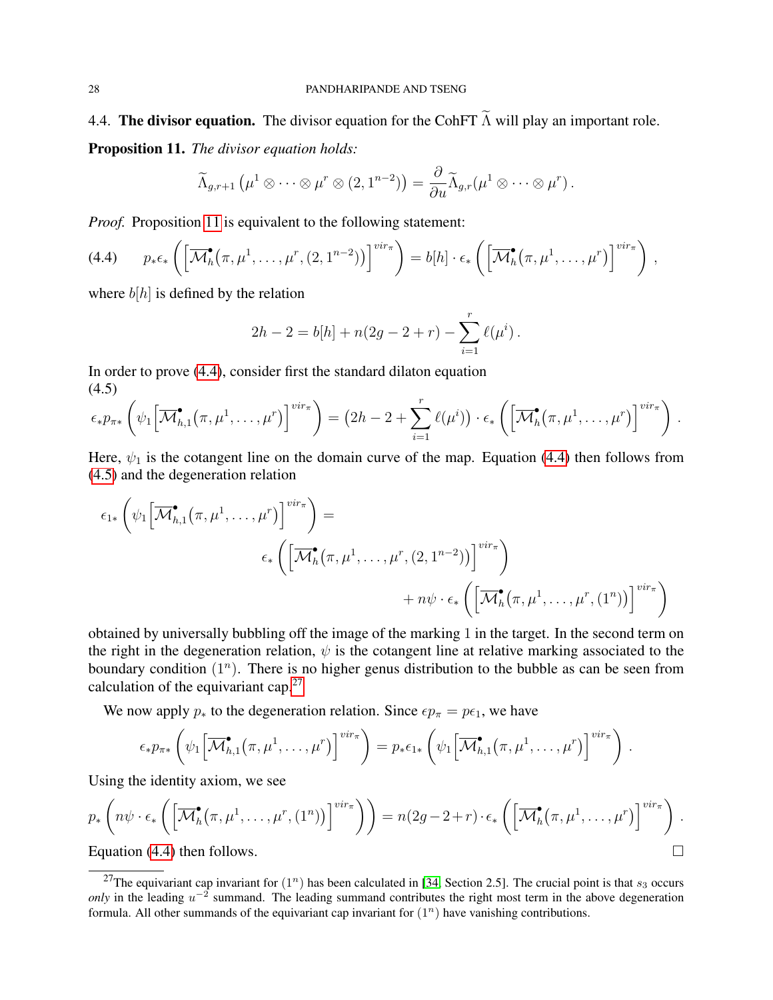4.4. The divisor equation. The divisor equation for the CohFT  $\widetilde{\Lambda}$  will play an important role.

<span id="page-27-0"></span>Proposition 11. *The divisor equation holds:*

$$
\widetilde{\Lambda}_{g,r+1}(\mu^1 \otimes \cdots \otimes \mu^r \otimes (2,1^{n-2})) = \frac{\partial}{\partial u} \widetilde{\Lambda}_{g,r}(\mu^1 \otimes \cdots \otimes \mu^r).
$$

*Proof.* Proposition [11](#page-27-0) is equivalent to the following statement:

<span id="page-27-1"></span>
$$
(4.4) \qquad p_*\epsilon_*\left(\left[\overline{\mathcal{M}}_h^{\bullet}(\pi,\mu^1,\ldots,\mu^r,(2,1^{n-2}))\right]^{vir_{\pi}}\right)=b[h]\cdot\epsilon_*\left(\left[\overline{\mathcal{M}}_h^{\bullet}(\pi,\mu^1,\ldots,\mu^r)\right]^{vir_{\pi}}\right),
$$

where  $b[h]$  is defined by the relation

$$
2h - 2 = b[h] + n(2g - 2 + r) - \sum_{i=1}^{r} \ell(\mu^{i}).
$$

In order to prove [\(4.4\)](#page-27-1), consider first the standard dilaton equation (4.5)

<span id="page-27-2"></span>
$$
\epsilon_* p_{\pi*} \left( \psi_1 \Big[ \overline{\mathcal{M}}_{h,1}^{\bullet} \big( \pi, \mu^1, \ldots, \mu^r \big) \Big]^{vir_{\pi}} \right) = \left( 2h - 2 + \sum_{i=1}^r \ell(\mu^i) \right) \cdot \epsilon_* \left( \Big[ \overline{\mathcal{M}}_{h}^{\bullet} \big( \pi, \mu^1, \ldots, \mu^r \big) \Big]^{vir_{\pi}} \right) .
$$

Here,  $\psi_1$  is the cotangent line on the domain curve of the map. Equation [\(4.4\)](#page-27-1) then follows from [\(4.5\)](#page-27-2) and the degeneration relation

$$
\epsilon_{1*} \left( \psi_1 \left[ \overline{\mathcal{M}}_{h,1}^{\bullet} \left( \pi, \mu^1, \ldots, \mu^r \right) \right]^{vir_{\pi}} \right) =
$$
\n
$$
\epsilon_* \left( \left[ \overline{\mathcal{M}}_{h}^{\bullet} \left( \pi, \mu^1, \ldots, \mu^r, (2, 1^{n-2}) \right) \right]^{vir_{\pi}} \right)
$$
\n
$$
+ n \psi \cdot \epsilon_* \left( \left[ \overline{\mathcal{M}}_{h}^{\bullet} \left( \pi, \mu^1, \ldots, \mu^r, (1^n) \right) \right]^{vir_{\pi}} \right)
$$

obtained by universally bubbling off the image of the marking 1 in the target. In the second term on the right in the degeneration relation,  $\psi$  is the cotangent line at relative marking associated to the boundary condition  $(1^n)$ . There is no higher genus distribution to the bubble as can be seen from calculation of the equivariant cap. $27$ 

We now apply  $p_*$  to the degeneration relation. Since  $\epsilon p_{\pi} = p\epsilon_1$ , we have

$$
\epsilon_* p_{\pi*} \left( \psi_1 \left[ \overline{\mathcal{M}}_{h,1}^{\bullet} \left( \pi, \mu^1, \ldots, \mu^r \right) \right]^{vir_{\pi}} \right) = p_* \epsilon_{1*} \left( \psi_1 \left[ \overline{\mathcal{M}}_{h,1}^{\bullet} \left( \pi, \mu^1, \ldots, \mu^r \right) \right]^{vir_{\pi}} \right)
$$

.

Using the identity axiom, we see

$$
p_*\left(n\psi \cdot \epsilon_*\left(\left[\overline{\mathcal{M}}_h^{\bullet}(\pi,\mu^1,\ldots,\mu^r,(1^n))\right]^{vir_{\pi}}\right)\right)=n(2g-2+r)\cdot \epsilon_*\left(\left[\overline{\mathcal{M}}_h^{\bullet}(\pi,\mu^1,\ldots,\mu^r)\right]^{vir_{\pi}}\right).
$$
  
Equation (4.4) then follows

Equation [\(4.4\)](#page-27-1) then follows.

<span id="page-27-3"></span><sup>&</sup>lt;sup>27</sup>The equivariant cap invariant for  $(1^n)$  has been calculated in [\[34,](#page-51-11) Section 2.5]. The crucial point is that  $s_3$  occurs *only* in the leading  $u^{-2}$  summand. The leading summand contributes the right most term in the above degeneration formula. All other summands of the equivariant cap invariant for  $(1^n)$  have vanishing contributions.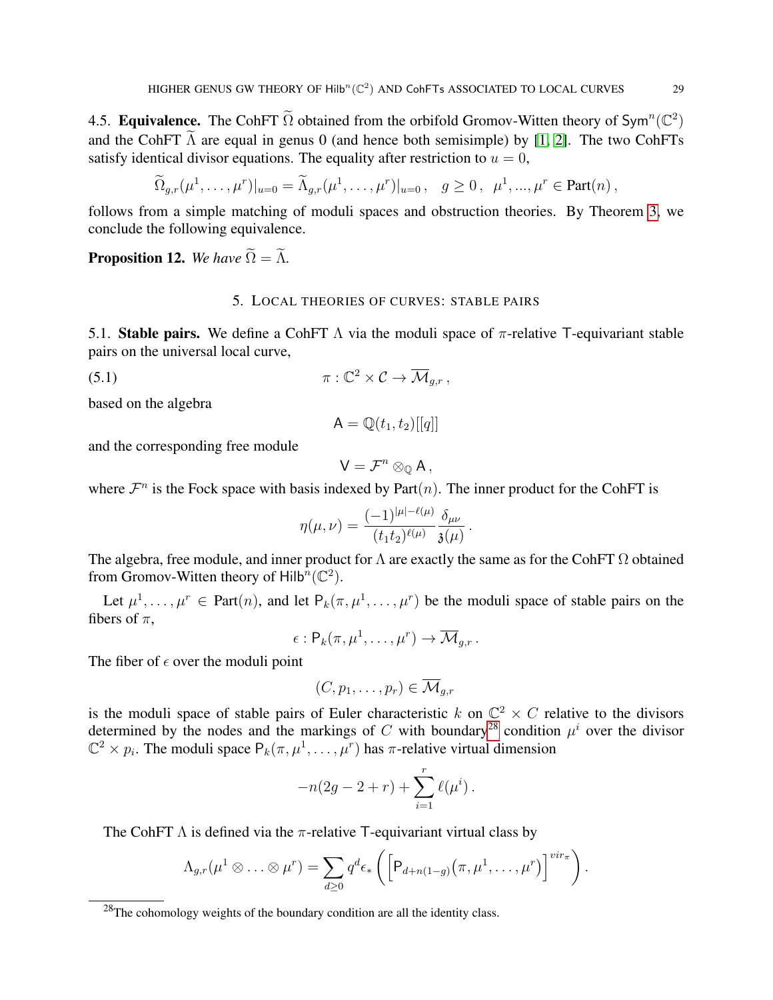4.5. Equivalence. The CohFT  $\tilde{\Omega}$  obtained from the orbifold Gromov-Witten theory of Sym<sup>n</sup>( $\mathbb{C}^2$ ) and the CohFT  $\tilde{\Lambda}$  are equal in genus 0 (and hence both semisimple) by [\[1,](#page-50-0) [2\]](#page-50-7). The two CohFTs satisfy identical divisor equations. The equality after restriction to  $u = 0$ ,

$$
\widetilde{\Omega}_{g,r}(\mu^1,\ldots,\mu^r)|_{u=0}=\widetilde{\Lambda}_{g,r}(\mu^1,\ldots,\mu^r)|_{u=0},\quad g\geq 0\,,\ \ \mu^1,\ldots,\mu^r\in \text{Part}(n)\,,
$$

follows from a simple matching of moduli spaces and obstruction theories. By Theorem [3,](#page-6-1) we conclude the following equivalence.

<span id="page-28-2"></span><span id="page-28-0"></span>**Proposition 12.** *We have*  $\widetilde{\Omega} = \widetilde{\Lambda}$ .

## 5. LOCAL THEORIES OF CURVES: STABLE PAIRS

5.1. Stable pairs. We define a CohFT  $\Lambda$  via the moduli space of  $\pi$ -relative T-equivariant stable pairs on the universal local curve,

(5.1)  $\pi : \mathbb{C}^2 \times \mathcal{C} \to \overline{\mathcal{M}}_{g,r}$ ,

based on the algebra

$$
\mathsf{A} = \mathbb{Q}(t_1, t_2)[[q]]
$$

and the corresponding free module

$$
V=\mathcal{F}^n\otimes_{\mathbb{Q}} A,
$$

where  $\mathcal{F}^n$  is the Fock space with basis indexed by Part $(n)$ . The inner product for the CohFT is

$$
\eta(\mu,\nu) = \frac{(-1)^{|\mu|-\ell(\mu)}}{(t_1t_2)^{\ell(\mu)}} \frac{\delta_{\mu\nu}}{\mathfrak{z}(\mu)} \, .
$$

The algebra, free module, and inner product for  $\Lambda$  are exactly the same as for the CohFT  $\Omega$  obtained from Gromov-Witten theory of Hilb $\widehat{h}(\mathbb{C}^2)$ .

Let  $\mu^1, \ldots, \mu^r \in \text{Part}(n)$ , and let  $P_k(\pi, \mu^1, \ldots, \mu^r)$  be the moduli space of stable pairs on the fibers of  $\pi$ ,

$$
\epsilon: \mathsf{P}_k(\pi,\mu^1,\ldots,\mu^r) \to \overline{\mathcal{M}}_{g,r}.
$$

The fiber of  $\epsilon$  over the moduli point

$$
(C, p_1, \ldots, p_r) \in \overline{\mathcal{M}}_{g,r}
$$

is the moduli space of stable pairs of Euler characteristic k on  $\mathbb{C}^2 \times C$  relative to the divisors determined by the nodes and the markings of C with boundary<sup>[28](#page-28-1)</sup> condition  $\mu^{i}$  over the divisor  $\mathbb{C}^2 \times p_i$ . The moduli space  $P_k(\pi, \mu^1, \dots, \mu^r)$  has  $\pi$ -relative virtual dimension

$$
-n(2g - 2 + r) + \sum_{i=1}^{r} \ell(\mu^{i}).
$$

The CohFT  $\Lambda$  is defined via the  $\pi$ -relative T-equivariant virtual class by

$$
\Lambda_{g,r}(\mu^1 \otimes \ldots \otimes \mu^r) = \sum_{d \geq 0} q^d \epsilon_* \left( \left[ P_{d+n(1-g)}(\pi, \mu^1, \ldots, \mu^r) \right]^{vir_{\pi}} \right).
$$

<span id="page-28-1"></span> $^{28}$ The cohomology weights of the boundary condition are all the identity class.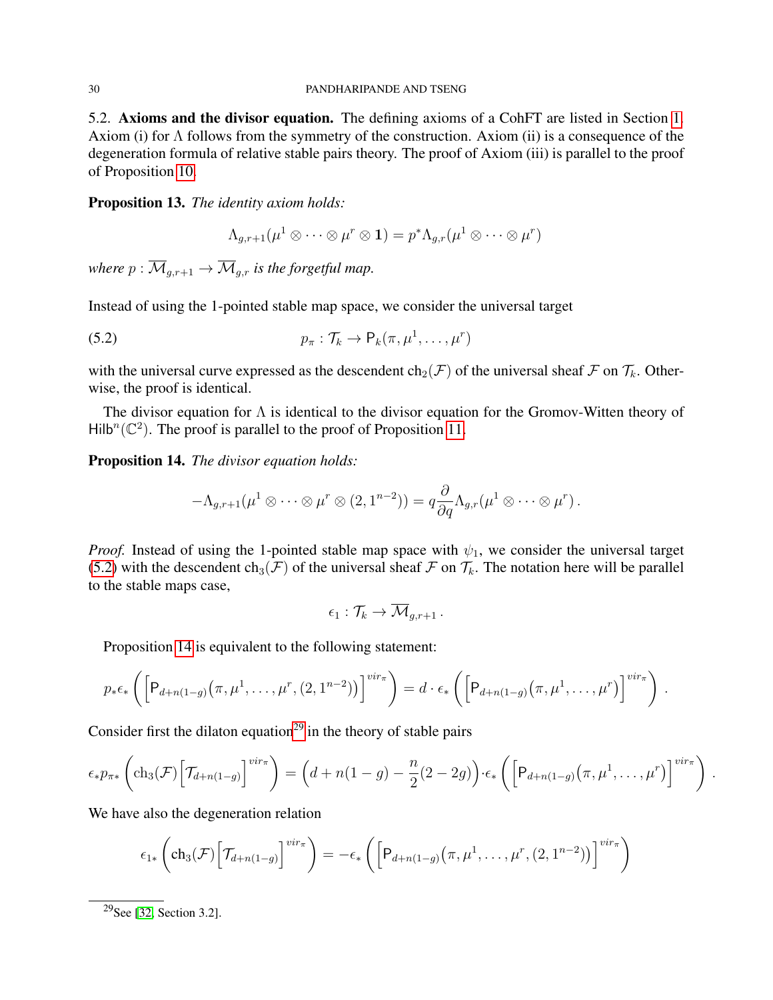#### 30 PANDHARIPANDE AND TSENG

5.2. Axioms and the divisor equation. The defining axioms of a CohFT are listed in Section [1.](#page-9-0) Axiom (i) for Λ follows from the symmetry of the construction. Axiom (ii) is a consequence of the degeneration formula of relative stable pairs theory. The proof of Axiom (iii) is parallel to the proof of Proposition [10.](#page-26-1)

Proposition 13. *The identity axiom holds:*

<span id="page-29-0"></span>
$$
\Lambda_{g,r+1}(\mu^1 \otimes \cdots \otimes \mu^r \otimes \mathbf{1}) = p^* \Lambda_{g,r}(\mu^1 \otimes \cdots \otimes \mu^r)
$$

*where*  $p : \overline{M}_{g,r+1} \to \overline{M}_{g,r}$  *is the forgetful map.* 

Instead of using the 1-pointed stable map space, we consider the universal target

(5.2) 
$$
p_{\pi}: \mathcal{T}_k \to \mathsf{P}_k(\pi, \mu^1, \ldots, \mu^r)
$$

with the universal curve expressed as the descendent  $ch_2(\mathcal{F})$  of the universal sheaf  $\mathcal F$  on  $\mathcal T_k$ . Otherwise, the proof is identical.

The divisor equation for  $\Lambda$  is identical to the divisor equation for the Gromov-Witten theory of  $Hilb^{n}(\mathbb{C}^{2})$ . The proof is parallel to the proof of Proposition [11.](#page-27-0)

<span id="page-29-1"></span>Proposition 14. *The divisor equation holds:*

$$
-\Lambda_{g,r+1}(\mu^1\otimes\cdots\otimes\mu^r\otimes(2,1^{n-2}))=q\frac{\partial}{\partial q}\Lambda_{g,r}(\mu^1\otimes\cdots\otimes\mu^r).
$$

*Proof.* Instead of using the 1-pointed stable map space with  $\psi_1$ , we consider the universal target [\(5.2\)](#page-29-0) with the descendent  $ch_3(\mathcal{F})$  of the universal sheaf  $\mathcal F$  on  $\mathcal T_k$ . The notation here will be parallel to the stable maps case,

$$
\epsilon_1: \mathcal{T}_k \to \overline{\mathcal{M}}_{g,r+1}.
$$

Proposition [14](#page-29-1) is equivalent to the following statement:

$$
p_*\epsilon_*\left(\left[\mathsf{P}_{d+n(1-g)}\left(\pi,\mu^1,\ldots,\mu^r,(2,1^{n-2})\right)\right]^{vir_{\pi}}\right)=d\cdot\epsilon_*\left(\left[\mathsf{P}_{d+n(1-g)}\left(\pi,\mu^1,\ldots,\mu^r\right)\right]^{vir_{\pi}}\right).
$$

Consider first the dilaton equation<sup>[29](#page-29-2)</sup> in the theory of stable pairs

$$
\epsilon_* p_{\pi*} \left( \text{ch}_3(\mathcal{F}) \Big[ \mathcal{T}_{d+n(1-g)} \Big]^{vir_{\pi}} \right) = \left( d + n(1-g) - \frac{n}{2}(2-2g) \right) \cdot \epsilon_* \left( \Big[ P_{d+n(1-g)} \big( \pi, \mu^1, \ldots, \mu^r \big) \Big]^{vir_{\pi}} \right).
$$

We have also the degeneration relation

$$
\epsilon_{1*}\left(\mathrm{ch}_3(\mathcal{F})\Big[\mathcal{T}_{d+n(1-g)}\Big]^{vir_{\pi}}\right)=-\epsilon_*\left(\Big[P_{d+n(1-g)}\big(\pi,\mu^1,\ldots,\mu^r,(2,1^{n-2})\big)\Big]^{vir_{\pi}}\right)
$$

<span id="page-29-2"></span><sup>29</sup>See [\[32,](#page-51-12) Section 3.2].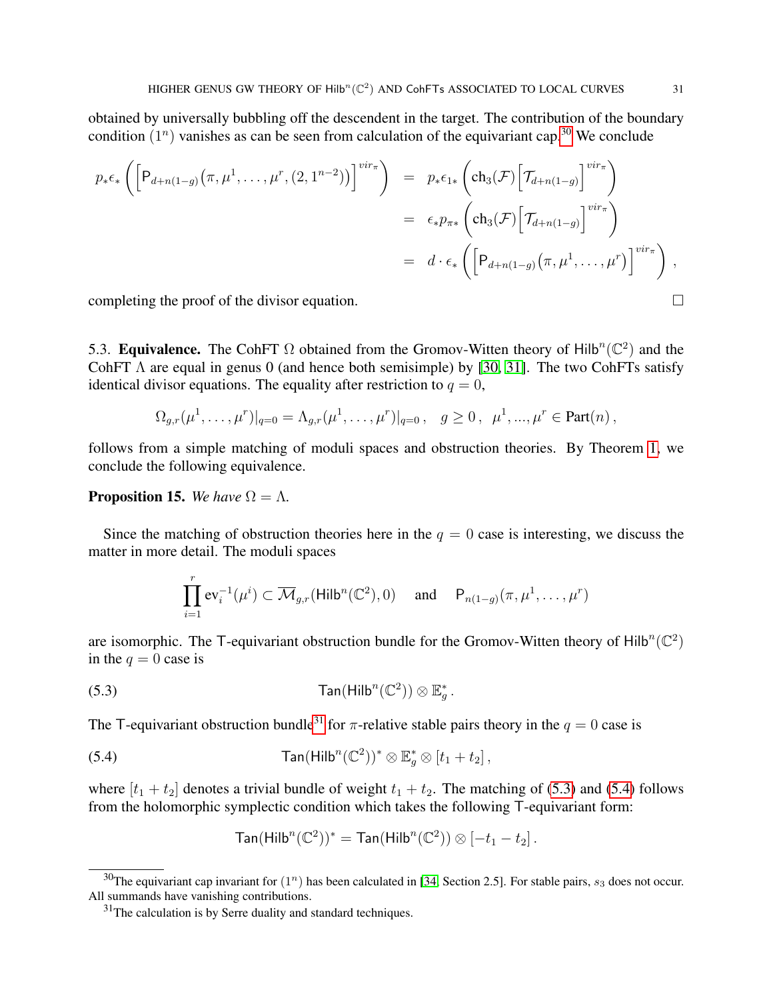obtained by universally bubbling off the descendent in the target. The contribution of the boundary condition  $(1^n)$  vanishes as can be seen from calculation of the equivariant cap.<sup>[30](#page-30-0)</sup> We conclude

$$
p_{*}\epsilon_{*}\left(\left[P_{d+n(1-g)}(\pi,\mu^{1},\ldots,\mu^{r},(2,1^{n-2}))\right]^{vir_{\pi}}\right) = p_{*}\epsilon_{1*}\left(\text{ch}_{3}(\mathcal{F})\left[\mathcal{T}_{d+n(1-g)}\right]^{vir_{\pi}}\right)
$$

$$
= \epsilon_{*}p_{\pi*}\left(\text{ch}_{3}(\mathcal{F})\left[\mathcal{T}_{d+n(1-g)}\right]^{vir_{\pi}}\right)
$$

$$
= d \cdot \epsilon_{*}\left(\left[P_{d+n(1-g)}(\pi,\mu^{1},\ldots,\mu^{r})\right]^{vir_{\pi}}\right),
$$

completing the proof of the divisor equation.  $\Box$ 

5.3. Equivalence. The CohFT  $\Omega$  obtained from the Gromov-Witten theory of Hilb<sup>n</sup>( $\mathbb{C}^2$ ) and the CohFT  $\Lambda$  are equal in genus 0 (and hence both semisimple) by [\[30,](#page-51-1) [31\]](#page-51-3). The two CohFTs satisfy identical divisor equations. The equality after restriction to  $q = 0$ ,

$$
\Omega_{g,r}(\mu^1,\ldots,\mu^r)|_{q=0}=\Lambda_{g,r}(\mu^1,\ldots,\mu^r)|_{q=0},\quad g\geq 0\,,\ \mu^1,\ldots,\mu^r\in \text{Part}(n)\,,
$$

follows from a simple matching of moduli spaces and obstruction theories. By Theorem [1,](#page-4-0) we conclude the following equivalence.

### <span id="page-30-4"></span>**Proposition 15.** *We have*  $\Omega = \Lambda$ .

Since the matching of obstruction theories here in the  $q = 0$  case is interesting, we discuss the matter in more detail. The moduli spaces

<span id="page-30-2"></span>
$$
\prod_{i=1}^r \text{ev}_i^{-1}(\mu^i) \subset \overline{\mathcal{M}}_{g,r}(\text{Hilb}^n(\mathbb{C}^2), 0) \quad \text{ and } \quad \mathsf{P}_{n(1-g)}(\pi, \mu^1, \dots, \mu^r)
$$

are isomorphic. The T-equivariant obstruction bundle for the Gromov-Witten theory of Hilb<sup>n</sup>( $\mathbb{C}^2$ ) in the  $q = 0$  case is

(5.3) 
$$
\text{Tan}(\text{Hilb}^n(\mathbb{C}^2)) \otimes \mathbb{E}_g^*.
$$

The T-equivariant obstruction bundle<sup>[31](#page-30-1)</sup> for  $\pi$ -relative stable pairs theory in the  $q = 0$  case is

(5.4) 
$$
\text{Tan}(\text{Hilb}^n(\mathbb{C}^2))^* \otimes \mathbb{E}_g^* \otimes [t_1 + t_2],
$$

where  $[t_1 + t_2]$  denotes a trivial bundle of weight  $t_1 + t_2$ . The matching of [\(5.3\)](#page-30-2) and [\(5.4\)](#page-30-3) follows from the holomorphic symplectic condition which takes the following T-equivariant form:

<span id="page-30-3"></span>
$$
\text{Tan}(\text{Hilb}^n(\mathbb{C}^2))^* = \text{Tan}(\text{Hilb}^n(\mathbb{C}^2)) \otimes [-t_1 - t_2].
$$

<span id="page-30-0"></span><sup>&</sup>lt;sup>30</sup>The equivariant cap invariant for  $(1^n)$  has been calculated in [\[34,](#page-51-11) Section 2.5]. For stable pairs,  $s_3$  does not occur. All summands have vanishing contributions.

<span id="page-30-1"></span> $31$ The calculation is by Serre duality and standard techniques.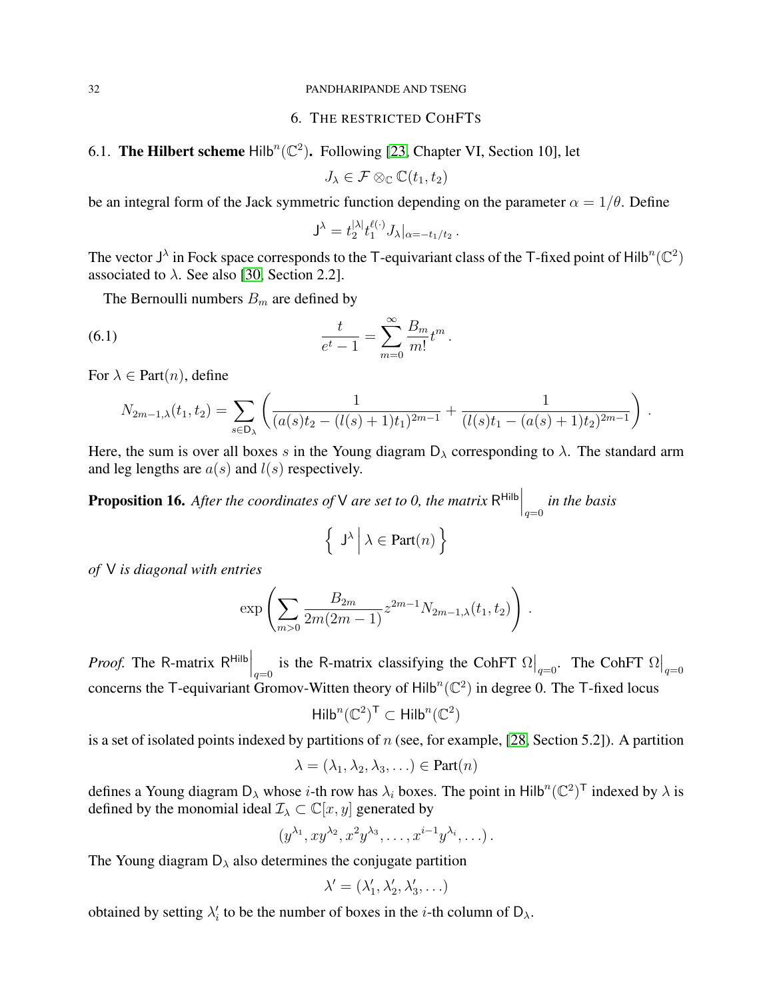#### <span id="page-31-0"></span>32 PANDHARIPANDE AND TSENG

# 6. THE RESTRICTED COHFTS

# <span id="page-31-1"></span>6.1. The Hilbert scheme  $\text{Hilb}^n(\mathbb{C}^2)$ . Following [\[23,](#page-50-17) Chapter VI, Section 10], let

 $J_{\lambda} \in \mathcal{F} \otimes_{\mathbb{C}} \mathbb{C}(t_1, t_2)$ 

be an integral form of the Jack symmetric function depending on the parameter  $\alpha = 1/\theta$ . Define

<span id="page-31-2"></span>
$$
\mathsf{J}^\lambda = t_2^{|\lambda|} t_1^{\ell(\cdot)} J_\lambda |_{\alpha = -t_1/t_2} \, .
$$

The vector  $J^{\lambda}$  in Fock space corresponds to the T-equivariant class of the T-fixed point of Hilb<sup>n</sup>( $\mathbb{C}^2$ ) associated to  $\lambda$ . See also [\[30,](#page-51-1) Section 2.2].

The Bernoulli numbers  $B_m$  are defined by

(6.1) 
$$
\frac{t}{e^t - 1} = \sum_{m=0}^{\infty} \frac{B_m}{m!} t^m.
$$

For  $\lambda \in$  Part $(n)$ , define

$$
N_{2m-1,\lambda}(t_1,t_2) = \sum_{s \in D_{\lambda}} \left( \frac{1}{(a(s)t_2 - (l(s)+1)t_1)^{2m-1}} + \frac{1}{(l(s)t_1 - (a(s)+1)t_2)^{2m-1}} \right).
$$

Here, the sum is over all boxes s in the Young diagram  $D_{\lambda}$  corresponding to  $\lambda$ . The standard arm and leg lengths are  $a(s)$  and  $l(s)$  respectively.

<span id="page-31-3"></span>**Proposition 16.** After the coordinates of V are set to 0, the matrix  $R^{\text{Hilb}}\Big|_{q=0}$  in the basis

$$
\left\{ \left| J^{\lambda} \right| \lambda \in \text{Part}(n) \right\}
$$

*of* V *is diagonal with entries*

$$
\exp\left(\sum_{m>0}\frac{B_{2m}}{2m(2m-1)}z^{2m-1}N_{2m-1,\lambda}(t_1,t_2)\right).
$$

*Proof.* The R-matrix R<sup>Hilb</sup>  $\Big|_{q=0}$  is the R-matrix classifying the CohFT  $\Omega\Big|_{q=0}$ . The CohFT  $\Omega\Big|_{q=0}$ concerns the T-equivariant Gromov-Witten theory of  $Hilb^{n}(\mathbb{C}^{2})$  in degree 0. The T-fixed locus

$$
\mathsf{Hilb}^n(\mathbb{C}^2)^\mathsf{T}\subset \mathsf{Hilb}^n(\mathbb{C}^2)
$$

is a set of isolated points indexed by partitions of  $n$  (see, for example, [\[28,](#page-51-2) Section 5.2]). A partition

$$
\lambda = (\lambda_1, \lambda_2, \lambda_3, \ldots) \in Part(n)
$$

defines a Young diagram  $D_\lambda$  whose *i*-th row has  $\lambda_i$  boxes. The point in Hilb<sup>n</sup>( $\mathbb{C}^2$ )<sup>T</sup> indexed by  $\lambda$  is defined by the monomial ideal  $\mathcal{I}_{\lambda} \subset \mathbb{C}[x, y]$  generated by

$$
(y^{\lambda_1}, xy^{\lambda_2}, x^2y^{\lambda_3}, \dots, x^{i-1}y^{\lambda_i}, \dots).
$$

The Young diagram  $D_{\lambda}$  also determines the conjugate partition

$$
\lambda' = (\lambda'_1, \lambda'_2, \lambda'_3, \ldots)
$$

obtained by setting  $\lambda'_i$  to be the number of boxes in the *i*-th column of  $D_\lambda$ .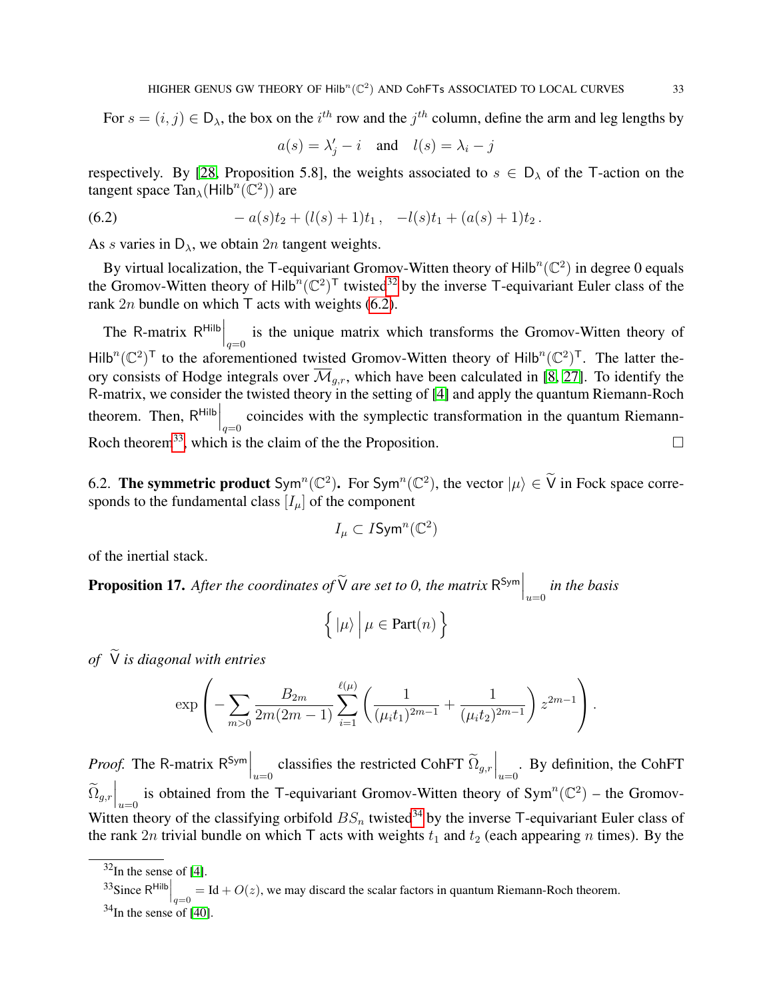For  $s = (i, j) \in D_\lambda$ , the box on the  $i^{th}$  row and the  $j^{th}$  column, define the arm and leg lengths by

<span id="page-32-2"></span>
$$
a(s) = \lambda'_j - i
$$
 and  $l(s) = \lambda_i - j$ 

respectively. By [\[28,](#page-51-2) Proposition 5.8], the weights associated to  $s \in D_\lambda$  of the T-action on the tangent space  $\text{Tan}_{\lambda}(\text{Hilb}^n(\mathbb{C}^2))$  are

(6.2) 
$$
-a(s)t_2+(l(s)+1)t_1, -l(s)t_1+(a(s)+1)t_2.
$$

As s varies in  $D_{\lambda}$ , we obtain 2n tangent weights.

By virtual localization, the T-equivariant Gromov-Witten theory of  $Hilb^{n}(\mathbb{C}^{2})$  in degree 0 equals the Gromov-Witten theory of Hilb<sup>n</sup> $({\mathbb{C}}^2)^T$  twisted<sup>[32](#page-32-1)</sup> by the inverse T-equivariant Euler class of the rank  $2n$  bundle on which T acts with weights [\(6.2\)](#page-32-2).

The R-matrix  $R^{Hilb}\Big|_{q=0}$  is the unique matrix which transforms the Gromov-Witten theory of  $Hilb^{n}(\mathbb{C}^{2})^{T}$  to the aforementioned twisted Gromov-Witten theory of Hilb<sup>n</sup>( $\mathbb{C}^{2})^{T}$ . The latter theory consists of Hodge integrals over  $\overline{\mathcal{M}}_{g,r}$ , which have been calculated in [\[8,](#page-50-18) [27\]](#page-51-13). To identify the R-matrix, we consider the twisted theory in the setting of [\[4\]](#page-50-19) and apply the quantum Riemann-Roch theorem. Then,  $R^{\text{Hilb}}\Big|_{q=0}$  coincides with the symplectic transformation in the quantum Riemann-Roch theorem<sup>[33](#page-32-3)</sup>, which is the claim of the the Proposition.  $\Box$ 

<span id="page-32-0"></span>6.2. The symmetric product  $Sym^n(\mathbb{C}^2)$ . For  $Sym^n(\mathbb{C}^2)$ , the vector  $|\mu\rangle \in \widetilde{V}$  in Fock space corresponds to the fundamental class  $[I_\mu]$  of the component

$$
I_\mu\subset I\mathsf{Sym}^n(\mathbb{C}^2)
$$

of the inertial stack.

<span id="page-32-5"></span>**Proposition 17.** After the coordinates of  $\widetilde{V}$  are set to 0, the matrix  $R^{\text{Sym}}\Big|_{u=0}$  in the basis

$$
\left\{ \left. \left| \mu \right\rangle \right. \right| \mu \in \mathrm{Part}(n) \left. \right\}
$$

*of*  $\widetilde{V}$  *is diagonal with entries* 

$$
\exp\left(-\sum_{m>0}\frac{B_{2m}}{2m(2m-1)}\sum_{i=1}^{\ell(\mu)}\left(\frac{1}{(\mu_it_1)^{2m-1}}+\frac{1}{(\mu_it_2)^{2m-1}}\right)z^{2m-1}\right).
$$

*Proof.* The R-matrix  $R^{Sym}$   $\Big|_{u=0}$  classifies the restricted CohFT  $\widetilde{\Omega}_{g,r}\Big|_{u=0}$ . By definition, the CohFT  $\widetilde{\Omega}_{g,r}\Big|_{u=0}$  is obtained from the T-equivariant Gromov-Witten theory of Sym<sup>n</sup>( $\mathbb{C}^2$ ) – the Gromov-Witten theory of the classifying orbifold  $BS_n$  twisted<sup>[34](#page-32-4)</sup> by the inverse T-equivariant Euler class of the rank 2n trivial bundle on which  $\mathsf T$  acts with weights  $t_1$  and  $t_2$  (each appearing n times). By the

<span id="page-32-1"></span> $32$ In the sense of [\[4\]](#page-50-19).

<span id="page-32-3"></span><sup>&</sup>lt;sup>33</sup>Since R<sup>Hilb</sup> $\Big|_{q=0} = \text{Id} + O(z)$ , we may discard the scalar factors in quantum Riemann-Roch theorem.

<span id="page-32-4"></span> $34$ In the sense of [\[40\]](#page-51-10).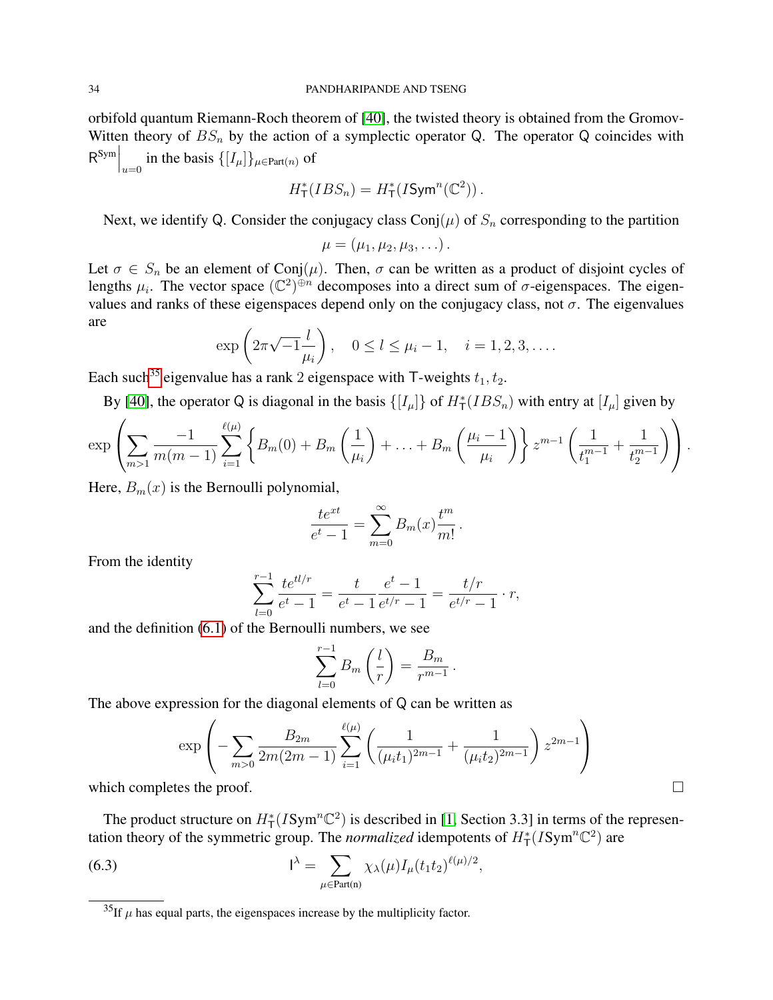orbifold quantum Riemann-Roch theorem of [\[40\]](#page-51-10), the twisted theory is obtained from the Gromov-Witten theory of  $BS_n$  by the action of a symplectic operator Q. The operator Q coincides with  $\mathsf{R}^{\text{Sym}}\Big|_{u=0}$  in the basis  $\{[I_\mu]\}_{\mu \in \text{Part}(n)}$  of

$$
H^*_{\mathsf{T}}(IBS_n) = H^*_{\mathsf{T}}(I\mathsf{Sym}^n(\mathbb{C}^2)).
$$

Next, we identify Q. Consider the conjugacy class  $Conj(\mu)$  of  $S_n$  corresponding to the partition

$$
\mu=(\mu_1,\mu_2,\mu_3,\ldots).
$$

Let  $\sigma \in S_n$  be an element of Conj $(\mu)$ . Then,  $\sigma$  can be written as a product of disjoint cycles of lengths  $\mu_i$ . The vector space  $(\mathbb{C}^2)^{\oplus n}$  decomposes into a direct sum of  $\sigma$ -eigenspaces. The eigenvalues and ranks of these eigenspaces depend only on the conjugacy class, not  $\sigma$ . The eigenvalues are

$$
\exp\left(2\pi\sqrt{-1}\frac{l}{\mu_i}\right), \quad 0 \le l \le \mu_i - 1, \quad i = 1, 2, 3, ....
$$

Each such<sup>[35](#page-33-0)</sup> eigenvalue has a rank 2 eigenspace with T-weights  $t_1, t_2$ .

By [\[40\]](#page-51-10), the operator Q is diagonal in the basis  $\{[I_\mu]\}$  of  $H^*_{\mathsf{T}}(IBS_n)$  with entry at  $[I_\mu]$  given by

$$
\exp\left(\sum_{m>1}\frac{-1}{m(m-1)}\sum_{i=1}^{\ell(\mu)}\left\{B_m(0)+B_m\left(\frac{1}{\mu_i}\right)+\ldots+B_m\left(\frac{\mu_i-1}{\mu_i}\right)\right\}z^{m-1}\left(\frac{1}{t_1^{m-1}}+\frac{1}{t_2^{m-1}}\right)\right).
$$

Here,  $B_m(x)$  is the Bernoulli polynomial,

$$
\frac{te^{xt}}{e^t-1} = \sum_{m=0}^{\infty} B_m(x) \frac{t^m}{m!}.
$$

From the identity

$$
\sum_{l=0}^{r-1} \frac{te^{tl/r}}{e^t - 1} = \frac{t}{e^t - 1} \frac{e^t - 1}{e^{t/r} - 1} = \frac{t/r}{e^{t/r} - 1} \cdot r,
$$

and the definition [\(6.1\)](#page-31-2) of the Bernoulli numbers, we see

$$
\sum_{l=0}^{r-1} B_m\left(\frac{l}{r}\right) = \frac{B_m}{r^{m-1}}.
$$

The above expression for the diagonal elements of Q can be written as

$$
\exp\left(-\sum_{m>0}\frac{B_{2m}}{2m(2m-1)}\sum_{i=1}^{\ell(\mu)}\left(\frac{1}{(\mu_it_1)^{2m-1}}+\frac{1}{(\mu_it_2)^{2m-1}}\right)z^{2m-1}\right)
$$

which completes the proof.  $\Box$ 

The product structure on  $H^*_{\mathsf{T}}(I\text{Sym}^n\mathbb{C}^2)$  is described in [\[1,](#page-50-0) Section 3.3] in terms of the representation theory of the symmetric group. The *normalized* idempotents of  $H^*_{\mathsf{T}}(I\text{Sym}^n\mathbb{C}^2)$  are

(6.3) 
$$
I^{\lambda} = \sum_{\mu \in Part(n)} \chi_{\lambda}(\mu) I_{\mu}(t_1 t_2)^{\ell(\mu)/2},
$$

<span id="page-33-0"></span> ${}^{35}$ If  $\mu$  has equal parts, the eigenspaces increase by the multiplicity factor.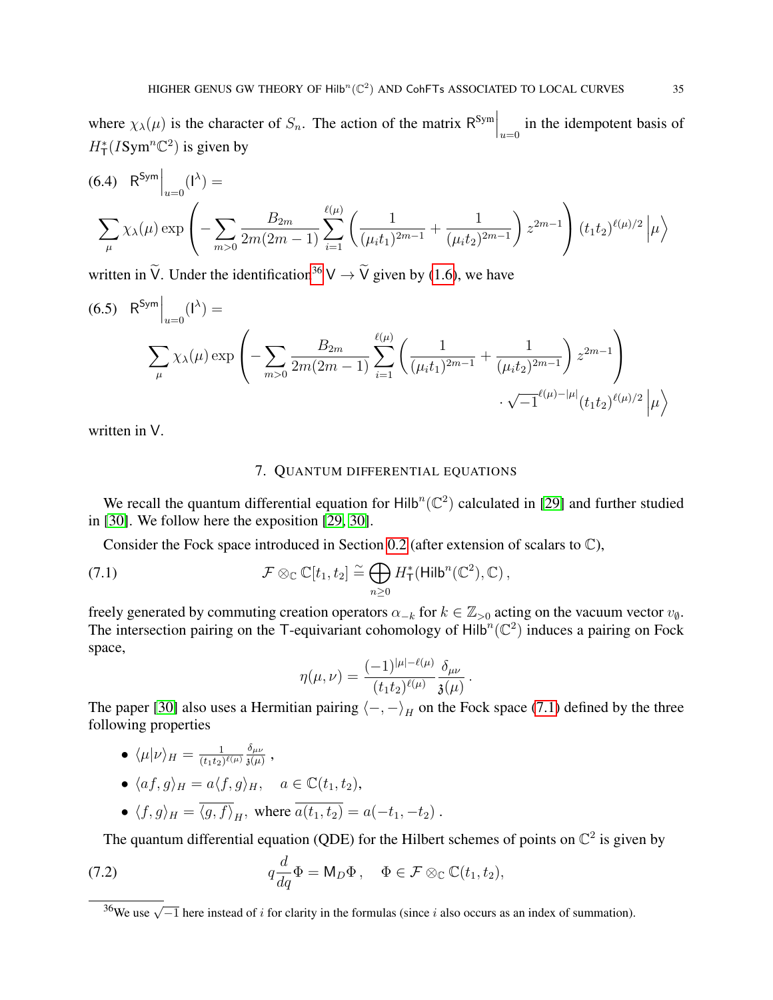where  $\chi_{\lambda}(\mu)$  is the character of  $S_n$ . The action of the matrix  $\mathsf{R}^{\text{Sym}}\Big|_{u=0}$  in the idempotent basis of  $H^*_{\mathsf{T}}(I\text{Sym}^n\mathbb{C}^2)$  is given by

(6.4) 
$$
R^{Sym} \Big|_{u=0} (1^{\lambda}) =
$$

$$
\sum_{\mu} \chi_{\lambda}(\mu) \exp \left( - \sum_{m>0} \frac{B_{2m}}{2m(2m-1)} \sum_{i=1}^{\ell(\mu)} \left( \frac{1}{(\mu_i t_1)^{2m-1}} + \frac{1}{(\mu_i t_2)^{2m-1}} \right) z^{2m-1} \right) (t_1 t_2)^{\ell(\mu)/2} \Big| \mu \Big\rangle
$$

written in  $\widetilde{V}$ . Under the identification<sup>[36](#page-34-1)</sup>  $V \rightarrow \widetilde{V}$  given by [\(1.6\)](#page-12-2), we have

<span id="page-34-4"></span>(6.5) 
$$
R^{Sym} \Big|_{u=0} (1^{\lambda}) = \sum_{\mu} \chi_{\lambda}(\mu) \exp \left( - \sum_{m>0} \frac{B_{2m}}{2m(2m-1)} \sum_{i=1}^{\ell(\mu)} \left( \frac{1}{(\mu_i t_1)^{2m-1}} + \frac{1}{(\mu_i t_2)^{2m-1}} \right) z^{2m-1} \right) \cdot \sqrt{-1}^{\ell(\mu) - |\mu|} (t_1 t_2)^{\ell(\mu)/2} |\mu \rangle
$$

<span id="page-34-0"></span>written in V.

### <span id="page-34-2"></span>7. QUANTUM DIFFERENTIAL EQUATIONS

We recall the quantum differential equation for  $Hilb<sup>n</sup>(\mathbb{C}^2)$  calculated in [\[29\]](#page-51-0) and further studied in [\[30\]](#page-51-1). We follow here the exposition [\[29,](#page-51-0) [30\]](#page-51-1).

Consider the Fock space introduced in Section [0.2](#page-2-3) (after extension of scalars to  $\mathbb{C}$ ),

(7.1) 
$$
\mathcal{F} \otimes_{\mathbb{C}} \mathbb{C}[t_1, t_2] \stackrel{\simeq}{=} \bigoplus_{n \geq 0} H_{\mathsf{T}}^*(\mathsf{Hilb}^n(\mathbb{C}^2), \mathbb{C}),
$$

freely generated by commuting creation operators  $\alpha_{-k}$  for  $k \in \mathbb{Z}_{>0}$  acting on the vacuum vector  $v_{\emptyset}$ . The intersection pairing on the T-equivariant cohomology of  $Hilb<sup>n</sup>(\mathbb{C}^2)$  induces a pairing on Fock space,

$$
\eta(\mu,\nu)=\frac{(-1)^{|\mu|-\ell(\mu)}}{(t_1t_2)^{\ell(\mu)}}\frac{\delta_{\mu\nu}}{\mathfrak{z}(\mu)}\,.
$$

The paper [\[30\]](#page-51-1) also uses a Hermitian pairing  $\langle -, - \rangle$ <sub>H</sub> on the Fock space [\(7.1\)](#page-34-2) defined by the three following properties

- $\langle \mu | \nu \rangle_H = \frac{1}{(t_1,t_2)}$  $\frac{1}{(t_1t_2)^{\ell(\mu)}}\frac{\delta_{\mu\nu}}{\mathfrak{z}(\mu)}$  $\frac{o_{\mu\nu}}{ \mathfrak{z}(\mu)}$  ,
- $\langle af, g \rangle_H = a \langle f, g \rangle_H$ ,  $a \in \mathbb{C}(t_1, t_2)$ ,

<span id="page-34-3"></span>• 
$$
\langle f, g \rangle_H = \overline{\langle g, f \rangle}_H
$$
, where  $\overline{a(t_1, t_2)} = a(-t_1, -t_2)$ .

The quantum differential equation (QDE) for the Hilbert schemes of points on  $\mathbb{C}^2$  is given by

(7.2) 
$$
q \frac{d}{dq} \Phi = M_D \Phi, \quad \Phi \in \mathcal{F} \otimes_{\mathbb{C}} \mathbb{C}(t_1, t_2),
$$

<span id="page-34-1"></span> $\frac{36}{36}$ We use  $\sqrt{-1}$  here instead of *i* for clarity in the formulas (since *i* also occurs as an index of summation).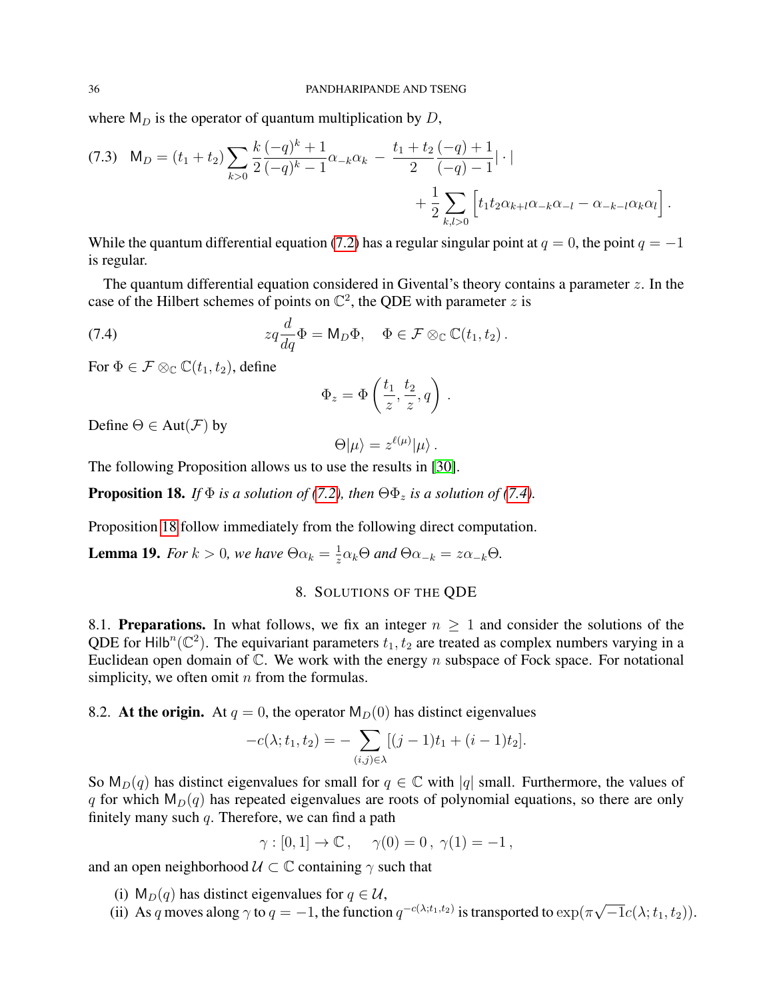where  $M_D$  is the operator of quantum multiplication by D,

$$
(7.3) \quad M_D = (t_1 + t_2) \sum_{k>0} \frac{k}{2} \frac{(-q)^k + 1}{(-q)^k - 1} \alpha_{-k} \alpha_k - \frac{t_1 + t_2}{2} \frac{(-q) + 1}{(-q) - 1} | \cdot | + \frac{1}{2} \sum_{k,l>0} \left[ t_1 t_2 \alpha_{k+l} \alpha_{-k} \alpha_{-l} - \alpha_{-k-l} \alpha_k \alpha_l \right].
$$

While the quantum differential equation [\(7.2\)](#page-34-3) has a regular singular point at  $q = 0$ , the point  $q = -1$ is regular.

The quantum differential equation considered in Givental's theory contains a parameter  $z$ . In the case of the Hilbert schemes of points on  $\mathbb{C}^2$ , the QDE with parameter z is

(7.4) 
$$
zq\frac{d}{dq}\Phi = \mathsf{M}_D\Phi, \quad \Phi \in \mathcal{F} \otimes_{\mathbb{C}} \mathbb{C}(t_1, t_2).
$$

For  $\Phi \in \mathcal{F} \otimes_{\mathbb{C}} \mathbb{C}(t_1, t_2)$ , define

<span id="page-35-1"></span>
$$
\Phi_z = \Phi\left(\frac{t_1}{z}, \frac{t_2}{z}, q\right).
$$

Define  $\Theta \in Aut(\mathcal{F})$  by

$$
\Theta|\mu\rangle=z^{\ell(\mu)}|\mu\rangle.
$$

The following Proposition allows us to use the results in [\[30\]](#page-51-1).

<span id="page-35-2"></span>**Proposition 18.** *If*  $\Phi$  *is a solution of [\(7.2\)](#page-34-3), then*  $\Theta \Phi_z$  *is a solution of [\(7.4\)](#page-35-1).* 

Proposition [18](#page-35-2) follow immediately from the following direct computation.

<span id="page-35-0"></span>**Lemma 19.** *For*  $k > 0$ , we have  $\Theta \alpha_k = \frac{1}{z}$  $\frac{1}{z}\alpha_k\Theta$  and  $\Theta\alpha_{-k} = z\alpha_{-k}\Theta$ .

# 8. SOLUTIONS OF THE QDE

8.1. Preparations. In what follows, we fix an integer  $n \geq 1$  and consider the solutions of the QDE for Hilb<sup>n</sup>( $\mathbb{C}^2$ ). The equivariant parameters  $t_1, t_2$  are treated as complex numbers varying in a Euclidean open domain of  $\mathbb{C}$ . We work with the energy n subspace of Fock space. For notational simplicity, we often omit  $n$  from the formulas.

8.2. At the origin. At  $q = 0$ , the operator  $M_D(0)$  has distinct eigenvalues

$$
-c(\lambda; t_1, t_2) = -\sum_{(i,j)\in\lambda} [(j-1)t_1 + (i-1)t_2].
$$

So  $M_D(q)$  has distinct eigenvalues for small for  $q \in \mathbb{C}$  with |q| small. Furthermore, the values of q for which  $M_D(q)$  has repeated eigenvalues are roots of polynomial equations, so there are only finitely many such  $q$ . Therefore, we can find a path

 $\gamma : [0, 1] \rightarrow \mathbb{C}$ ,  $\gamma(0) = 0$ ,  $\gamma(1) = -1$ ,

and an open neighborhood  $\mathcal{U} \subset \mathbb{C}$  containing  $\gamma$  such that

- (i)  $M_D(q)$  has distinct eigenvalues for  $q \in \mathcal{U}$ ,
- (ii) As q moves along  $\gamma$  to  $q = -1$ , the function  $q^{-c(\lambda; t_1, t_2)}$  is transported to  $\exp(\pi$ √  $\overline{-1}c(\lambda;t_1,t_2)).$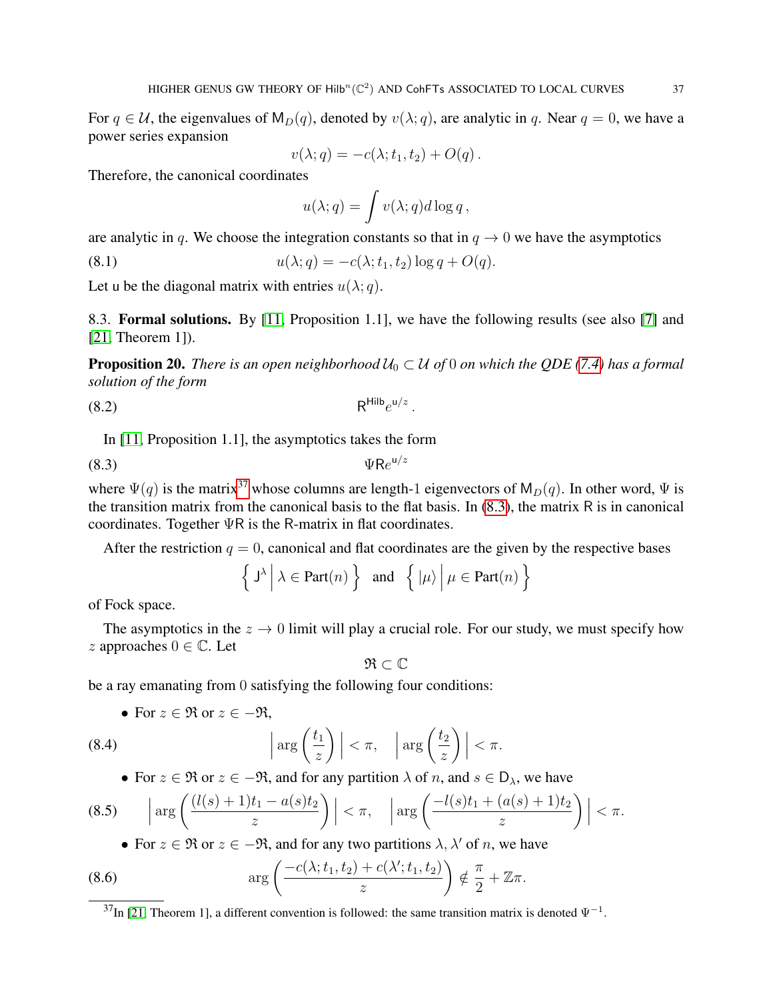For  $q \in \mathcal{U}$ , the eigenvalues of  $M_D(q)$ , denoted by  $v(\lambda; q)$ , are analytic in q. Near  $q = 0$ , we have a power series expansion

$$
v(\lambda;q) = -c(\lambda;t_1,t_2) + O(q).
$$

Therefore, the canonical coordinates

<span id="page-36-2"></span>
$$
u(\lambda;q) = \int v(\lambda;q)d\log q,
$$

are analytic in q. We choose the integration constants so that in  $q \to 0$  we have the asymptotics

(8.1)  $u(\lambda; q) = -c(\lambda; t_1, t_2) \log q + O(q).$ 

Let u be the diagonal matrix with entries  $u(\lambda; q)$ .

8.3. Formal solutions. By [\[11,](#page-50-15) Proposition 1.1], we have the following results (see also [\[7\]](#page-50-14) and [\[21,](#page-50-16) Theorem 1]).

<span id="page-36-5"></span>**Proposition 20.** *There is an open neighborhood*  $U_0 \subset U$  *of* 0 *on which the QDE* [\(7.4\)](#page-35-1) *has a formal solution of the form*

<span id="page-36-6"></span><span id="page-36-1"></span>.

$$
R^{\text{Hilb}}e^{u/z}
$$

In [\[11,](#page-50-15) Proposition 1.1], the asymptotics takes the form

$$
\Psi \mathsf{R}e^{\mathsf{u}/z}
$$

where  $\Psi(q)$  is the matrix<sup>[37](#page-36-0)</sup> whose columns are length-1 eigenvectors of  $M_D(q)$ . In other word,  $\Psi$  is the transition matrix from the canonical basis to the flat basis. In  $(8.3)$ , the matrix R is in canonical coordinates. Together ΨR is the R-matrix in flat coordinates.

After the restriction  $q = 0$ , canonical and flat coordinates are the given by the respective bases

$$
\left\{ J^{\lambda} \, \middle| \, \lambda \in \text{Part}(n) \right\} \text{ and } \left\{ \left| \mu \right\rangle \, \middle| \, \mu \in \text{Part}(n) \right\}
$$

of Fock space.

The asymptotics in the  $z \to 0$  limit will play a crucial role. For our study, we must specify how  $z$  approaches  $0 \in \mathbb{C}$ . Let

<span id="page-36-7"></span>
$$
\mathfrak{R}\subset\mathbb{C}
$$

be a ray emanating from 0 satisfying the following four conditions:

• For 
$$
z \in \mathfrak{R}
$$
 or  $z \in -\mathfrak{R}$ ,

(8.4) 
$$
\left|\arg\left(\frac{t_1}{z}\right)\right| < \pi, \quad \left|\arg\left(\frac{t_2}{z}\right)\right| < \pi.
$$

<span id="page-36-3"></span>• For  $z \in \mathfrak{R}$  or  $z \in -\mathfrak{R}$ , and for any partition  $\lambda$  of n, and  $s \in D_{\lambda}$ , we have

$$
(8.5) \qquad \left|\arg\left(\frac{(l(s)+1)t_1 - a(s)t_2}{z}\right)\right| < \pi, \quad \left|\arg\left(\frac{-l(s)t_1 + (a(s)+1)t_2}{z}\right)\right| < \pi.
$$

<span id="page-36-4"></span>• For  $z \in \mathfrak{R}$  or  $z \in -\mathfrak{R}$ , and for any two partitions  $\lambda, \lambda'$  of n, we have

(8.6) 
$$
\arg\left(\frac{-c(\lambda; t_1, t_2) + c(\lambda'; t_1, t_2)}{z}\right) \notin \frac{\pi}{2} + \mathbb{Z}\pi.
$$

<span id="page-36-0"></span> $37$ In [\[21,](#page-50-16) Theorem 1], a different convention is followed: the same transition matrix is denoted  $\Psi^{-1}$ .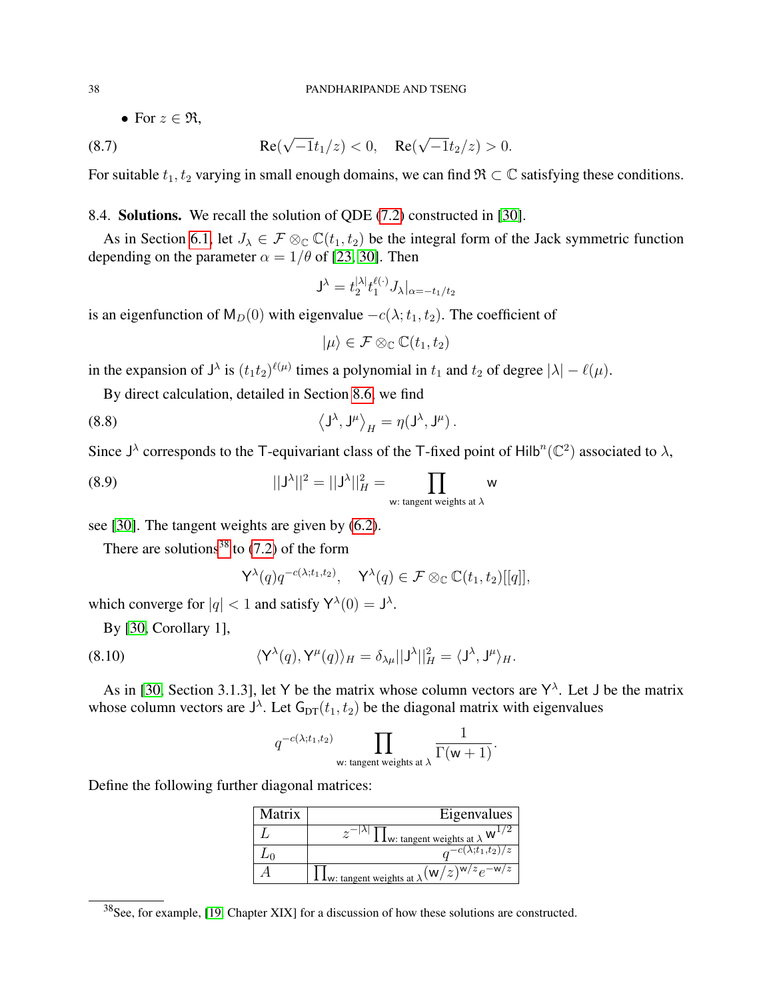<span id="page-37-4"></span>• For  $z \in \Re$ ,

(8.7) 
$$
\text{Re}(\sqrt{-1}t_1/z) < 0, \quad \text{Re}(\sqrt{-1}t_2/z) > 0.
$$

For suitable  $t_1, t_2$  varying in small enough domains, we can find  $\mathfrak{R} \subset \mathbb{C}$  satisfying these conditions.

# 8.4. Solutions. We recall the solution of QDE [\(7.2\)](#page-34-3) constructed in [\[30\]](#page-51-1).

As in Section [6.1,](#page-31-1) let  $J_{\lambda} \in \mathcal{F} \otimes_{\mathbb{C}} \mathbb{C}(t_1, t_2)$  be the integral form of the Jack symmetric function depending on the parameter  $\alpha = 1/\theta$  of [\[23,](#page-50-17) [30\]](#page-51-1). Then

$$
\mathsf{J}^\lambda = t_2^{|\lambda|} t_1^{\ell(\cdot)} J_\lambda |_{\alpha = -t_1/t_2}
$$

is an eigenfunction of  $M_D(0)$  with eigenvalue  $-c(\lambda; t_1, t_2)$ . The coefficient of

<span id="page-37-1"></span>
$$
|\mu\rangle\in\mathcal{F}\otimes_{\mathbb{C}}\mathbb{C}(t_1,t_2)
$$

in the expansion of  $J^{\lambda}$  is  $(t_1t_2)^{\ell(\mu)}$  times a polynomial in  $t_1$  and  $t_2$  of degree  $|\lambda| - \ell(\mu)$ .

By direct calculation, detailed in Section [8.6,](#page-42-0) we find

(8.8) 
$$
\langle J^{\lambda}, J^{\mu} \rangle_{H} = \eta (J^{\lambda}, J^{\mu}).
$$

Since  $J^{\lambda}$  corresponds to the T-equivariant class of the T-fixed point of Hilb<sup>n</sup>( $\mathbb{C}^2$ ) associated to  $\lambda$ ,

(8.9) 
$$
||J^{\lambda}||^{2} = ||J^{\lambda}||_{H}^{2} = \prod_{\text{w: tangent weights at }\lambda} w
$$

see [\[30\]](#page-51-1). The tangent weights are given by [\(6.2\)](#page-32-2).

There are solutions<sup>[38](#page-37-0)</sup> to  $(7.2)$  of the form

<span id="page-37-3"></span><span id="page-37-2"></span>
$$
\mathsf{Y}^\lambda(q)q^{-c(\lambda;t_1,t_2)}, \quad \mathsf{Y}^\lambda(q) \in \mathcal{F} \otimes_{\mathbb{C}} \mathbb{C}(t_1,t_2)[[q]],
$$

which converge for  $|q| < 1$  and satisfy  $Y^{\lambda}(0) = J^{\lambda}$ .

By [\[30,](#page-51-1) Corollary 1],

(8.10) 
$$
\langle Y^{\lambda}(q), Y^{\mu}(q) \rangle_{H} = \delta_{\lambda\mu} ||J^{\lambda}||_{H}^{2} = \langle J^{\lambda}, J^{\mu} \rangle_{H}.
$$

As in [\[30,](#page-51-1) Section 3.1.3], let Y be the matrix whose column vectors are  $Y^{\lambda}$ . Let J be the matrix whose column vectors are  $J^{\lambda}$ . Let  $G_{DT}(t_1, t_2)$  be the diagonal matrix with eigenvalues

$$
q^{-c(\lambda;t_1,t_2)}\prod_{\mathsf{w}: \text{ tangent weights at }\lambda}\frac{1}{\Gamma(\mathsf{w}+1)}.
$$

Define the following further diagonal matrices:

| Matrix | Eigenvalues $\vert$                                                                                              |
|--------|------------------------------------------------------------------------------------------------------------------|
|        | $\frac{1 \text{ L}}{1 \text{ W}}$ : tangent weights at $\lambda$ $\text{W}^{1/2}$                                |
|        | $\frac{1}{\sqrt{a^{-c(\lambda;t_1,t_2)}}}{z^{-c(\lambda;t_1,t_2)}}$                                              |
|        | $\cdot$ 1 <sub>W</sub> : tangent weights at $\lambda$ $\left(\frac{W}{z}\right)^{\frac{1}{W/z}}e^{-\frac{W}{z}}$ |

<span id="page-37-0"></span> $38$ See, for example, [\[19,](#page-50-20) Chapter XIX] for a discussion of how these solutions are constructed.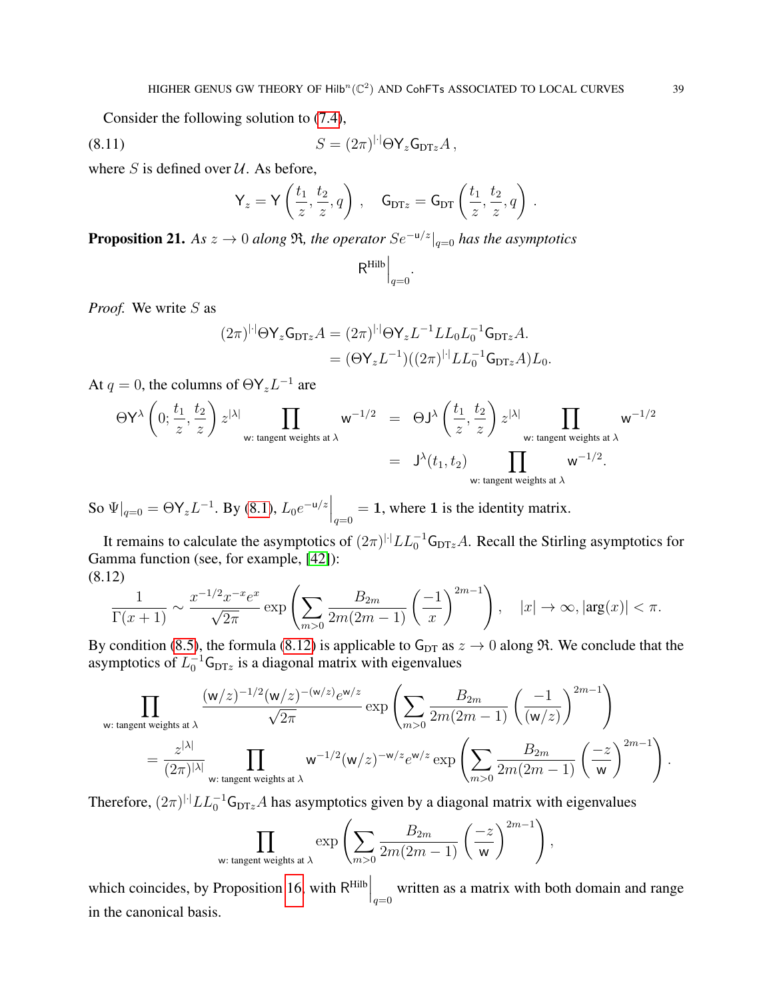Consider the following solution to [\(7.4\)](#page-35-1),

$$
(8.11) \t\t S = (2\pi)^{|\cdot|} \Theta \mathsf{Y}_z \mathsf{G}_{\mathsf{DT}z} A,
$$

where  $S$  is defined over  $U$ . As before,

<span id="page-38-1"></span>
$$
\mathsf{Y}_z = \mathsf{Y}\left(\frac{t_1}{z}, \frac{t_2}{z}, q\right), \quad \mathsf{G}_{\text{DT}z} = \mathsf{G}_{\text{DT}}\left(\frac{t_1}{z}, \frac{t_2}{z}, q\right).
$$

<span id="page-38-2"></span>**Proposition 21.** *As*  $z \to 0$  *along*  $\Re$ *, the operator*  $Se^{-u/z}|_{q=0}$  *has the asymptotics* 

$$
\mathsf{R}^{\mathrm{Hilb}}\Big|_{q=0}
$$

.

*Proof.* We write S as

$$
(2\pi)^{|\cdot|}\Theta\mathsf{Y}_{z}\mathsf{G}_{\text{DT}z}A = (2\pi)^{|\cdot|}\Theta\mathsf{Y}_{z}L^{-1}LL_{0}L_{0}^{-1}\mathsf{G}_{\text{DT}z}A.
$$

$$
= (\Theta\mathsf{Y}_{z}L^{-1})((2\pi)^{|\cdot|}LL_{0}^{-1}\mathsf{G}_{\text{DT}z}A)L_{0}.
$$

At  $q = 0$ , the columns of  $\Theta Y_z L^{-1}$  are

$$
\Theta \mathsf{Y}^{\lambda} \left(0; \frac{t_1}{z}, \frac{t_2}{z}\right) z^{|\lambda|} \prod_{\mathsf{w}: \text{ tangent weights at }\lambda} \mathsf{w}^{-1/2} = \Theta \mathsf{J}^{\lambda} \left(\frac{t_1}{z}, \frac{t_2}{z}\right) z^{|\lambda|} \prod_{\mathsf{w}: \text{ tangent weights at }\lambda} \mathsf{w}^{-1/2}
$$

$$
= \mathsf{J}^{\lambda}(t_1, t_2) \prod_{\mathsf{w}: \text{ tangent weights at }\lambda} \mathsf{w}^{-1/2}.
$$

So  $\Psi|_{q=0} = \Theta Y_z L^{-1}$ . By [\(8.1\)](#page-36-2),  $L_0 e^{-u/z} \Big|_{q=0} = 1$ , where 1 is the identity matrix.

It remains to calculate the asymptotics of  $(2\pi)^{|\cdot|} LL_0^{-1}$  G<sub>DTz</sub>A. Recall the Stirling asymptotics for Gamma function (see, for example, [\[42\]](#page-51-14)): (8.12)

<span id="page-38-0"></span>
$$
\frac{1}{\Gamma(x+1)} \sim \frac{x^{-1/2} x^{-x} e^x}{\sqrt{2\pi}} \exp\left(\sum_{m>0} \frac{B_{2m}}{2m(2m-1)} \left(\frac{-1}{x}\right)^{2m-1}\right), \quad |x| \to \infty, |\arg(x)| < \pi.
$$

By condition [\(8.5\)](#page-36-3), the formula [\(8.12\)](#page-38-0) is applicable to  $G_{DT}$  as  $z \to 0$  along  $\Re$ . We conclude that the asymptotics of  $L_0^{-1}$ G<sub>DTz</sub> is a diagonal matrix with eigenvalues

$$
\prod_{\text{w: tangent weights at }\lambda} \frac{(\mathsf{w}/z)^{-1/2}(\mathsf{w}/z)^{-(\mathsf{w}/z)}e^{\mathsf{w}/z}}{\sqrt{2\pi}} \exp\left(\sum_{m>0} \frac{B_{2m}}{2m(2m-1)} \left(\frac{-1}{(\mathsf{w}/z)}\right)^{2m-1}\right)
$$
  
= 
$$
\frac{z^{|\lambda|}}{(2\pi)^{|\lambda|}} \prod_{\text{w: tangent weights at }\lambda} \mathsf{w}^{-1/2}(\mathsf{w}/z)^{-\mathsf{w}/z}e^{\mathsf{w}/z} \exp\left(\sum_{m>0} \frac{B_{2m}}{2m(2m-1)} \left(\frac{-z}{\mathsf{w}}\right)^{2m-1}\right).
$$

Therefore,  $(2\pi)^{|\cdot|} LL_0^{-1}$  G<sub>DTz</sub>A has asymptotics given by a diagonal matrix with eigenvalues

$$
\prod_{\mathsf{w}: \text{ tangent weights at }\lambda} \exp\left(\sum_{m>0} \frac{B_{2m}}{2m(2m-1)} \left(\frac{-z}{\mathsf{w}}\right)^{2m-1}\right),
$$

which coincides, by Proposition [16,](#page-31-3) with  $R^{Hilb}\Big|_{q=0}$  written as a matrix with both domain and range in the canonical basis.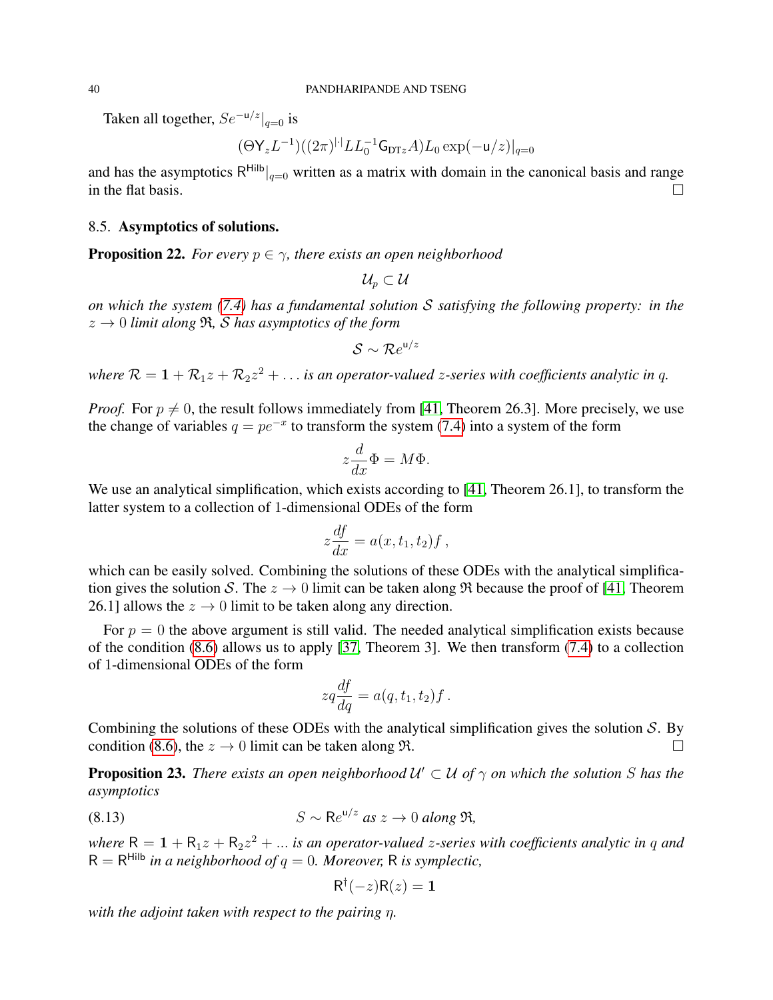Taken all together,  $Se^{-u/z}|_{q=0}$  is

$$
(\Theta \mathsf{Y}_z L^{-1})((2\pi)^{|\cdot|} LL_0^{-1} \mathsf{G}_{\mathrm{DT}z} A) L_0 \exp(-\mathsf{u}/z)|_{q=0}
$$

and has the asymptotics  $R^{\text{Hilb}}|_{q=0}$  written as a matrix with domain in the canonical basis and range in the flat basis.  $\Box$ 

### 8.5. Asymptotics of solutions.

<span id="page-39-0"></span>**Proposition 22.** *For every*  $p \in \gamma$ *, there exists an open neighborhood* 

 $\mathcal{U}_n \subset \mathcal{U}$ 

*on which the system [\(7.4\)](#page-35-1) has a fundamental solution* S *satisfying the following property: in the*  $z \to 0$  *limit along*  $\Re$ , *S has asymptotics of the form* 

$$
\mathcal{S} \sim \mathcal{R}e^{\mathsf{u}/z}
$$

where  $\mathcal{R} = 1 + \mathcal{R}_1 z + \mathcal{R}_2 z^2 + \ldots$  is an operator-valued *z*-series with coefficients analytic in q.

*Proof.* For  $p \neq 0$ , the result follows immediately from [\[41,](#page-51-15) Theorem 26.3]. More precisely, we use the change of variables  $q = pe^{-x}$  to transform the system [\(7.4\)](#page-35-1) into a system of the form

$$
z\frac{d}{dx}\Phi = M\Phi.
$$

We use an analytical simplification, which exists according to [\[41,](#page-51-15) Theorem 26.1], to transform the latter system to a collection of 1-dimensional ODEs of the form

$$
z\frac{df}{dx} = a(x, t_1, t_2)f,
$$

which can be easily solved. Combining the solutions of these ODEs with the analytical simplification gives the solution S. The  $z \to 0$  limit can be taken along  $\Re$  because the proof of [\[41,](#page-51-15) Theorem 26.1] allows the  $z \rightarrow 0$  limit to be taken along any direction.

For  $p = 0$  the above argument is still valid. The needed analytical simplification exists because of the condition [\(8.6\)](#page-36-4) allows us to apply [\[37,](#page-51-16) Theorem 3]. We then transform [\(7.4\)](#page-35-1) to a collection of 1-dimensional ODEs of the form

$$
zq\frac{df}{dq} = a(q, t_1, t_2)f.
$$

Combining the solutions of these ODEs with the analytical simplification gives the solution  $S$ . By condition [\(8.6\)](#page-36-4), the  $z \to 0$  limit can be taken along  $\Re$ .

<span id="page-39-2"></span>**Proposition 23.** *There exists an open neighborhood*  $U' \subset U$  *of*  $\gamma$  *on which the solution* S *has the asymptotics*

$$
(8.13) \tS \sim Re^{u/z} \text{ as } z \to 0 \text{ along } \Re,
$$

where  $R = 1 + R_1 z + R_2 z^2 + ...$  is an operator-valued *z*-series with coefficients analytic in q and  $R = R^{Hilb}$  *in a neighborhood of*  $q = 0$ *. Moreover,* R *is symplectic,* 

<span id="page-39-1"></span>
$$
\mathsf{R}^\dagger(-z)\mathsf{R}(z) = \mathbf{1}
$$

*with the adjoint taken with respect to the pairing* η*.*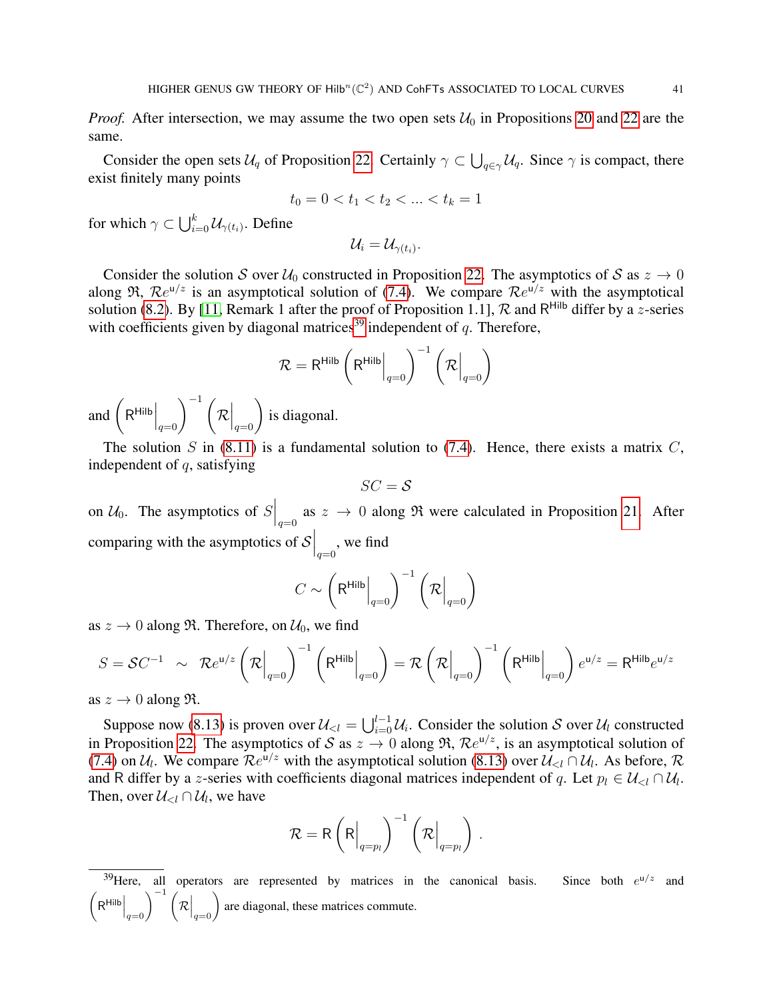*Proof.* After intersection, we may assume the two open sets  $U_0$  in Propositions [20](#page-36-5) and [22](#page-39-0) are the same.

Consider the open sets  $U_q$  of Proposition [22.](#page-39-0) Certainly  $\gamma \subset \bigcup_{q \in \gamma} U_q$ . Since  $\gamma$  is compact, there exist finitely many points

$$
t_0 = 0 < t_1 < t_2 < \dots < t_k = 1
$$

for which  $\gamma\subset\bigcup_{i=0}^k\mathcal U_{\gamma(t_i)}.$  Define

 $\mathcal{U}_i = \mathcal{U}_{\gamma(t_i)}.$ 

Consider the solution S over  $U_0$  constructed in Proposition [22.](#page-39-0) The asymptotics of S as  $z \to 0$ along  $\Re$ ,  $\Re e^{u/z}$  is an asymptotical solution of [\(7.4\)](#page-35-1). We compare  $\Re e^{u/z}$  with the asymptotical solution [\(8.2\)](#page-36-6). By [\[11,](#page-50-15) Remark 1 after the proof of Proposition 1.1],  $R$  and R<sup>Hilb</sup> differ by a z-series with coefficients given by diagonal matrices<sup>[39](#page-40-0)</sup> independent of  $q$ . Therefore,

$$
\mathcal{R} = \mathsf{R}^{\mathsf{Hilb}}\left(\mathsf{R}^{\mathsf{Hilb}}\Big|_{q=0}\right)^{-1}\left(\mathcal{R}\Big|_{q=0}\right)
$$

and  $\left(\mathsf{R}^{\mathsf{Hilb}}\Big|_{q=0}\right)^{-1} \left(\mathcal{R}\Big|_{q=0}\right)$  is diagonal.

The solution S in  $(8.11)$  is a fundamental solution to  $(7.4)$ . Hence, there exists a matrix C, independent of  $q$ , satisfying

$$
SC = \mathcal{S}
$$

on  $\mathcal{U}_0$ . The asymptotics of  $S\Big|_{q=0}$  as  $z \to 0$  along  $\Re$  were calculated in Proposition [21.](#page-38-2) After comparing with the asymptotics of  $\mathcal{S}\Big|_{q=0}$ , we find

$$
C \sim \left(\mathsf{R}^{\mathsf{Hilb}}\Big|_{q=0}\right)^{-1} \left({\mathcal{R}}\Big|_{q=0}\right)
$$

as  $z \to 0$  along  $\Re$ . Therefore, on  $\mathcal{U}_0$ , we find

$$
S = \mathcal{S}C^{-1} \sim \mathcal{R}e^{\mathsf{u}/z} \left(\mathcal{R}\Big|_{q=0}\right)^{-1} \left(\mathsf{R}^{\mathsf{Hilb}}\Big|_{q=0}\right) = \mathcal{R}\left(\mathcal{R}\Big|_{q=0}\right)^{-1} \left(\mathsf{R}^{\mathsf{Hilb}}\Big|_{q=0}\right) e^{\mathsf{u}/z} = \mathsf{R}^{\mathsf{Hilb}} e^{\mathsf{u}/z}
$$

as  $z \to 0$  along  $\Re$ .

Suppose now [\(8.13\)](#page-39-1) is proven over  $\mathcal{U}_{< l} = \bigcup_{i=0}^{l-1} \mathcal{U}_i$ . Consider the solution S over  $\mathcal{U}_l$  constructed in Proposition [22.](#page-39-0) The asymptotics of S as  $z \to 0$  along R,  $\mathcal{R}e^{u/z}$ , is an asymptotical solution of [\(7.4\)](#page-35-1) on  $U_l$ . We compare  $\mathcal{R}e^{u/z}$  with the asymptotical solution [\(8.13\)](#page-39-1) over  $\mathcal{U}_{\leq l} \cap \mathcal{U}_l$ . As before,  $\mathcal{R}$ and R differ by a z-series with coefficients diagonal matrices independent of q. Let  $p_l \in \mathcal{U}_{\leq l} \cap \mathcal{U}_l$ . Then, over  $\mathcal{U}_{\leq l} \cap \mathcal{U}_l$ , we have

$$
\mathcal{R} = \mathsf{R}\left(\mathsf{R}\Big|_{q=p_l}\right)^{-1} \left(\mathcal{R}\Big|_{q=p_l}\right)\,.
$$

<span id="page-40-0"></span> $39$  Here, all operators are represented by matrices in the canonical basis. Since both  $e^{u/z}$  and  $\left(\mathsf{R}^{\mathsf{Hilb}}\Big|_{q=0}\right)^{-1} \left(\mathcal{R}\Big|_{q=0}\right)$  are diagonal, these matrices commute.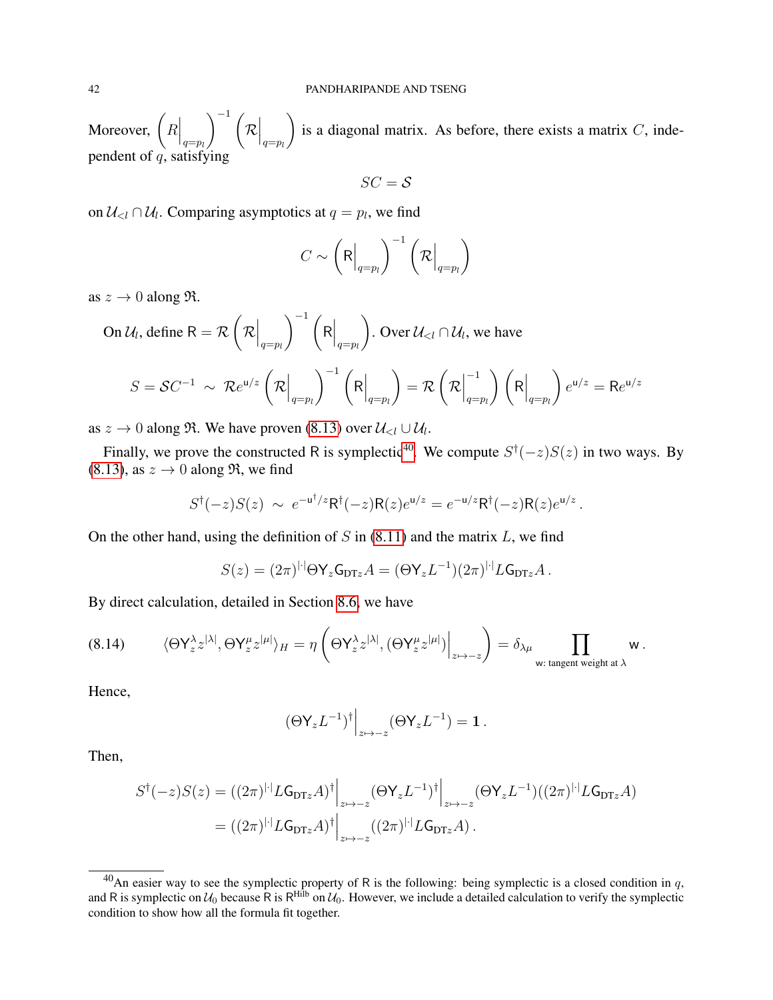Moreover,  $\left(R\Big|_{q=p_l}\right)$  $\bigwedge^{-1}$  (  $\mathcal{R}\Big|_{q=p_l}$  $\setminus$ is a diagonal matrix. As before, there exists a matrix  $C$ , independent of  $q$ , satisfying

$$
SC = \mathcal{S}
$$

on  $\mathcal{U}_{\leq l} \cap \mathcal{U}_l$ . Comparing asymptotics at  $q = p_l$ , we find

$$
C \sim \left(\mathsf{R}\Big|_{q=p_l}\right)^{-1} \left(\mathsf{R}\Big|_{q=p_l}\right)
$$

as  $z \to 0$  along  $\Re$ .

On 
$$
U_l
$$
, define  $R = \mathcal{R}\left(\mathcal{R}\Big|_{q=p_l}\right)^{-1}\left(R\Big|_{q=p_l}\right)$ . Over  $U_{< l} \cap U_l$ , we have  
\n
$$
S = \mathcal{S}C^{-1} \sim \mathcal{R}e^{u/z}\left(\mathcal{R}\Big|_{q=p_l}\right)^{-1}\left(R\Big|_{q=p_l}\right) = \mathcal{R}\left(\mathcal{R}\Big|_{q=p_l}^{-1}\right)\left(R\Big|_{q=p_l}\right)e^{u/z} = Re^{u/z}
$$

as  $z \to 0$  along  $\Re$ . We have proven [\(8.13\)](#page-39-1) over  $\mathcal{U}_{\leq l} \cup \mathcal{U}_l$ .

Finally, we prove the constructed R is symplectic<sup>[40](#page-41-0)</sup>. We compute  $S^{\dagger}(-z)S(z)$  in two ways. By [\(8.13\)](#page-39-1), as  $z \to 0$  along  $\Re$ , we find

$$
S^{\dagger}(-z)S(z) \sim e^{-\mathsf{u}^{\dagger}/z} \mathsf{R}^{\dagger}(-z) \mathsf{R}(z) e^{\mathsf{u}/z} = e^{-\mathsf{u}/z} \mathsf{R}^{\dagger}(-z) \mathsf{R}(z) e^{\mathsf{u}/z}.
$$

On the other hand, using the definition of  $S$  in [\(8.11\)](#page-38-1) and the matrix  $L$ , we find

$$
S(z) = (2\pi)^{|\cdot|}\Theta\mathsf{Y}_{z}\mathsf{G}_{\text{DT}z}A = (\Theta\mathsf{Y}_{z}L^{-1})(2\pi)^{|\cdot|}L\mathsf{G}_{\text{DT}z}A.
$$

By direct calculation, detailed in Section [8.6,](#page-42-0) we have

<span id="page-41-1"></span>
$$
(8.14) \qquad \langle \Theta \mathsf{Y}_z^{\lambda} z^{|\lambda|}, \Theta \mathsf{Y}_z^{\mu} z^{|\mu|} \rangle_H = \eta \left( \Theta \mathsf{Y}_z^{\lambda} z^{|\lambda|}, (\Theta \mathsf{Y}_z^{\mu} z^{|\mu|}) \Big|_{z \mapsto -z} \right) = \delta_{\lambda \mu} \prod_{\mathsf{w}: \text{ tangent weight at } \lambda} \mathsf{w} \, .
$$

Hence,

$$
(\Theta \mathsf{Y}_z L^{-1})^{\dagger} \Big|_{z \mapsto -z} (\Theta \mathsf{Y}_z L^{-1}) = \mathbf{1} \, .
$$

Then,

$$
S^{\dagger}(-z)S(z) = ((2\pi)^{|\cdot|}L\mathsf{G}_{\text{DT}z}A)^{\dagger}\Big|_{z \mapsto -z} (\Theta \mathsf{Y}_{z}L^{-1})^{\dagger}\Big|_{z \mapsto -z} (\Theta \mathsf{Y}_{z}L^{-1})((2\pi)^{|\cdot|}L\mathsf{G}_{\text{DT}z}A)
$$

$$
= ((2\pi)^{|\cdot|}L\mathsf{G}_{\text{DT}z}A)^{\dagger}\Big|_{z \mapsto -z} ((2\pi)^{|\cdot|}L\mathsf{G}_{\text{DT}z}A).
$$

<span id="page-41-0"></span><sup>&</sup>lt;sup>40</sup>An easier way to see the symplectic property of R is the following: being symplectic is a closed condition in q, and R is symplectic on  $U_0$  because R is R<sup>Hilb</sup> on  $U_0$ . However, we include a detailed calculation to verify the symplectic condition to show how all the formula fit together.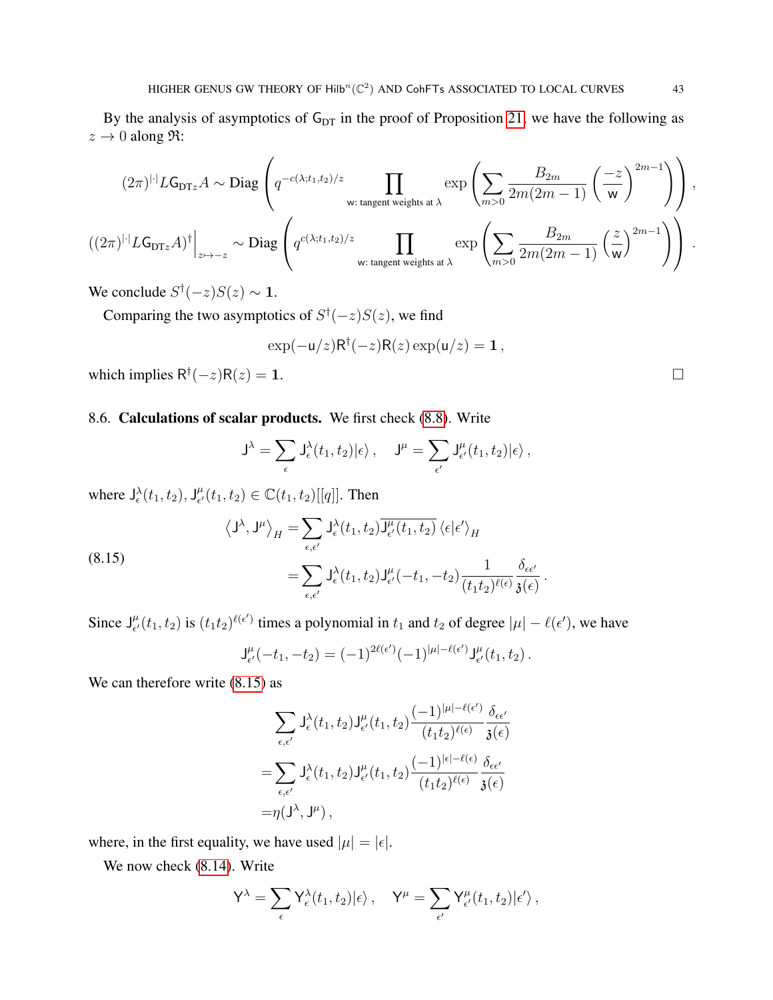By the analysis of asymptotics of  $G_{DT}$  in the proof of Proposition [21,](#page-38-2) we have the following as  $z \rightarrow 0$  along  $\Re$ :

$$
(2\pi)^{|\cdot|} L \mathsf{G}_{\texttt{DTz}} A \sim \text{Diag} \left( q^{-c(\lambda;t_1,t_2)/z} \prod_{\mathsf{w}: \text{ tangent weights at }\lambda} \exp \left( \sum_{m>0} \frac{B_{2m}}{2m(2m-1)} \left( \frac{-z}{\mathsf{w}} \right)^{2m-1} \right) \right),
$$
  

$$
((2\pi)^{|\cdot|} L \mathsf{G}_{\texttt{DTz}} A)^{\dagger} \Big|_{z \mapsto -z} \sim \text{Diag} \left( q^{c(\lambda;t_1,t_2)/z} \prod_{\mathsf{w}: \text{ tangent weights at }\lambda} \exp \left( \sum_{m>0} \frac{B_{2m}}{2m(2m-1)} \left( \frac{z}{\mathsf{w}} \right)^{2m-1} \right) \right).
$$

We conclude  $S^{\dagger}(-z)S(z) \sim 1$ .

Comparing the two asymptotics of  $S^{\dagger}(-z)S(z)$ , we find

$$
\exp(-\mathsf{u}/z)\mathsf{R}^\dagger(-z)\mathsf{R}(z)\exp(\mathsf{u}/z) = 1\,,
$$

which implies  $R^{\dagger}(-z)R(z) = 1$ .

## <span id="page-42-0"></span>8.6. Calculations of scalar products. We first check [\(8.8\)](#page-37-1). Write

$$
\mathsf{J}^{\lambda} = \sum_{\epsilon} \mathsf{J}^{\lambda}_{\epsilon}(t_1, t_2) | \epsilon \rangle \,, \quad \mathsf{J}^{\mu} = \sum_{\epsilon'} \mathsf{J}^{\mu}_{\epsilon'}(t_1, t_2) | \epsilon \rangle \,,
$$

where  $J_{\epsilon}^{\lambda}(t_1, t_2)$ ,  $J_{\epsilon'}^{\mu}$  $_{\epsilon'}^{\mu}(t_1, t_2) \in \mathbb{C}(t_1, t_2)[[q]]$ . Then

<span id="page-42-1"></span>(8.15)  

$$
\langle J^{\lambda}, J^{\mu} \rangle_{H} = \sum_{\epsilon, \epsilon'} J_{\epsilon}^{\lambda}(t_{1}, t_{2}) \overline{J_{\epsilon'}^{\mu}(t_{1}, t_{2})} \langle \epsilon | \epsilon' \rangle_{H}
$$

$$
= \sum_{\epsilon, \epsilon'} J_{\epsilon}^{\lambda}(t_{1}, t_{2}) J_{\epsilon'}^{\mu}(-t_{1}, -t_{2}) \frac{1}{(t_{1}t_{2})^{\ell(\epsilon)}} \frac{\delta_{\epsilon\epsilon'}}{\mathfrak{z}(\epsilon)}
$$

Since  $J_{\epsilon'}^{\mu}$  $\int_{\epsilon'}^{\mu} (t_1, t_2)$  is  $(t_1 t_2)^{\ell(\epsilon')}$  times a polynomial in  $t_1$  and  $t_2$  of degree  $|\mu| - \ell(\epsilon')$ , we have

$$
\mathsf{J}^{\mu}_{\epsilon'}(-t_1,-t_2) = (-1)^{2\ell(\epsilon')}(-1)^{|\mu|-\ell(\epsilon')} \mathsf{J}^{\mu}_{\epsilon'}(t_1,t_2).
$$

.

We can therefore write  $(8.15)$  as

$$
\sum_{\epsilon,\epsilon'} J_{\epsilon}^{\lambda}(t_1, t_2) J_{\epsilon'}^{\mu}(t_1, t_2) \frac{(-1)^{|\mu|-\ell(\epsilon')}}{(t_1 t_2)^{\ell(\epsilon)}} \frac{\delta_{\epsilon\epsilon'}}{\mathfrak{z}(\epsilon)}
$$
  
= 
$$
\sum_{\epsilon,\epsilon'} J_{\epsilon}^{\lambda}(t_1, t_2) J_{\epsilon'}^{\mu}(t_1, t_2) \frac{(-1)^{|\epsilon|-\ell(\epsilon)}}{(t_1 t_2)^{\ell(\epsilon)}} \frac{\delta_{\epsilon\epsilon'}}{\mathfrak{z}(\epsilon)}
$$
  
= 
$$
\eta(J^{\lambda}, J^{\mu}),
$$

where, in the first equality, we have used  $|\mu| = |\epsilon|$ .

We now check [\(8.14\)](#page-41-1). Write

$$
Y^{\lambda} = \sum_{\epsilon} Y^{\lambda}_{\epsilon}(t_1, t_2) | \epsilon \rangle \, , \quad Y^{\mu} = \sum_{\epsilon'} Y^{\mu}_{\epsilon'}(t_1, t_2) | \epsilon' \rangle \, ,
$$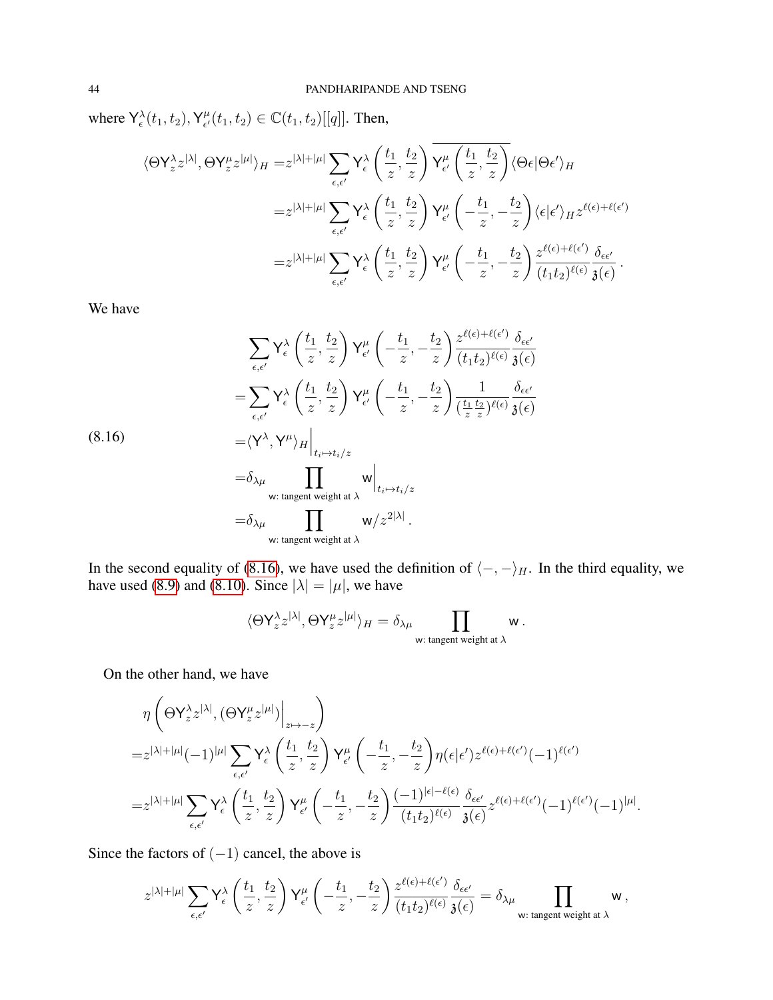where  $Y_{\epsilon}^{\lambda}(t_1, t_2)$ ,  $Y_{\epsilon'}^{\mu}$  $_{\epsilon'}^{\mu}(t_1, t_2) \in \mathbb{C}(t_1, t_2)[[q]]$ . Then,

$$
\langle \Theta \mathsf{Y}_{z}^{\lambda} z^{|\lambda|}, \Theta \mathsf{Y}_{z}^{\mu} z^{|\mu|} \rangle_{H} = z^{|\lambda| + |\mu|} \sum_{\epsilon, \epsilon'} \mathsf{Y}_{\epsilon}^{\lambda} \left( \frac{t_{1}}{z}, \frac{t_{2}}{z} \right) \mathsf{Y}_{\epsilon'}^{\mu} \left( \frac{t_{1}}{z}, \frac{t_{2}}{z} \right) \langle \Theta \epsilon | \Theta \epsilon' \rangle_{H}
$$
  

$$
= z^{|\lambda| + |\mu|} \sum_{\epsilon, \epsilon'} \mathsf{Y}_{\epsilon}^{\lambda} \left( \frac{t_{1}}{z}, \frac{t_{2}}{z} \right) \mathsf{Y}_{\epsilon'}^{\mu} \left( -\frac{t_{1}}{z}, -\frac{t_{2}}{z} \right) \langle \epsilon | \epsilon' \rangle_{H} z^{\ell(\epsilon) + \ell(\epsilon')}
$$

$$
= z^{|\lambda| + |\mu|} \sum_{\epsilon, \epsilon'} \mathsf{Y}_{\epsilon}^{\lambda} \left( \frac{t_{1}}{z}, \frac{t_{2}}{z} \right) \mathsf{Y}_{\epsilon'}^{\mu} \left( -\frac{t_{1}}{z}, -\frac{t_{2}}{z} \right) \frac{z^{\ell(\epsilon) + \ell(\epsilon')}}{(t_{1}t_{2})^{\ell(\epsilon)}} \frac{\delta_{\epsilon \epsilon'}}{\delta(\epsilon)}.
$$

We have

<span id="page-43-0"></span>
$$
\sum_{\epsilon,\epsilon'} Y_{\epsilon}^{\lambda} \left( \frac{t_1}{z}, \frac{t_2}{z} \right) Y_{\epsilon'}^{\mu} \left( -\frac{t_1}{z}, -\frac{t_2}{z} \right) \frac{z^{\ell(\epsilon) + \ell(\epsilon')}}{(t_1 t_2)^{\ell(\epsilon)}} \frac{\delta_{\epsilon \epsilon'}}{\mathfrak{z}(\epsilon)}
$$
\n
$$
= \sum_{\epsilon,\epsilon'} Y_{\epsilon}^{\lambda} \left( \frac{t_1}{z}, \frac{t_2}{z} \right) Y_{\epsilon'}^{\mu} \left( -\frac{t_1}{z}, -\frac{t_2}{z} \right) \frac{1}{\left( \frac{t_1}{z} \frac{t_2}{z} \right)^{\ell(\epsilon)}} \frac{\delta_{\epsilon \epsilon'}}{\mathfrak{z}(\epsilon)}
$$
\n
$$
= \langle Y^{\lambda}, Y^{\mu} \rangle_{H} \Big|_{t_i \mapsto t_i/z}
$$
\n
$$
= \delta_{\lambda \mu} \prod_{\text{with tangent weight at } \lambda} W \Big|_{t_i \mapsto t_i/z}
$$
\n
$$
= \delta_{\lambda \mu} \prod_{\text{with tangent weight at } \lambda} W/z^{2|\lambda|}.
$$

In the second equality of [\(8.16\)](#page-43-0), we have used the definition of  $\langle -, - \rangle_H$ . In the third equality, we have used [\(8.9\)](#page-37-2) and [\(8.10\)](#page-37-3). Since  $|\lambda| = |\mu|$ , we have

$$
\langle \Theta\mathsf{Y}^\lambda_z z^{|\lambda|}, \Theta\mathsf{Y}^\mu_z z^{|\mu|}\rangle_H=\delta_{\lambda\mu}\prod_{\mathsf{w}: \text{ tangent weight at }\lambda} \mathsf{w}\,.
$$

On the other hand, we have

$$
\begin{split} &\eta\left(\Theta\mathsf{Y}_{z}^{\lambda}z^{|\lambda|}, (\Theta\mathsf{Y}_{z}^{\mu}z^{|\mu|})\Big|_{z\mapsto -z}\right) \\ =&z^{|\lambda|+|\mu|}(-1)^{|\mu|}\sum_{\epsilon,\epsilon'}\mathsf{Y}_{\epsilon}^{\lambda}\left(\frac{t_{1}}{z},\frac{t_{2}}{z}\right)\mathsf{Y}_{\epsilon'}^{\mu}\left(-\frac{t_{1}}{z},-\frac{t_{2}}{z}\right)\eta(\epsilon|\epsilon')z^{\ell(\epsilon)+\ell(\epsilon')}(-1)^{\ell(\epsilon')}\\ =&z^{|\lambda|+|\mu|}\sum_{\epsilon,\epsilon'}\mathsf{Y}_{\epsilon}^{\lambda}\left(\frac{t_{1}}{z},\frac{t_{2}}{z}\right)\mathsf{Y}_{\epsilon'}^{\mu}\left(-\frac{t_{1}}{z},-\frac{t_{2}}{z}\right)\frac{(-1)^{|\epsilon|-\ell(\epsilon)}}{(t_{1}t_{2})^{\ell(\epsilon)}}\frac{\delta_{\epsilon\epsilon'}}{\mathfrak{z}(\epsilon)}z^{\ell(\epsilon)+\ell(\epsilon')}(-1)^{\ell(\epsilon')}(-1)^{|\mu|}. \end{split}
$$

Since the factors of  $(-1)$  cancel, the above is

$$
z^{|\lambda|+|\mu|}\sum_{\epsilon,\epsilon'}{\mathsf Y}^\lambda_\epsilon\left(\frac{t_1}{z},\frac{t_2}{z}\right){\mathsf Y}^\mu_{\epsilon'}\left(-\frac{t_1}{z},-\frac{t_2}{z}\right)\frac{z^{\ell(\epsilon)+\ell(\epsilon')}}{(t_1t_2)^{\ell(\epsilon)}}\frac{\delta_{\epsilon\epsilon'}}{\mathfrak{z}(\epsilon)}=\delta_{\lambda\mu}\prod_{\mathsf{w}: \text{ tangent weight at }\lambda} {\mathsf w}\,,
$$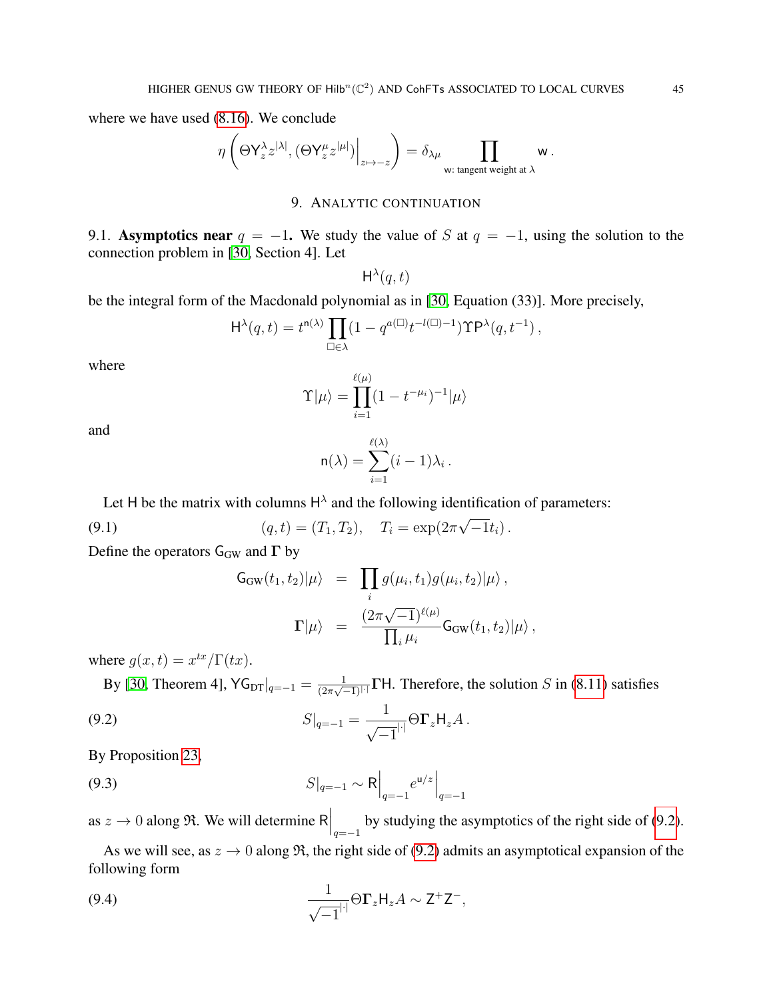where we have used [\(8.16\)](#page-43-0). We conclude

$$
\eta\left(\Theta\mathsf{Y}^\lambda_z z^{|\lambda|}, (\Theta\mathsf{Y}^\mu_z z^{|\mu|})\Big|_{z\mapsto -z}\right)=\delta_{\lambda\mu}\prod_{\mathsf{w}: \text{ tangent weight at }\lambda} \mathsf{w}\,.
$$

## 9. ANALYTIC CONTINUATION

<span id="page-44-0"></span>9.1. Asymptotics near  $q = -1$ . We study the value of S at  $q = -1$ , using the solution to the connection problem in [\[30,](#page-51-1) Section 4]. Let

 $H^{\lambda}(q,t)$ 

be the integral form of the Macdonald polynomial as in [\[30,](#page-51-1) Equation (33)]. More precisely,

$$
\mathrm{H}^\lambda(q,t) = t^{n(\lambda)} \prod_{\square \in \lambda} (1 - q^{a(\square)} t^{-l(\square) - 1}) \mathrm{TP}^\lambda(q, t^{-1}),
$$

where

$$
\Upsilon|\mu\rangle = \prod_{i=1}^{\ell(\mu)} (1 - t^{-\mu_i})^{-1}|\mu\rangle
$$

and

$$
\mathsf{n}(\lambda) = \sum_{i=1}^{\ell(\lambda)} (i-1)\lambda_i.
$$

Let H be the matrix with columns  $H^{\lambda}$  and the following identification of parameters:

(9.1) 
$$
(q, t) = (T_1, T_2), \quad T_i = \exp(2\pi\sqrt{-1}t_i).
$$

Define the operators  $G_{GW}$  and  $\Gamma$  by

<span id="page-44-3"></span><span id="page-44-2"></span><span id="page-44-1"></span>
$$
G_{\rm GW}(t_1, t_2)|\mu\rangle = \prod_i g(\mu_i, t_1)g(\mu_i, t_2)|\mu\rangle,
$$
  

$$
\Gamma|\mu\rangle = \frac{(2\pi\sqrt{-1})^{\ell(\mu)}}{\prod_i \mu_i} G_{\rm GW}(t_1, t_2)|\mu\rangle,
$$

where  $g(x,t) = x^{tx}/\Gamma(tx)$ .

By [\[30,](#page-51-1) Theorem 4],  $\mathsf{YG}_{\text{DT}}|_{q=-1} = \frac{1}{(2\pi\sqrt{2})^n}$  $\frac{1}{(2\pi\sqrt{-1})^{1}}$  **TH.** Therefore, the solution S in [\(8.11\)](#page-38-1) satisfies

(9.2) 
$$
S|_{q=-1} = \frac{1}{\sqrt{-1}} |\Theta \Gamma_z H_z A.
$$

By Proposition [23,](#page-39-2)

(9.3) 
$$
S|_{q=-1} \sim R \Big|_{q=-1} e^{\mu/z} \Big|_{q=-1}
$$

as  $z \to 0$  along  $\Re$ . We will determine R  $\Big|_{q=-1}$  by studying the asymptotics of the right side of [\(9.2\)](#page-44-1).

As we will see, as  $z \to 0$  along  $\Re$ , the right side of [\(9.2\)](#page-44-1) admits an asymptotical expansion of the following form

<span id="page-44-4"></span>(9.4) 
$$
\frac{1}{\sqrt{-1}} |\Theta \Gamma_z H_z A \sim Z^+ Z^-,
$$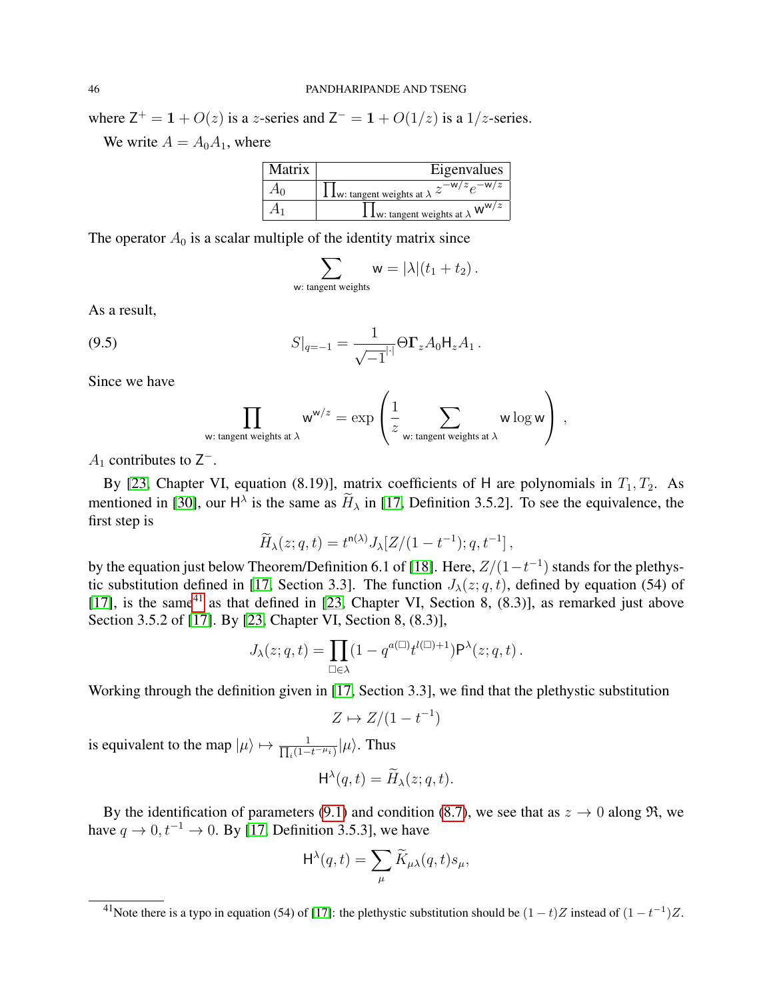where  $Z^+ = 1 + O(z)$  is a z-series and  $Z^- = 1 + O(1/z)$  is a 1/z-series.

We write  $A = A_0 A_1$ , where

| Matrix | Eigenvalues                                                                   |
|--------|-------------------------------------------------------------------------------|
|        | <b>1</b> <u><b>L</b>w: tangent weights</u> at $\lambda$ $z^{-w/z} e^{-w/z}$ . |
|        | $W^{W/z}$<br><b>1 L</b> <sub>W</sub> : tangent weights at $\lambda$           |

The operator  $A_0$  is a scalar multiple of the identity matrix since

$$
\sum_{\mathsf{w}: \text{ tangent weights}} \mathsf{w} = |\lambda|(t_1 + t_2).
$$

As a result,

(9.5) 
$$
S|_{q=-1} = \frac{1}{\sqrt{-1}^{|\cdot|}} \Theta \Gamma_z A_0 H_z A_1.
$$

Since we have

$$
\prod_{\mathsf{w}: \text{ tangent weights at }\lambda} \mathsf{w}^{\mathsf{w}/z} = \exp\left(\frac{1}{z}\sum_{\mathsf{w}: \text{ tangent weights at }\lambda} \mathsf{w} \log \mathsf{w}\right) ,
$$

 $A_1$  contributes to  $Z^-$ .

By [\[23,](#page-50-17) Chapter VI, equation (8.19)], matrix coefficients of H are polynomials in  $T_1, T_2$ . As mentioned in [\[30\]](#page-51-1), our  $H^{\lambda}$  is the same as  $H_{\lambda}$  in [\[17,](#page-50-21) Definition 3.5.2]. To see the equivalence, the first step is

$$
\widetilde{H}_{\lambda}(z;q,t) = t^{n(\lambda)} J_{\lambda}[Z/(1-t^{-1});q,t^{-1}],
$$

by the equation just below Theorem/Definition 6.1 of [\[18\]](#page-50-22). Here,  $Z/(1-t^{-1})$  stands for the plethys-tic substitution defined in [\[17,](#page-50-21) Section 3.3]. The function  $J_{\lambda}(z; q, t)$ , defined by equation (54) of [\[17\]](#page-50-21), is the same<sup>[41](#page-45-0)</sup> as that defined in [\[23,](#page-50-17) Chapter VI, Section 8,  $(8.3)$ ], as remarked just above Section 3.5.2 of [\[17\]](#page-50-21). By [\[23,](#page-50-17) Chapter VI, Section 8, (8.3)],

$$
J_{\lambda}(z;q,t) = \prod_{\square \in \lambda} (1 - q^{a(\square)} t^{l(\square)+1}) \mathsf{P}^{\lambda}(z;q,t).
$$

Working through the definition given in [\[17,](#page-50-21) Section 3.3], we find that the plethystic substitution

$$
Z \mapsto Z/(1 - t^{-1})
$$

is equivalent to the map  $|\mu\rangle \mapsto \frac{1}{\prod_i (1-\mu_i)}$  $\frac{1}{i(1-t^{-\mu}i)}|\mu\rangle$ . Thus

$$
\mathsf{H}^{\lambda}(q,t) = \widetilde{H}_{\lambda}(z;q,t).
$$

By the identification of parameters [\(9.1\)](#page-44-2) and condition [\(8.7\)](#page-37-4), we see that as  $z \to 0$  along  $\Re$ , we have  $q \to 0$ ,  $t^{-1} \to 0$ . By [\[17,](#page-50-21) Definition 3.5.3], we have

$$
\mathrm{H}^{\lambda}(q,t) = \sum_{\mu} \widetilde{K}_{\mu\lambda}(q,t) s_{\mu},
$$

<span id="page-45-0"></span><sup>&</sup>lt;sup>41</sup>Note there is a typo in equation (54) of [\[17\]](#page-50-21): the plethystic substitution should be  $(1-t)Z$  instead of  $(1-t^{-1})Z$ .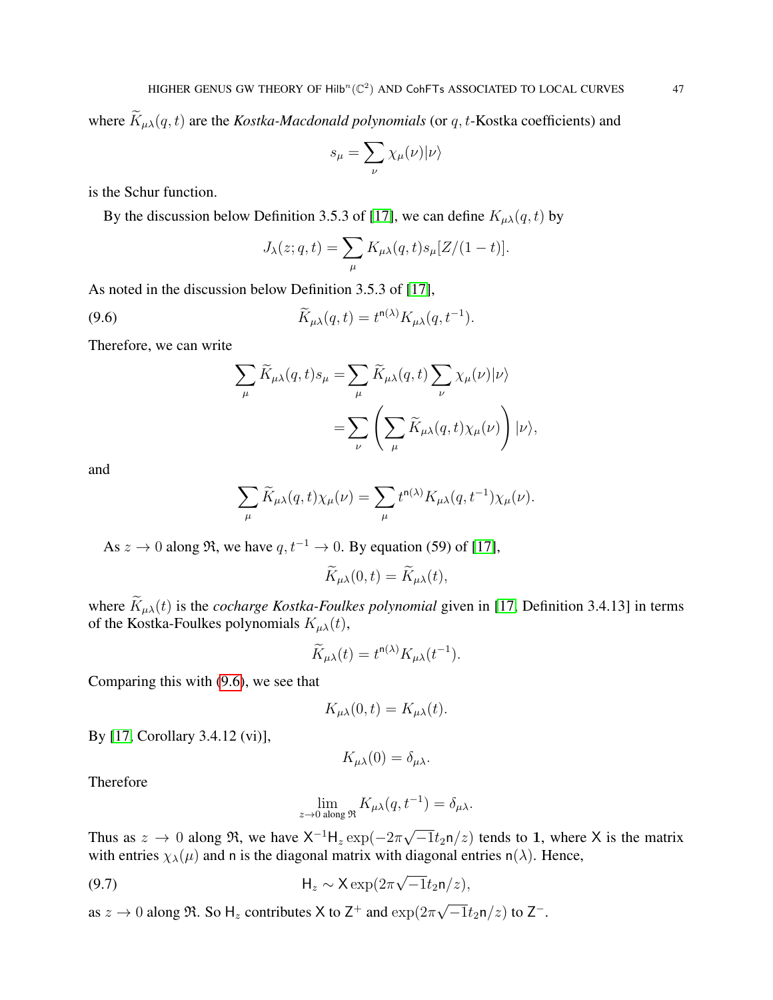where  $\widetilde{K}_{\mu\lambda}(q, t)$  are the *Kostka-Macdonald polynomials* (or q, t-Kostka coefficients) and

$$
s_{\mu} = \sum_{\nu} \chi_{\mu}(\nu) | \nu \rangle
$$

is the Schur function.

By the discussion below Definition 3.5.3 of [\[17\]](#page-50-21), we can define  $K_{\mu\lambda}(q, t)$  by

<span id="page-46-0"></span>
$$
J_{\lambda}(z;q,t) = \sum_{\mu} K_{\mu\lambda}(q,t) s_{\mu}[Z/(1-t)].
$$

As noted in the discussion below Definition 3.5.3 of [\[17\]](#page-50-21),

(9.6) 
$$
\widetilde{K}_{\mu\lambda}(q,t) = t^{n(\lambda)} K_{\mu\lambda}(q,t^{-1}).
$$

Therefore, we can write

$$
\sum_{\mu} \widetilde{K}_{\mu\lambda}(q,t) s_{\mu} = \sum_{\mu} \widetilde{K}_{\mu\lambda}(q,t) \sum_{\nu} \chi_{\mu}(\nu) |\nu\rangle
$$

$$
= \sum_{\nu} \left( \sum_{\mu} \widetilde{K}_{\mu\lambda}(q,t) \chi_{\mu}(\nu) \right) |\nu\rangle,
$$

and

$$
\sum_{\mu} \widetilde{K}_{\mu\lambda}(q,t) \chi_{\mu}(\nu) = \sum_{\mu} t^{n(\lambda)} K_{\mu\lambda}(q,t^{-1}) \chi_{\mu}(\nu).
$$

As  $z \to 0$  along  $\Re$ , we have  $q, t^{-1} \to 0$ . By equation (59) of [\[17\]](#page-50-21),

$$
\widetilde{K}_{\mu\lambda}(0,t)=\widetilde{K}_{\mu\lambda}(t),
$$

where  $\widetilde{K}_{\mu\lambda}(t)$  is the *cocharge Kostka-Foulkes polynomial* given in [\[17,](#page-50-21) Definition 3.4.13] in terms of the Kostka-Foulkes polynomials  $K_{\mu\lambda}(t)$ ,

$$
\widetilde{K}_{\mu\lambda}(t) = t^{n(\lambda)} K_{\mu\lambda}(t^{-1}).
$$

Comparing this with [\(9.6\)](#page-46-0), we see that

$$
K_{\mu\lambda}(0,t) = K_{\mu\lambda}(t).
$$

By [\[17,](#page-50-21) Corollary 3.4.12 (vi)],

$$
K_{\mu\lambda}(0)=\delta_{\mu\lambda}.
$$

Therefore

<span id="page-46-1"></span>
$$
\lim_{z \to 0 \text{ along } \mathfrak{R}} K_{\mu\lambda}(q, t^{-1}) = \delta_{\mu\lambda}.
$$

Thus as  $z \to 0$  along  $\Re$ , we have  $\mathsf{X}^{-1}\mathsf{H}_z \exp(-2\pi)$  $\overline{-1}t_2n/z$  tends to 1, where X is the matrix with entries  $\chi_{\lambda}(\mu)$  and n is the diagonal matrix with diagonal entries n( $\lambda$ ). Hence,

(9.7) 
$$
\mathsf{H}_z \sim \mathsf{X} \exp(2\pi \sqrt{-1} t_2 \mathsf{n}/z),
$$

as  $z \to 0$  along  $\Re$ . So H<sub>z</sub> contributes X to Z<sup>+</sup> and  $\exp(2\pi t)$ √  $\overline{-1}t_2$ n/z) to Z<sup>-</sup>.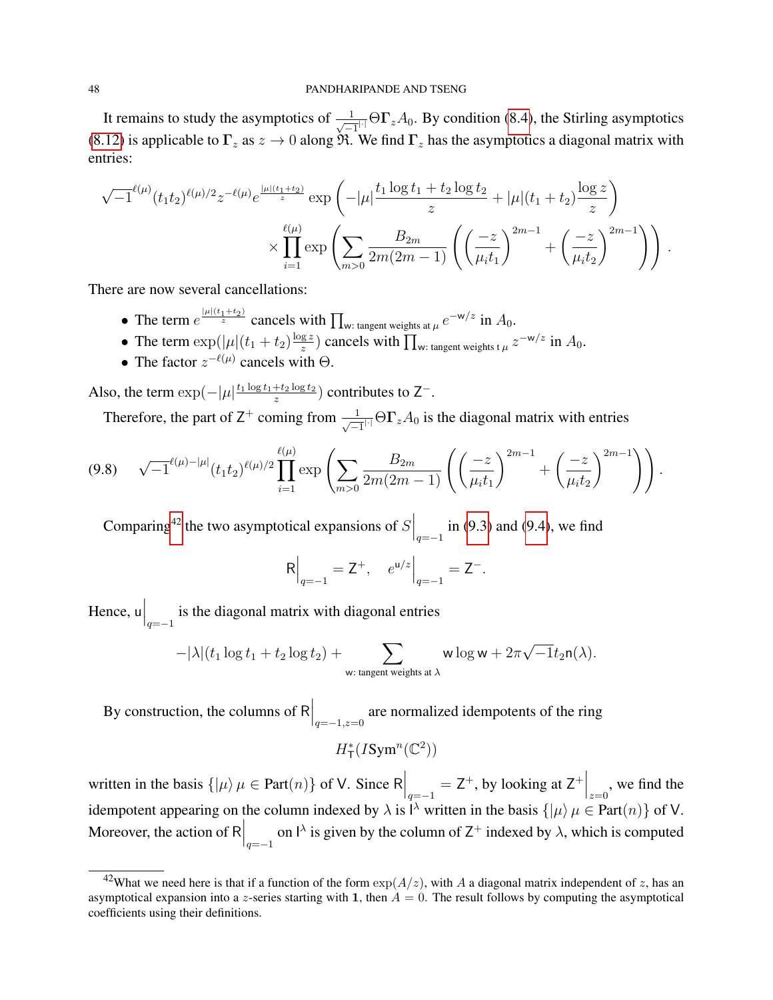It remains to study the asymptotics of  $\frac{1}{\sqrt{-1}}$   $\Theta \Gamma_z A_0$ . By condition [\(8.4\)](#page-36-7), the Stirling asymptotics [\(8.12\)](#page-38-0) is applicable to  $\Gamma_z$  as  $z \to 0$  along  $\Re$ . We find  $\Gamma_z$  has the asymptotics a diagonal matrix with entries:

$$
\sqrt{-1}^{\ell(\mu)}(t_1t_2)^{\ell(\mu)/2}z^{-\ell(\mu)}e^{\frac{|\mu|(t_1+t_2)}{z}}\exp\left(-|\mu|\frac{t_1\log t_1+t_2\log t_2}{z}+|\mu|(t_1+t_2)\frac{\log z}{z}\right) \times \prod_{i=1}^{\ell(\mu)}\exp\left(\sum_{m>0}\frac{B_{2m}}{2m(2m-1)}\left(\left(\frac{-z}{\mu_it_1}\right)^{2m-1}+\left(\frac{-z}{\mu_it_2}\right)^{2m-1}\right)\right).
$$

There are now several cancellations:

- The term  $e^{\frac{|\mu|(t_1+t_2)}{z}}$  cancels with  $\prod_{w:\text{ tangent weights at }\mu}e^{-w/z}$  in  $A_0$ .
- The term  $\exp(|\mu|(t_1+t_2)\frac{\log z}{z})$  $\frac{gz}{z}$ ) cancels with  $\prod_{w:\text{ tangent weights }t} z^{-w/z}$  in  $A_0$ .
- The factor  $z^{-\ell(\mu)}$  cancels with  $\Theta$ .

Also, the term  $\exp(-|\mu|^{\frac{t_1 \log t_1 + t_2 \log t_2}{z}})$  $\frac{+t_2 \log t_2}{z}$ ) contributes to Z<sup>-</sup>.

Therefore, the part of Z<sup>+</sup> coming from  $\frac{1}{\sqrt{-1}}$   $\Theta \Gamma_z A_0$  is the diagonal matrix with entries

<span id="page-47-1"></span>
$$
(9.8) \quad \sqrt{-1}^{\ell(\mu)-|\mu|} (t_1t_2)^{\ell(\mu)/2} \prod_{i=1}^{\ell(\mu)} \exp \left( \sum_{m>0} \frac{B_{2m}}{2m(2m-1)} \left( \left( \frac{-z}{\mu_i t_1} \right)^{2m-1} + \left( \frac{-z}{\mu_i t_2} \right)^{2m-1} \right) \right).
$$

Comparing<sup>[42](#page-47-0)</sup> the two asymptotical expansions of  $S\Big|_{q=-1}$  in [\(9.3\)](#page-44-3) and [\(9.4\)](#page-44-4), we find

$$
R\Big|_{q=-1} = Z^+, \quad e^{u/z}\Big|_{q=-1} = Z^-.
$$

Hence,  $\mathsf{u}\Big|_{q=-1}$  is the diagonal matrix with diagonal entries

$$
-|\lambda|(t_1\log t_1+t_2\log t_2)+\sum_{\mathsf{w}: \text{ tangent weights at }\lambda} \mathsf{w}\log \mathsf{w}+2\pi\sqrt{-1}t_2\mathsf{n}(\lambda).
$$

By construction, the columns of R  $\Big|_{q=-1,z=0}$  are normalized idempotents of the ring

 $H^*_\mathsf{T}(I\text{Sym}^n(\mathbb{C}^2))$ 

written in the basis  $\{|\mu\rangle \mu \in Part(n)\}$  of V. Since  $R\Big|_{q=-1} = Z^+$ , by looking at  $Z^+\Big|_{z=0}$ , we find the idempotent appearing on the column indexed by  $\lambda$  is  $\lambda$  written in the basis  $\{\vert \mu\rangle \mu \in Part(n)\}$  of V. Moreover, the action of R  $\Big|_{q=-1}$  on  $\Big|_{\gamma}$  is given by the column of Z<sup>+</sup> indexed by  $\lambda$ , which is computed

<span id="page-47-0"></span><sup>&</sup>lt;sup>42</sup>What we need here is that if a function of the form  $\exp(A/z)$ , with A a diagonal matrix independent of z, has an asymptotical expansion into a z-series starting with 1, then  $A = 0$ . The result follows by computing the asymptotical coefficients using their definitions.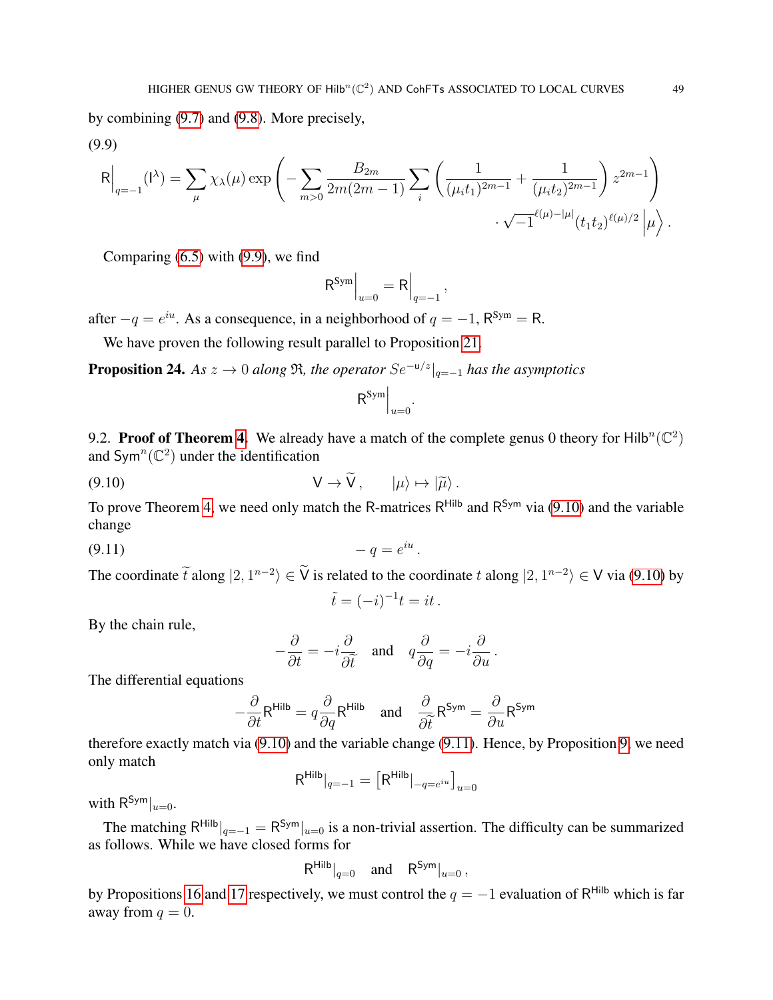by combining [\(9.7\)](#page-46-1) and [\(9.8\)](#page-47-1). More precisely,

<span id="page-48-0"></span>(9.9)

$$
\mathsf{R}\Big|_{q=-1}(\mathsf{I}^{\lambda}) = \sum_{\mu} \chi_{\lambda}(\mu) \exp\left(-\sum_{m>0} \frac{B_{2m}}{2m(2m-1)} \sum_{i} \left(\frac{1}{(\mu_i t_1)^{2m-1}} + \frac{1}{(\mu_i t_2)^{2m-1}}\right) z^{2m-1}\right) \cdot \sqrt{-1}^{\ell(\mu) - |\mu|} (t_1 t_2)^{\ell(\mu)/2} |\mu\rangle.
$$

Comparing  $(6.5)$  with  $(9.9)$ , we find

$$
\mathsf{R}^{\mathsf{Sym}}\Big|_{u=0} = \mathsf{R}\Big|_{q=-1},
$$

after  $-q = e^{iu}$ . As a consequence, in a neighborhood of  $q = -1$ ,  $R^{Sym} = R$ .

We have proven the following result parallel to Proposition [21.](#page-38-2)

<span id="page-48-3"></span>**Proposition 24.** *As*  $z \to 0$  *along*  $\Re$ *, the operator*  $Se^{-u/z}|_{q=-1}$  *has the asymptotics* 

<span id="page-48-1"></span>
$$
\mathsf{R}^{\mathsf{Sym}}\Big|_{u=0}.
$$

<span id="page-48-4"></span>9.2. Proof of Theorem [4.](#page-6-3) We already have a match of the complete genus 0 theory for Hilb<sup>n</sup>( $\mathbb{C}^2$ ) and Sym<sup>n</sup>( $\mathbb{C}^2$ ) under the identification

$$
V \to \widetilde{V}, \qquad |\mu\rangle \mapsto |\widetilde{\mu}\rangle.
$$

To prove Theorem [4,](#page-6-3) we need only match the R-matrices  $R^{Hilb}$  and  $R^{Sym}$  via [\(9.10\)](#page-48-1) and the variable change

$$
(9.11) \qquad \qquad -q=e^{iu}.
$$

The coordinate  $\tilde{t}$  along  $|2, 1^{n-2}\rangle \in \tilde{V}$  is related to the coordinate  $t$  along  $|2, 1^{n-2}\rangle \in V$  via [\(9.10\)](#page-48-1) by

<span id="page-48-2"></span>
$$
\tilde{t} = (-i)^{-1}t = it.
$$

By the chain rule,

$$
-\frac{\partial}{\partial t} = -i\frac{\partial}{\partial \tilde{t}} \quad \text{and} \quad q\frac{\partial}{\partial q} = -i\frac{\partial}{\partial u}.
$$

The differential equations

$$
-\frac{\partial}{\partial t}R^{\text{Hilb}} = q\frac{\partial}{\partial q}R^{\text{Hilb}} \quad \text{and} \quad \frac{\partial}{\partial \tilde{t}}R^{\text{Sym}} = \frac{\partial}{\partial u}R^{\text{Sym}}
$$

therefore exactly match via [\(9.10\)](#page-48-1) and the variable change [\(9.11\)](#page-48-2). Hence, by Proposition [9,](#page-24-0) we need only match

$$
R^{\text{Hilb}}|_{q=-1} = [R^{\text{Hilb}}|_{-q=e^{iu}}]_{u=0}
$$

with  $R^{\mathsf{Sym}}|_{u=0}$ .

The matching  $R^{Hilb}|_{q=-1} = R^{Sym}|_{u=0}$  is a non-trivial assertion. The difficulty can be summarized as follows. While we have closed forms for

$$
\mathsf{R}^{\mathsf{Hilb}}|_{q=0} \quad \text{and} \quad \mathsf{R}^{\mathsf{Sym}}|_{u=0},
$$

by Propositions [16](#page-31-3) and [17](#page-32-5) respectively, we must control the  $q = -1$  evaluation of R<sup>Hilb</sup> which is far away from  $q = 0$ .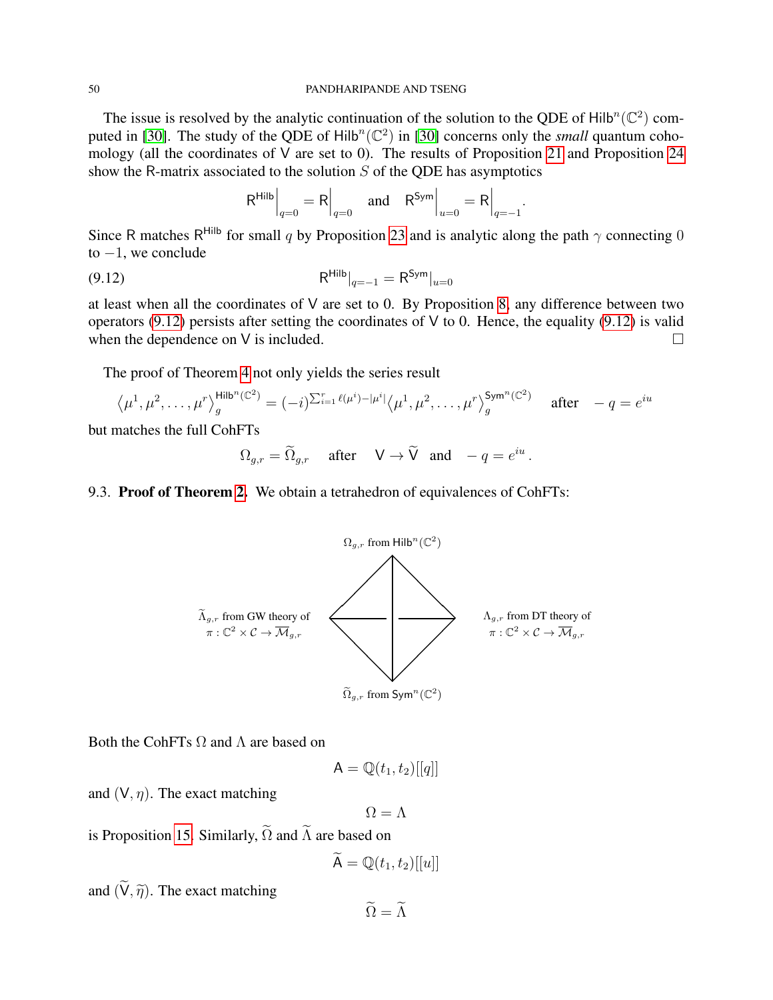#### 50 PANDHARIPANDE AND TSENG

The issue is resolved by the analytic continuation of the solution to the QDE of Hilb<sup>n</sup>( $\mathbb{C}^2$ ) com-puted in [\[30\]](#page-51-1). The study of the QDE of  $Hilb^{n}(\mathbb{C}^{2})$  in [30] concerns only the *small* quantum cohomology (all the coordinates of  $V$  are set to 0). The results of Proposition [21](#page-38-2) and Proposition [24](#page-48-3) show the R-matrix associated to the solution  $S$  of the QDE has asymptotics

<span id="page-49-0"></span>
$$
\mathsf{R}^{\mathsf{Hilb}}\Big|_{q=0} = \mathsf{R}\Big|_{q=0} \quad \text{and} \quad \mathsf{R}^{\mathsf{Sym}}\Big|_{u=0} = \mathsf{R}\Big|_{q=-1}
$$

.

.

Since R matches R<sup>Hilb</sup> for small q by Proposition [23](#page-39-2) and is analytic along the path  $\gamma$  connecting 0 to  $-1$ , we conclude

(9.12) 
$$
R^{\text{Hilb}}|_{q=-1} = R^{\text{Sym}}|_{u=0}
$$

at least when all the coordinates of V are set to 0. By Proposition [8,](#page-23-2) any difference between two operators [\(9.12\)](#page-49-0) persists after setting the coordinates of  $V$  to 0. Hence, the equality (9.12) is valid when the dependence on V is included.  $\Box$ 

The proof of Theorem [4](#page-6-3) not only yields the series result

$$
\langle \mu^1, \mu^2, \dots, \mu^r \rangle_{g}^{\text{Hilb}^n(\mathbb{C}^2)} = (-i)^{\sum_{i=1}^r \ell(\mu^i) - |\mu^i|} \langle \mu^1, \mu^2, \dots, \mu^r \rangle_{g}^{\text{Sym}^n(\mathbb{C}^2)} \quad \text{after} \quad -q = e^{iu}
$$

but matches the full CohFTs

$$
\Omega_{g,r} = \widetilde{\Omega}_{g,r} \quad \text{after} \quad \mathsf{V} \to \widetilde{\mathsf{V}} \quad \text{and} \quad -q = e^{iu}
$$

## 9.3. Proof of Theorem [2.](#page-5-1) We obtain a tetrahedron of equivalences of CohFTs:



Both the CohFTs  $\Omega$  and  $\Lambda$  are based on

$$
\mathsf{A}=\mathbb{Q}(t_1,t_2)[[q]]
$$

and  $(V, \eta)$ . The exact matching

 $\Omega = \Lambda$ 

is Proposition [15.](#page-30-4) Similarly,  $\widetilde{\Omega}$  and  $\widetilde{\Lambda}$  are based on

$$
\widetilde{\mathsf{A}} = \mathbb{Q}(t_1, t_2)[[u]]
$$

and  $(\widetilde{V}, \widetilde{\eta})$ . The exact matching

 $\widetilde{Q} = \widetilde{\Lambda}$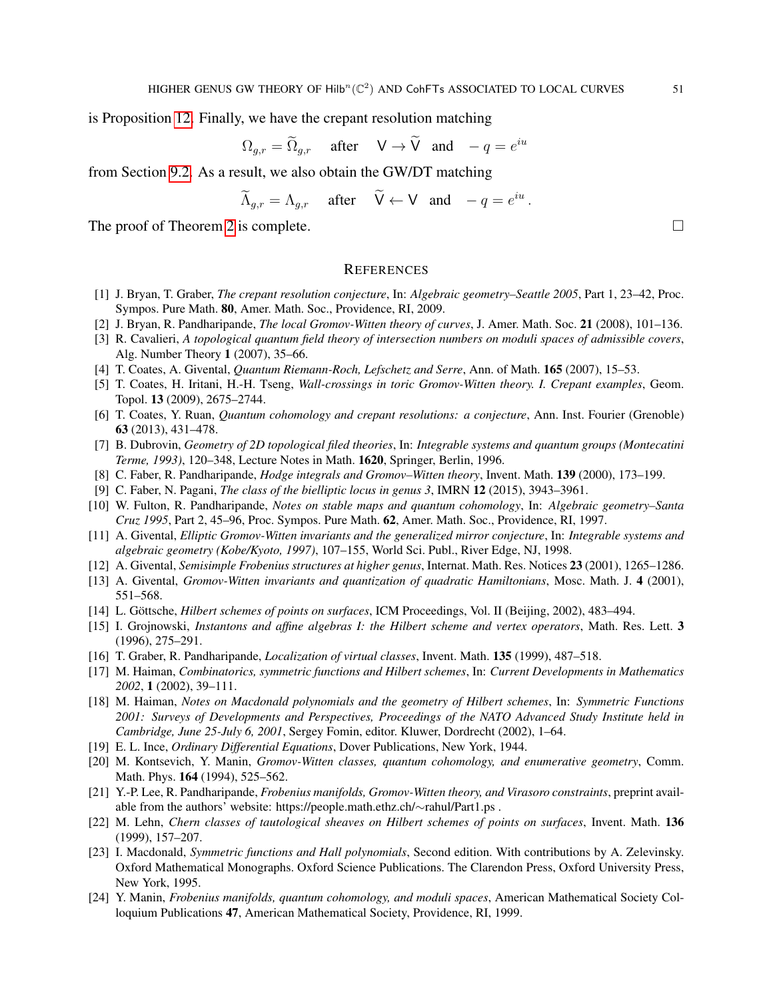is Proposition [12.](#page-28-2) Finally, we have the crepant resolution matching

$$
\Omega_{g,r} = \widetilde{\Omega}_{g,r} \quad \text{after} \quad \mathsf{V} \to \widetilde{\mathsf{V}} \quad \text{and} \quad -q = e^{iu}
$$

from Section [9.2.](#page-48-4) As a result, we also obtain the GW/DT matching

$$
\widetilde{\Lambda}_{g,r} = \Lambda_{g,r} \quad \text{after} \quad \widetilde{\mathsf{V}} \leftarrow \mathsf{V} \quad \text{and} \quad -q = e^{iu}
$$

.

The proof of Theorem [2](#page-5-1) is complete.  $\Box$ 

### <span id="page-50-3"></span>**REFERENCES**

- <span id="page-50-0"></span>[1] J. Bryan, T. Graber, *The crepant resolution conjecture*, In: *Algebraic geometry–Seattle 2005*, Part 1, 23–42, Proc. Sympos. Pure Math. 80, Amer. Math. Soc., Providence, RI, 2009.
- <span id="page-50-7"></span>[2] J. Bryan, R. Pandharipande, *The local Gromov-Witten theory of curves*, J. Amer. Math. Soc. 21 (2008), 101–136.
- <span id="page-50-10"></span>[3] R. Cavalieri, *A topological quantum field theory of intersection numbers on moduli spaces of admissible covers*, Alg. Number Theory 1 (2007), 35–66.
- <span id="page-50-19"></span>[4] T. Coates, A. Givental, *Quantum Riemann-Roch, Lefschetz and Serre*, Ann. of Math. 165 (2007), 15–53.
- <span id="page-50-1"></span>[5] T. Coates, H. Iritani, H.-H. Tseng, *Wall-crossings in toric Gromov-Witten theory. I. Crepant examples*, Geom. Topol. 13 (2009), 2675–2744.
- <span id="page-50-2"></span>[6] T. Coates, Y. Ruan, *Quantum cohomology and crepant resolutions: a conjecture*, Ann. Inst. Fourier (Grenoble) 63 (2013), 431–478.
- <span id="page-50-14"></span>[7] B. Dubrovin, *Geometry of 2D topological filed theories*, In: *Integrable systems and quantum groups (Montecatini Terme, 1993)*, 120–348, Lecture Notes in Math. 1620, Springer, Berlin, 1996.
- <span id="page-50-18"></span>[8] C. Faber, R. Pandharipande, *Hodge integrals and Gromov–Witten theory*, Invent. Math. 139 (2000), 173–199.
- <span id="page-50-9"></span>[9] C. Faber, N. Pagani, *The class of the bielliptic locus in genus 3*, IMRN 12 (2015), 3943–3961.
- <span id="page-50-13"></span>[10] W. Fulton, R. Pandharipande, *Notes on stable maps and quantum cohomology*, In: *Algebraic geometry–Santa Cruz 1995*, Part 2, 45–96, Proc. Sympos. Pure Math. 62, Amer. Math. Soc., Providence, RI, 1997.
- <span id="page-50-15"></span>[11] A. Givental, *Elliptic Gromov-Witten invariants and the generalized mirror conjecture*, In: *Integrable systems and algebraic geometry (Kobe/Kyoto, 1997)*, 107–155, World Sci. Publ., River Edge, NJ, 1998.
- [12] A. Givental, *Semisimple Frobenius structures at higher genus*, Internat. Math. Res. Notices 23 (2001), 1265–1286.
- [13] A. Givental, *Gromov-Witten invariants and quantization of quadratic Hamiltonians*, Mosc. Math. J. 4 (2001), 551–568.
- <span id="page-50-4"></span>[14] L. Göttsche, *Hilbert schemes of points on surfaces*, ICM Proceedings, Vol. II (Beijing, 2002), 483–494.
- <span id="page-50-6"></span>[15] I. Grojnowski, *Instantons and affine algebras I: the Hilbert scheme and vertex operators*, Math. Res. Lett. 3 (1996), 275–291.
- <span id="page-50-8"></span>[16] T. Graber, R. Pandharipande, *Localization of virtual classes*, Invent. Math. 135 (1999), 487–518.
- <span id="page-50-21"></span>[17] M. Haiman, *Combinatorics, symmetric functions and Hilbert schemes*, In: *Current Developments in Mathematics 2002*, 1 (2002), 39–111.
- <span id="page-50-22"></span>[18] M. Haiman, *Notes on Macdonald polynomials and the geometry of Hilbert schemes*, In: *Symmetric Functions 2001: Surveys of Developments and Perspectives, Proceedings of the NATO Advanced Study Institute held in Cambridge, June 25-July 6, 2001*, Sergey Fomin, editor. Kluwer, Dordrecht (2002), 1–64.
- <span id="page-50-20"></span>[19] E. L. Ince, *Ordinary Differential Equations*, Dover Publications, New York, 1944.
- <span id="page-50-11"></span>[20] M. Kontsevich, Y. Manin, *Gromov-Witten classes, quantum cohomology, and enumerative geometry*, Comm. Math. Phys. 164 (1994), 525–562.
- <span id="page-50-16"></span>[21] Y.-P. Lee, R. Pandharipande, *Frobenius manifolds, Gromov-Witten theory, and Virasoro constraints*, preprint available from the authors' website: https://people.math.ethz.ch/∼rahul/Part1.ps .
- <span id="page-50-5"></span>[22] M. Lehn, *Chern classes of tautological sheaves on Hilbert schemes of points on surfaces*, Invent. Math. 136 (1999), 157–207.
- <span id="page-50-17"></span>[23] I. Macdonald, *Symmetric functions and Hall polynomials*, Second edition. With contributions by A. Zelevinsky. Oxford Mathematical Monographs. Oxford Science Publications. The Clarendon Press, Oxford University Press, New York, 1995.
- <span id="page-50-12"></span>[24] Y. Manin, *Frobenius manifolds, quantum cohomology, and moduli spaces*, American Mathematical Society Colloquium Publications 47, American Mathematical Society, Providence, RI, 1999.